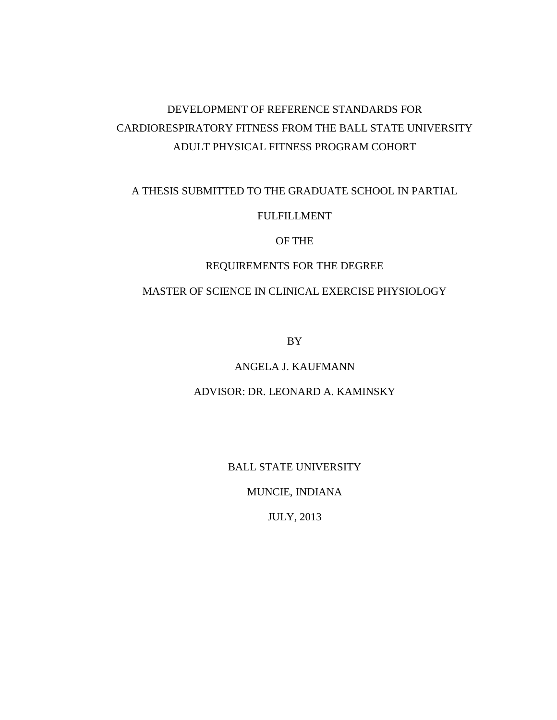# DEVELOPMENT OF REFERENCE STANDARDS FOR CARDIORESPIRATORY FITNESS FROM THE BALL STATE UNIVERSITY ADULT PHYSICAL FITNESS PROGRAM COHORT

# A THESIS SUBMITTED TO THE GRADUATE SCHOOL IN PARTIAL

# FULFILLMENT

# OF THE

# REQUIREMENTS FOR THE DEGREE

# MASTER OF SCIENCE IN CLINICAL EXERCISE PHYSIOLOGY

BY

# ANGELA J. KAUFMANN

# ADVISOR: DR. LEONARD A. KAMINSKY

BALL STATE UNIVERSITY

MUNCIE, INDIANA

JULY, 2013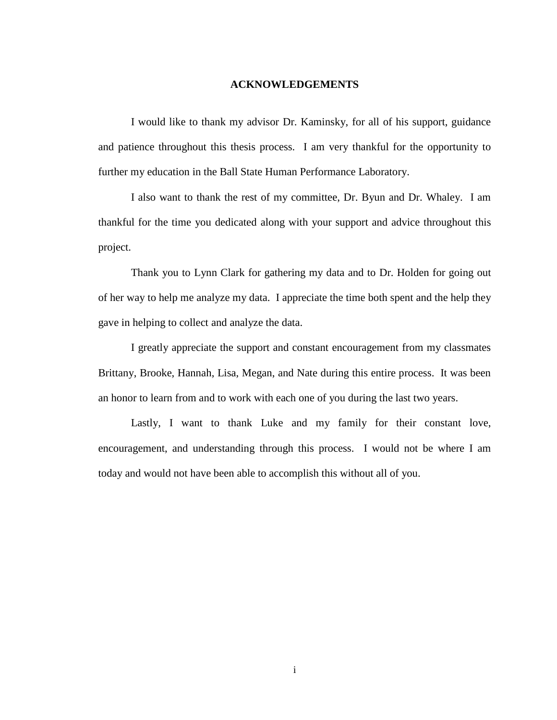#### **ACKNOWLEDGEMENTS**

I would like to thank my advisor Dr. Kaminsky, for all of his support, guidance and patience throughout this thesis process. I am very thankful for the opportunity to further my education in the Ball State Human Performance Laboratory.

I also want to thank the rest of my committee, Dr. Byun and Dr. Whaley. I am thankful for the time you dedicated along with your support and advice throughout this project.

Thank you to Lynn Clark for gathering my data and to Dr. Holden for going out of her way to help me analyze my data. I appreciate the time both spent and the help they gave in helping to collect and analyze the data.

I greatly appreciate the support and constant encouragement from my classmates Brittany, Brooke, Hannah, Lisa, Megan, and Nate during this entire process. It was been an honor to learn from and to work with each one of you during the last two years.

Lastly, I want to thank Luke and my family for their constant love, encouragement, and understanding through this process. I would not be where I am today and would not have been able to accomplish this without all of you.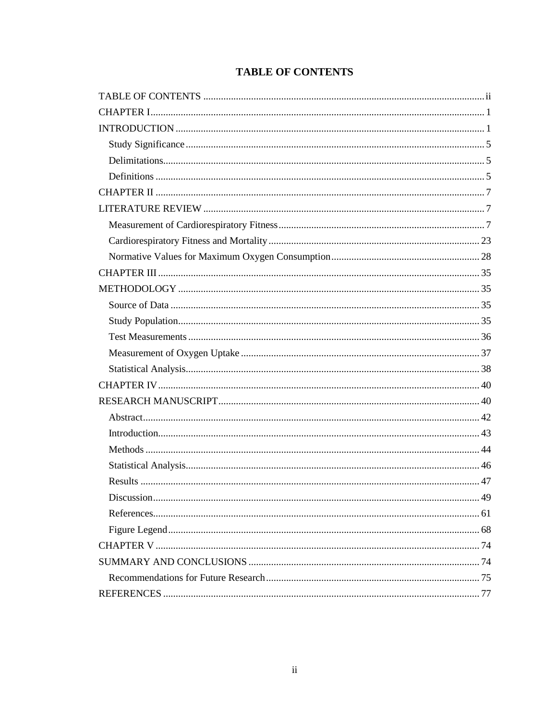|  |  | <b>TABLE OF CONTENTS</b> |
|--|--|--------------------------|
|--|--|--------------------------|

<span id="page-2-0"></span>

| Discussion<br>49 |
|------------------|
|                  |
|                  |
|                  |
|                  |
|                  |
|                  |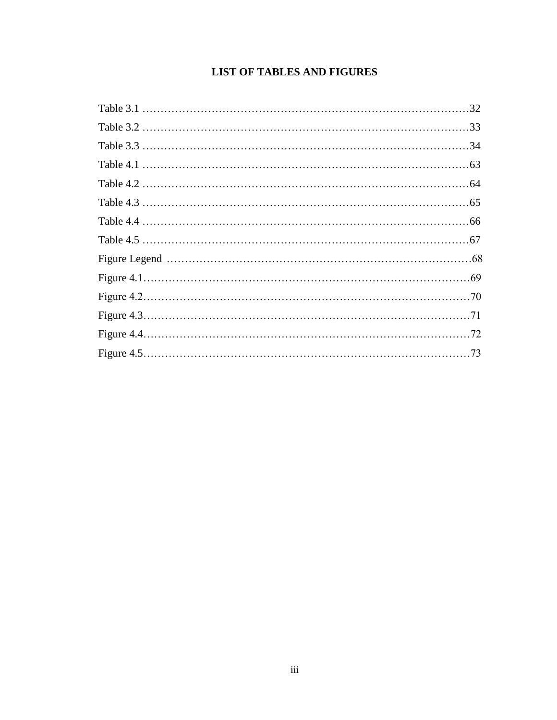# **LIST OF TABLES AND FIGURES**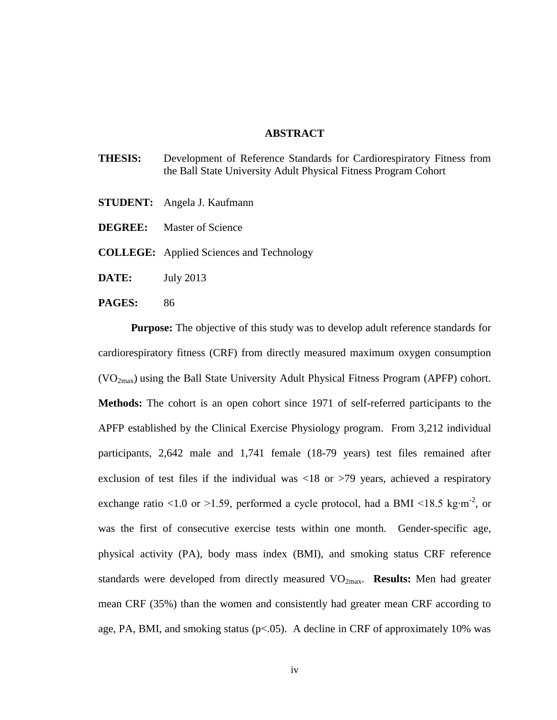#### **ABSTRACT**

- **THESIS:** Development of Reference Standards for Cardiorespiratory Fitness from the Ball State University Adult Physical Fitness Program Cohort
- **STUDENT:** Angela J. Kaufmann
- **DEGREE:** Master of Science

**COLLEGE:** Applied Sciences and Technology

- **DATE:** July 2013
- **PAGES:** 86

**Purpose:** The objective of this study was to develop adult reference standards for cardiorespiratory fitness (CRF) from directly measured maximum oxygen consumption  $(VO<sub>2max</sub>)$  using the Ball State University Adult Physical Fitness Program (APFP) cohort. **Methods:** The cohort is an open cohort since 1971 of self-referred participants to the APFP established by the Clinical Exercise Physiology program. From 3,212 individual participants, 2,642 male and 1,741 female (18-79 years) test files remained after exclusion of test files if the individual was  $\langle 18 \text{ or } \rangle$  years, achieved a respiratory exchange ratio <1.0 or >1.59, performed a cycle protocol, had a BMI <18.5 kg⋅m<sup>-2</sup>, or was the first of consecutive exercise tests within one month. Gender-specific age, physical activity (PA), body mass index (BMI), and smoking status CRF reference standards were developed from directly measured VO<sub>2max</sub>. **Results:** Men had greater mean CRF (35%) than the women and consistently had greater mean CRF according to age, PA, BMI, and smoking status (p<.05). A decline in CRF of approximately 10% was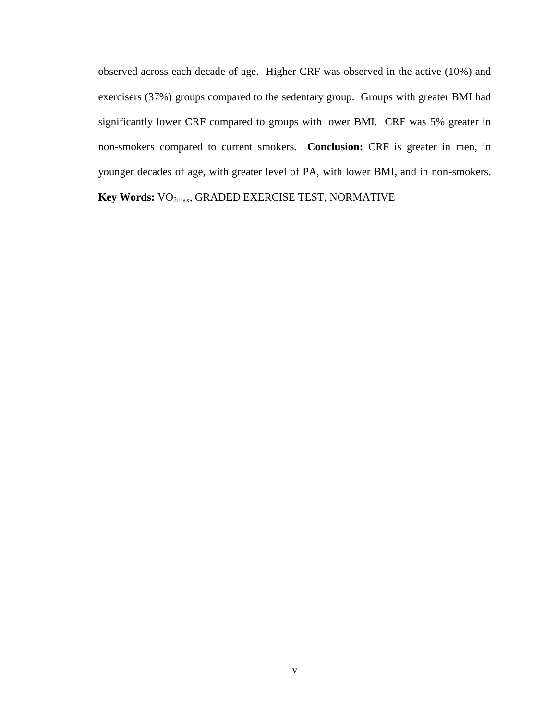observed across each decade of age. Higher CRF was observed in the active (10%) and exercisers (37%) groups compared to the sedentary group. Groups with greater BMI had significantly lower CRF compared to groups with lower BMI. CRF was 5% greater in non-smokers compared to current smokers. **Conclusion:** CRF is greater in men, in younger decades of age, with greater level of PA, with lower BMI, and in non-smokers. **Key Words:** VO2max, GRADED EXERCISE TEST, NORMATIVE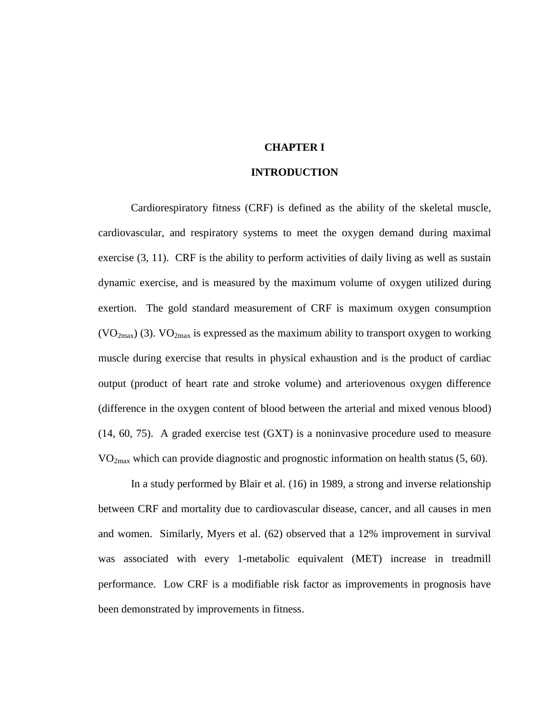### **CHAPTER I**

### **INTRODUCTION**

<span id="page-6-1"></span><span id="page-6-0"></span>Cardiorespiratory fitness (CRF) is defined as the ability of the skeletal muscle, cardiovascular, and respiratory systems to meet the oxygen demand during maximal exercise [\(3,](#page-82-1) [11\)](#page-82-2). CRF is the ability to perform activities of daily living as well as sustain dynamic exercise, and is measured by the maximum volume of oxygen utilized during exertion. The gold standard measurement of CRF is maximum oxygen consumption  $(VO<sub>2max</sub>)$  [\(3\)](#page-82-1).  $VO<sub>2max</sub>$  is expressed as the maximum ability to transport oxygen to working muscle during exercise that results in physical exhaustion and is the product of cardiac output (product of heart rate and stroke volume) and arteriovenous oxygen difference (difference in the oxygen content of blood between the arterial and mixed venous blood) [\(14,](#page-82-3) [60,](#page-84-0) [75\)](#page-84-1). A graded exercise test (GXT) is a noninvasive procedure used to measure  $VO<sub>2max</sub>$  which can provide diagnostic and prognostic information on health status [\(5,](#page-82-4) [60\)](#page-84-0).

In a study performed by Blair et al. [\(16\)](#page-82-5) in 1989, a strong and inverse relationship between CRF and mortality due to cardiovascular disease, cancer, and all causes in men and women. Similarly, Myers et al. [\(62\)](#page-84-2) observed that a 12% improvement in survival was associated with every 1-metabolic equivalent (MET) increase in treadmill performance. Low CRF is a modifiable risk factor as improvements in prognosis have been demonstrated by improvements in fitness.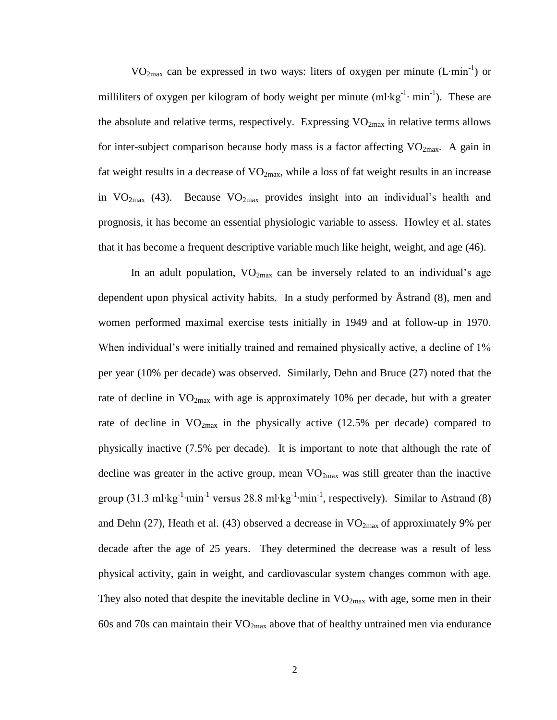VO<sub>2max</sub> can be expressed in two ways: liters of oxygen per minute (L⋅min<sup>-1</sup>) or milliliters of oxygen per kilogram of body weight per minute  $(ml·kg<sup>-1</sup>·min<sup>-1</sup>)$ . These are the absolute and relative terms, respectively. Expressing  $VO_{2max}$  in relative terms allows for inter-subject comparison because body mass is a factor affecting  $VO<sub>2max</sub>$ . A gain in fat weight results in a decrease of  $VO<sub>2max</sub>$ , while a loss of fat weight results in an increase in  $VO_{2max}$  [\(43\)](#page-83-0). Because  $VO_{2max}$  provides insight into an individual's health and prognosis, it has become an essential physiologic variable to assess. Howley et al. states that it has become a frequent descriptive variable much like height, weight, and age [\(46\)](#page-83-1).

In an adult population,  $VO_{2max}$  can be inversely related to an individual's age dependent upon physical activity habits. In a study performed by Åstrand [\(8\)](#page-82-6), men and women performed maximal exercise tests initially in 1949 and at follow-up in 1970. When individual's were initially trained and remained physically active, a decline of 1% per year (10% per decade) was observed. Similarly, Dehn and Bruce [\(27\)](#page-83-2) noted that the rate of decline in  $VO_{2max}$  with age is approximately 10% per decade, but with a greater rate of decline in  $VO_{2max}$  in the physically active (12.5% per decade) compared to physically inactive (7.5% per decade). It is important to note that although the rate of decline was greater in the active group, mean  $VO_{2max}$  was still greater than the inactive group (31.3 ml⋅kg<sup>-1</sup>⋅min<sup>-1</sup> versus 28.8 ml⋅kg<sup>-1</sup>⋅min<sup>-1</sup>, respectively). Similar to Astrand [\(8\)](#page-82-6) and Dehn [\(27\)](#page-83-2), Heath et al. [\(43\)](#page-83-0) observed a decrease in  $VO<sub>2max</sub>$  of approximately 9% per decade after the age of 25 years. They determined the decrease was a result of less physical activity, gain in weight, and cardiovascular system changes common with age. They also noted that despite the inevitable decline in  $VO_{2max}$  with age, some men in their 60s and 70s can maintain their  $VO_{2max}$  above that of healthy untrained men via endurance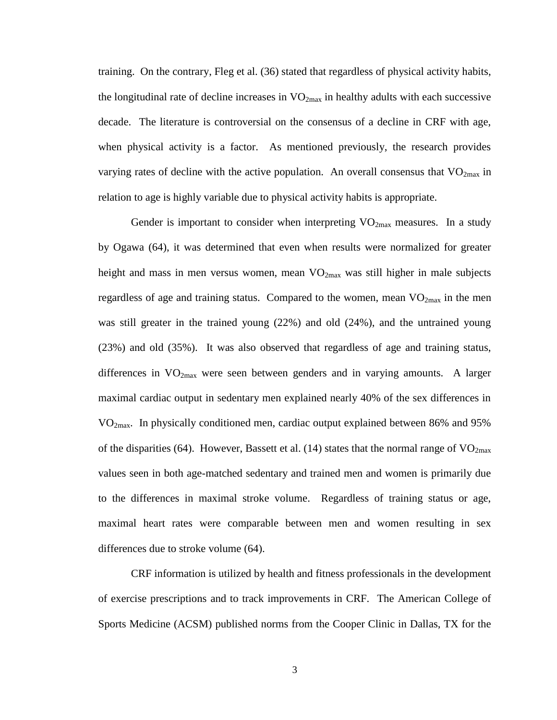training. On the contrary, Fleg et al. [\(36\)](#page-83-3) stated that regardless of physical activity habits, the longitudinal rate of decline increases in  $VO_{2max}$  in healthy adults with each successive decade. The literature is controversial on the consensus of a decline in CRF with age, when physical activity is a factor. As mentioned previously, the research provides varying rates of decline with the active population. An overall consensus that  $VO<sub>2max</sub>$  in relation to age is highly variable due to physical activity habits is appropriate.

Gender is important to consider when interpreting  $VO<sub>2max</sub>$  measures. In a study by Ogawa [\(64\)](#page-84-3), it was determined that even when results were normalized for greater height and mass in men versus women, mean  $VO_{2max}$  was still higher in male subjects regardless of age and training status. Compared to the women, mean  $VO_{2max}$  in the men was still greater in the trained young (22%) and old (24%), and the untrained young (23%) and old (35%). It was also observed that regardless of age and training status, differences in  $VO<sub>2max</sub>$  were seen between genders and in varying amounts. A larger maximal cardiac output in sedentary men explained nearly 40% of the sex differences in VO2max. In physically conditioned men, cardiac output explained between 86% and 95% of the disparities [\(64\)](#page-84-3). However, Bassett et al. [\(14\)](#page-82-3) states that the normal range of  $VO<sub>2max</sub>$ values seen in both age-matched sedentary and trained men and women is primarily due to the differences in maximal stroke volume. Regardless of training status or age, maximal heart rates were comparable between men and women resulting in sex differences due to stroke volume [\(64\)](#page-84-3).

CRF information is utilized by health and fitness professionals in the development of exercise prescriptions and to track improvements in CRF. The American College of Sports Medicine (ACSM) published norms from the Cooper Clinic in Dallas, TX for the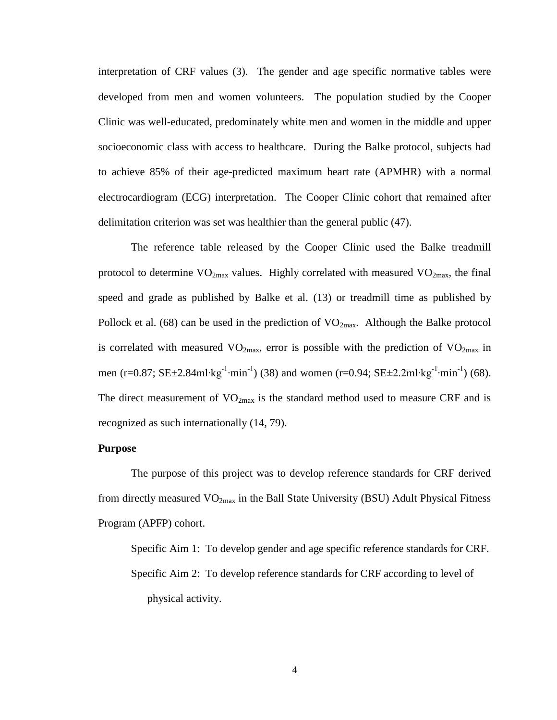interpretation of CRF values [\(3\)](#page-82-1). The gender and age specific normative tables were developed from men and women volunteers. The population studied by the Cooper Clinic was well-educated, predominately white men and women in the middle and upper socioeconomic class with access to healthcare. During the Balke protocol, subjects had to achieve 85% of their age-predicted maximum heart rate (APMHR) with a normal electrocardiogram (ECG) interpretation. The Cooper Clinic cohort that remained after delimitation criterion was set was healthier than the general public [\(47\)](#page-83-4).

The reference table released by the Cooper Clinic used the Balke treadmill protocol to determine  $VO_{2max}$  values. Highly correlated with measured  $VO_{2max}$ , the final speed and grade as published by Balke et al. [\(13\)](#page-82-7) or treadmill time as published by Pollock et al. [\(68\)](#page-84-4) can be used in the prediction of  $VO_{2max}$ . Although the Balke protocol is correlated with measured  $VO_{2max}$ , error is possible with the prediction of  $VO_{2max}$  in men (r=0.87; SE±2.84ml⋅kg<sup>-1</sup>⋅min<sup>-1</sup>) [\(38\)](#page-83-5) and women (r=0.94; SE±2.2ml⋅kg<sup>-1</sup>⋅min<sup>-1</sup>) [\(68\)](#page-84-4). The direct measurement of  $VO<sub>2max</sub>$  is the standard method used to measure CRF and is recognized as such internationally [\(14,](#page-82-3) [79\)](#page-84-5).

# **Purpose**

The purpose of this project was to develop reference standards for CRF derived from directly measured  $VO_{2max}$  in the Ball State University (BSU) Adult Physical Fitness Program (APFP) cohort.

Specific Aim 1: To develop gender and age specific reference standards for CRF. Specific Aim 2: To develop reference standards for CRF according to level of physical activity.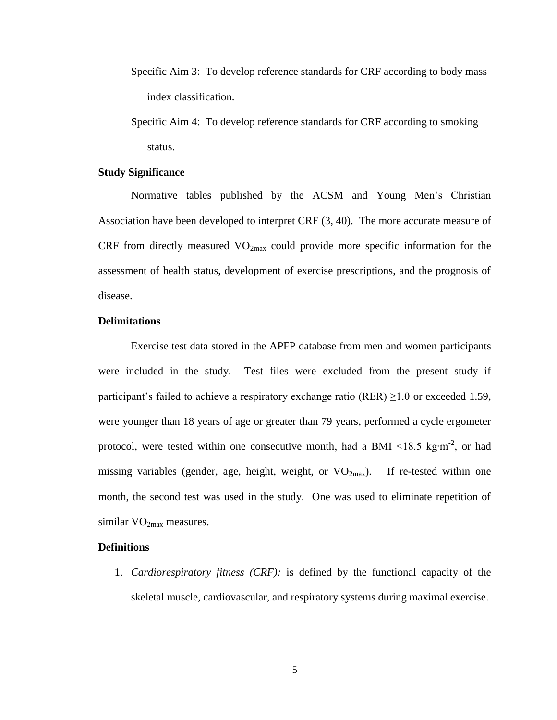- Specific Aim 3: To develop reference standards for CRF according to body mass index classification.
- Specific Aim 4: To develop reference standards for CRF according to smoking status.

### <span id="page-10-0"></span>**Study Significance**

Normative tables published by the ACSM and Young Men's Christian Association have been developed to interpret CRF [\(3,](#page-82-1) [40\)](#page-83-6). The more accurate measure of CRF from directly measured  $VO<sub>2max</sub>$  could provide more specific information for the assessment of health status, development of exercise prescriptions, and the prognosis of disease.

# <span id="page-10-1"></span>**Delimitations**

Exercise test data stored in the APFP database from men and women participants were included in the study. Test files were excluded from the present study if participant's failed to achieve a respiratory exchange ratio (RER)  $\geq$ 1.0 or exceeded 1.59, were younger than 18 years of age or greater than 79 years, performed a cycle ergometer protocol, were tested within one consecutive month, had a BMI <18.5 kg⋅m<sup>-2</sup>, or had missing variables (gender, age, height, weight, or  $VO_{2max}$ ). If re-tested within one month, the second test was used in the study. One was used to eliminate repetition of similar  $VO<sub>2max</sub>$  measures.

### <span id="page-10-2"></span>**Definitions**

1. *Cardiorespiratory fitness (CRF):* is defined by the functional capacity of the skeletal muscle, cardiovascular, and respiratory systems during maximal exercise.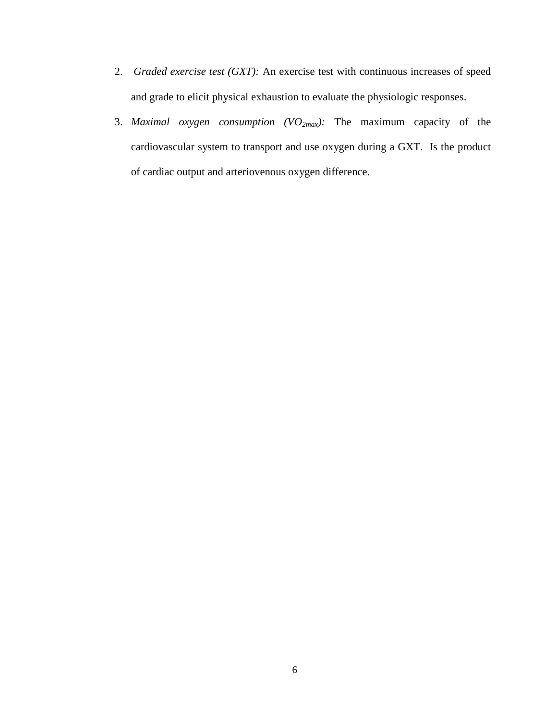- 2. *Graded exercise test (GXT):* An exercise test with continuous increases of speed and grade to elicit physical exhaustion to evaluate the physiologic responses.
- 3. *Maximal oxygen consumption (VO2max):* The maximum capacity of the cardiovascular system to transport and use oxygen during a GXT. Is the product of cardiac output and arteriovenous oxygen difference.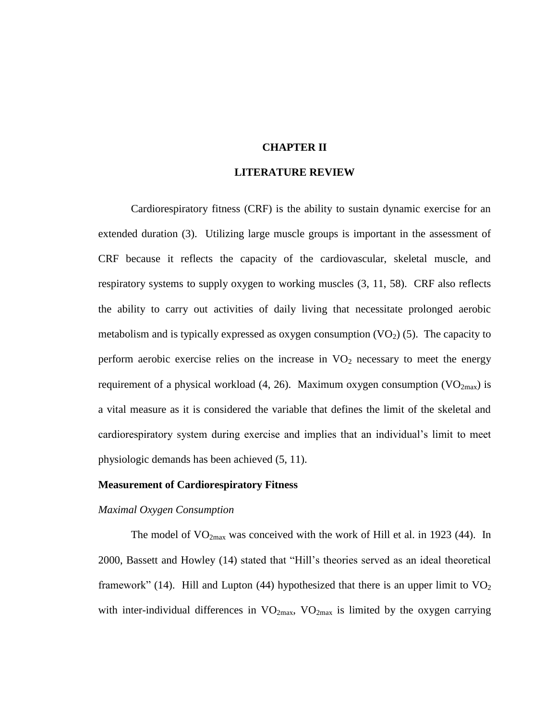### **CHAPTER II**

### **LITERATURE REVIEW**

<span id="page-12-1"></span><span id="page-12-0"></span>Cardiorespiratory fitness (CRF) is the ability to sustain dynamic exercise for an extended duration [\(3\)](#page-82-1). Utilizing large muscle groups is important in the assessment of CRF because it reflects the capacity of the cardiovascular, skeletal muscle, and respiratory systems to supply oxygen to working muscles [\(3,](#page-82-1) [11,](#page-82-2) [58\)](#page-84-6). CRF also reflects the ability to carry out activities of daily living that necessitate prolonged aerobic metabolism and is typically expressed as oxygen consumption  $(VO_2)$  [\(5\)](#page-82-4). The capacity to perform aerobic exercise relies on the increase in  $VO<sub>2</sub>$  necessary to meet the energy requirement of a physical workload [\(4,](#page-82-8) [26\)](#page-82-9). Maximum oxygen consumption ( $VO_{2max}$ ) is a vital measure as it is considered the variable that defines the limit of the skeletal and cardiorespiratory system during exercise and implies that an individual's limit to meet physiologic demands has been achieved [\(5,](#page-82-4) [11\)](#page-82-2).

#### <span id="page-12-2"></span>**Measurement of Cardiorespiratory Fitness**

#### *Maximal Oxygen Consumption*

The model of  $VO_{2max}$  was conceived with the work of Hill et al. in 1923 [\(44\)](#page-83-7). In 2000, Bassett and Howley [\(14\)](#page-82-3) stated that "Hill's theories served as an ideal theoretical framework" [\(14\)](#page-82-3). Hill and Lupton [\(44\)](#page-83-7) hypothesized that there is an upper limit to  $VO<sub>2</sub>$ with inter-individual differences in  $VO_{2max}$ ,  $VO_{2max}$  is limited by the oxygen carrying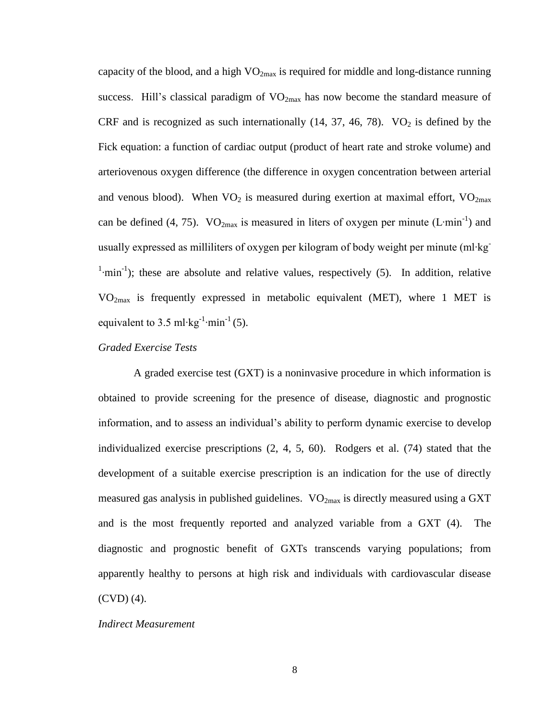capacity of the blood, and a high  $VO_{2max}$  is required for middle and long-distance running success. Hill's classical paradigm of  $VO<sub>2max</sub>$  has now become the standard measure of CRF and is recognized as such internationally  $(14, 37, 46, 78)$  $(14, 37, 46, 78)$  $(14, 37, 46, 78)$  $(14, 37, 46, 78)$ . VO<sub>2</sub> is defined by the Fick equation: a function of cardiac output (product of heart rate and stroke volume) and arteriovenous oxygen difference (the difference in oxygen concentration between arterial and venous blood). When  $VO<sub>2</sub>$  is measured during exertion at maximal effort,  $VO<sub>2max</sub>$ can be defined [\(4,](#page-82-8) [75\)](#page-84-1). VO<sub>2max</sub> is measured in liters of oxygen per minute (L⋅min<sup>-1</sup>) and usually expressed as milliliters of oxygen per kilogram of body weight per minute (ml∙kg- $\binom{1}{1}$ ; these are absolute and relative values, respectively [\(5\)](#page-82-4). In addition, relative VO2max is frequently expressed in metabolic equivalent (MET), where 1 MET is equivalent to 3.5 ml⋅kg<sup>-1</sup>⋅min<sup>-1</sup> [\(5\)](#page-82-4).

### *Graded Exercise Tests*

A graded exercise test (GXT) is a noninvasive procedure in which information is obtained to provide screening for the presence of disease, diagnostic and prognostic information, and to assess an individual's ability to perform dynamic exercise to develop individualized exercise prescriptions [\(2,](#page-82-10) [4,](#page-82-8) [5,](#page-82-4) [60\)](#page-84-0). Rodgers et al. [\(74\)](#page-84-8) stated that the development of a suitable exercise prescription is an indication for the use of directly measured gas analysis in published guidelines.  $VO_{2max}$  is directly measured using a GXT and is the most frequently reported and analyzed variable from a GXT [\(4\)](#page-82-8). The diagnostic and prognostic benefit of GXTs transcends varying populations; from apparently healthy to persons at high risk and individuals with cardiovascular disease (CVD) [\(4\)](#page-82-8).

#### *Indirect Measurement*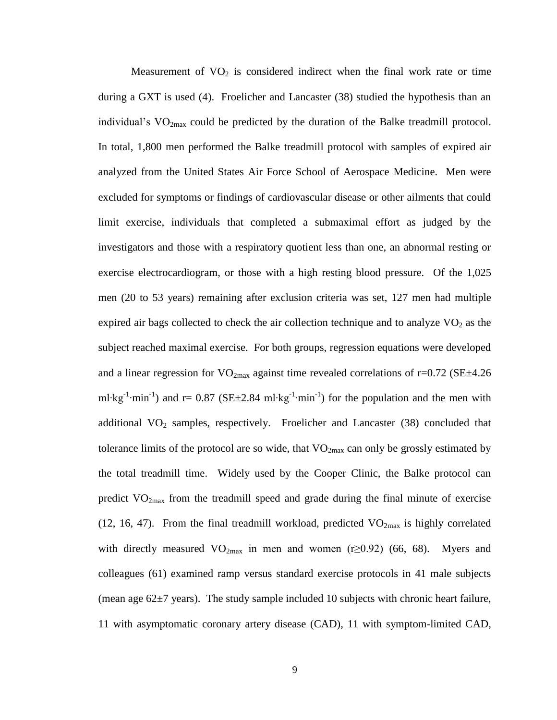Measurement of  $VO<sub>2</sub>$  is considered indirect when the final work rate or time during a GXT is used [\(4\)](#page-82-8). Froelicher and Lancaster [\(38\)](#page-83-5) studied the hypothesis than an individual's  $VO<sub>2max</sub>$  could be predicted by the duration of the Balke treadmill protocol. In total, 1,800 men performed the Balke treadmill protocol with samples of expired air analyzed from the United States Air Force School of Aerospace Medicine. Men were excluded for symptoms or findings of cardiovascular disease or other ailments that could limit exercise, individuals that completed a submaximal effort as judged by the investigators and those with a respiratory quotient less than one, an abnormal resting or exercise electrocardiogram, or those with a high resting blood pressure. Of the 1,025 men (20 to 53 years) remaining after exclusion criteria was set, 127 men had multiple expired air bags collected to check the air collection technique and to analyze  $VO<sub>2</sub>$  as the subject reached maximal exercise. For both groups, regression equations were developed and a linear regression for  $VO_{2max}$  against time revealed correlations of r=0.72 (SE $\pm$ 4.26 ml⋅kg<sup>-1</sup>⋅min<sup>-1</sup>) and r= 0.87 (SE±2.84 ml⋅kg<sup>-1</sup>⋅min<sup>-1</sup>) for the population and the men with additional  $VO<sub>2</sub>$  samples, respectively. Froelicher and Lancaster [\(38\)](#page-83-5) concluded that tolerance limits of the protocol are so wide, that  $VO_{2max}$  can only be grossly estimated by the total treadmill time. Widely used by the Cooper Clinic, the Balke protocol can predict  $VO<sub>2max</sub>$  from the treadmill speed and grade during the final minute of exercise [\(12,](#page-82-11) [16,](#page-82-5) [47\)](#page-83-4). From the final treadmill workload, predicted  $VO_{2max}$  is highly correlated with directly measured  $VO_{2max}$  in men and women (r≥0.92) [\(66,](#page-84-9) [68\)](#page-84-4). Myers and colleagues [\(61\)](#page-84-10) examined ramp versus standard exercise protocols in 41 male subjects (mean age  $62\pm7$  years). The study sample included 10 subjects with chronic heart failure, 11 with asymptomatic coronary artery disease (CAD), 11 with symptom-limited CAD,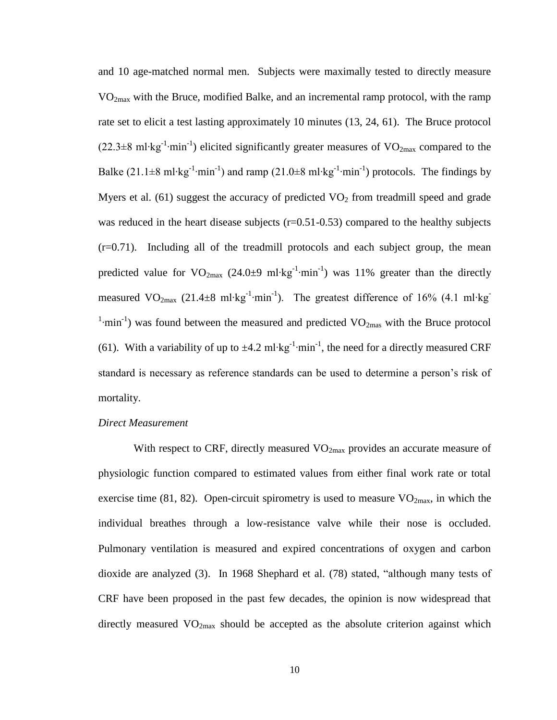and 10 age-matched normal men. Subjects were maximally tested to directly measure  $VO<sub>2max</sub>$  with the Bruce, modified Balke, and an incremental ramp protocol, with the ramp rate set to elicit a test lasting approximately 10 minutes [\(13,](#page-82-7) [24,](#page-82-12) [61\)](#page-84-10). The Bruce protocol (22.3±8 ml⋅kg<sup>-1</sup>⋅min<sup>-1</sup>) elicited significantly greater measures of VO<sub>2max</sub> compared to the Balke (21.1±8 ml⋅kg<sup>-1</sup>⋅min<sup>-1</sup>) and ramp (21.0±8 ml⋅kg<sup>-1</sup>⋅min<sup>-1</sup>) protocols. The findings by Myers et al.  $(61)$  suggest the accuracy of predicted  $VO<sub>2</sub>$  from treadmill speed and grade was reduced in the heart disease subjects  $(r=0.51-0.53)$  compared to the healthy subjects (r=0.71). Including all of the treadmill protocols and each subject group, the mean predicted value for VO<sub>2max</sub> (24.0±9 ml⋅kg<sup>-1</sup>⋅min<sup>-1</sup>) was 11% greater than the directly measured VO<sub>2max</sub> (21.4±8 ml⋅kg<sup>-1</sup>⋅min<sup>-1</sup>). The greatest difference of 16% (4.1 ml⋅kg<sup>-1</sup>  $\textsuperscript{1}$ -min<sup>-1</sup>) was found between the measured and predicted VO<sub>2mas</sub> with the Bruce protocol [\(61\)](#page-84-10). With a variability of up to  $\pm$ 4.2 ml⋅kg<sup>-1</sup>⋅min<sup>-1</sup>, the need for a directly measured CRF standard is necessary as reference standards can be used to determine a person's risk of mortality.

#### *Direct Measurement*

With respect to CRF, directly measured  $VO_{2max}$  provides an accurate measure of physiologic function compared to estimated values from either final work rate or total exercise time [\(81,](#page-85-0) [82\)](#page-85-1). Open-circuit spirometry is used to measure  $VO<sub>2max</sub>$ , in which the individual breathes through a low-resistance valve while their nose is occluded. Pulmonary ventilation is measured and expired concentrations of oxygen and carbon dioxide are analyzed [\(3\)](#page-82-1). In 1968 Shephard et al. [\(78\)](#page-84-7) stated, "although many tests of CRF have been proposed in the past few decades, the opinion is now widespread that directly measured  $VO<sub>2max</sub>$  should be accepted as the absolute criterion against which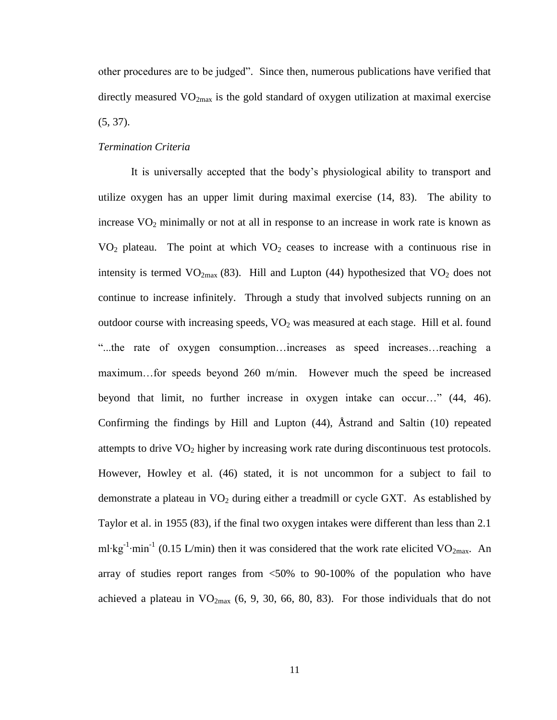other procedures are to be judged". Since then, numerous publications have verified that directly measured  $VO_{2max}$  is the gold standard of oxygen utilization at maximal exercise  $(5, 37)$  $(5, 37)$ .

### *Termination Criteria*

It is universally accepted that the body's physiological ability to transport and utilize oxygen has an upper limit during maximal exercise [\(14,](#page-82-3) [83\)](#page-85-2). The ability to increase  $VO<sub>2</sub>$  minimally or not at all in response to an increase in work rate is known as  $VO<sub>2</sub>$  plateau. The point at which  $VO<sub>2</sub>$  ceases to increase with a continuous rise in intensity is termed  $VO_{2max}$  [\(83\)](#page-85-2). Hill and Lupton [\(44\)](#page-83-7) hypothesized that  $VO_2$  does not continue to increase infinitely. Through a study that involved subjects running on an outdoor course with increasing speeds,  $VO<sub>2</sub>$  was measured at each stage. Hill et al. found "...the rate of oxygen consumption…increases as speed increases…reaching a maximum…for speeds beyond 260 m/min. However much the speed be increased beyond that limit, no further increase in oxygen intake can occur…" [\(44,](#page-83-7) [46\)](#page-83-1). Confirming the findings by Hill and Lupton [\(44\)](#page-83-7), Åstrand and Saltin [\(10\)](#page-82-13) repeated attempts to drive VO<sub>2</sub> higher by increasing work rate during discontinuous test protocols. However, Howley et al. [\(46\)](#page-83-1) stated, it is not uncommon for a subject to fail to demonstrate a plateau in  $VO<sub>2</sub>$  during either a treadmill or cycle GXT. As established by Taylor et al. in 1955 [\(83\)](#page-85-2), if the final two oxygen intakes were different than less than 2.1 ml⋅kg<sup>-1</sup>⋅min<sup>-1</sup> (0.15 L/min) then it was considered that the work rate elicited VO<sub>2max</sub>. An array of studies report ranges from  $\langle 50\%$  to 90-100% of the population who have achieved a plateau in  $VO_{2max}$  [\(6,](#page-82-14) [9,](#page-82-15) [30,](#page-83-9) [66,](#page-84-9) [80,](#page-85-3) [83\)](#page-85-2). For those individuals that do not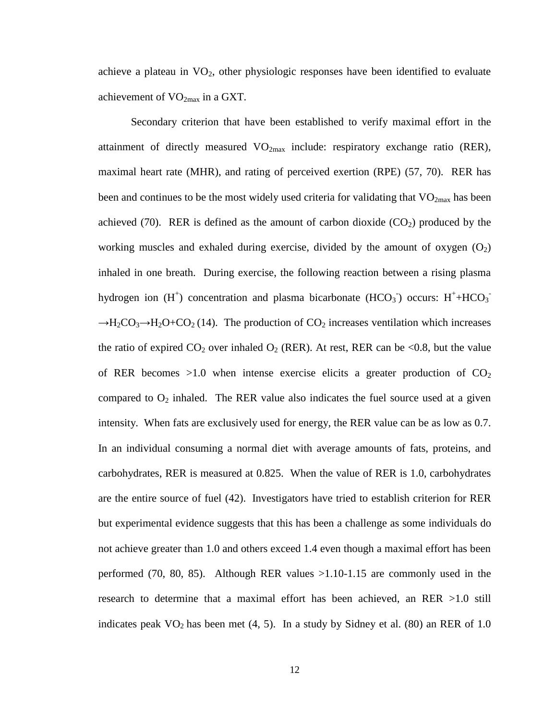achieve a plateau in  $VO<sub>2</sub>$ , other physiologic responses have been identified to evaluate achievement of  $VO_{2max}$  in a GXT.

Secondary criterion that have been established to verify maximal effort in the attainment of directly measured  $VO<sub>2max</sub>$  include: respiratory exchange ratio (RER), maximal heart rate (MHR), and rating of perceived exertion (RPE) [\(57,](#page-84-11) [70\)](#page-84-12). RER has been and continues to be the most widely used criteria for validating that  $VO<sub>2max</sub>$  has been achieved [\(70\)](#page-84-12). RER is defined as the amount of carbon dioxide  $(CO<sub>2</sub>)$  produced by the working muscles and exhaled during exercise, divided by the amount of oxygen  $(O_2)$ inhaled in one breath. During exercise, the following reaction between a rising plasma hydrogen ion  $(H^+)$  concentration and plasma bicarbonate  $(HCO_3^-)$  occurs:  $H^+$ +HCO<sub>3</sub>  $\rightarrow$ H<sub>2</sub>CO<sub>3</sub> $\rightarrow$ H<sub>2</sub>O+CO<sub>2</sub> [\(14\)](#page-82-3). The production of CO<sub>2</sub> increases ventilation which increases the ratio of expired  $CO_2$  over inhaled  $O_2$  (RER). At rest, RER can be <0.8, but the value of RER becomes  $>1.0$  when intense exercise elicits a greater production of  $CO<sub>2</sub>$ compared to  $O_2$  inhaled. The RER value also indicates the fuel source used at a given intensity. When fats are exclusively used for energy, the RER value can be as low as 0.7. In an individual consuming a normal diet with average amounts of fats, proteins, and carbohydrates, RER is measured at 0.825. When the value of RER is 1.0, carbohydrates are the entire source of fuel [\(42\)](#page-83-10). Investigators have tried to establish criterion for RER but experimental evidence suggests that this has been a challenge as some individuals do not achieve greater than 1.0 and others exceed 1.4 even though a maximal effort has been performed [\(70,](#page-84-12) [80,](#page-85-3) [85\)](#page-85-4). Although RER values >1.10-1.15 are commonly used in the research to determine that a maximal effort has been achieved, an RER >1.0 still indicates peak  $VO<sub>2</sub>$  has been met [\(4,](#page-82-8) [5\)](#page-82-4). In a study by Sidney et al. [\(80\)](#page-85-3) an RER of 1.0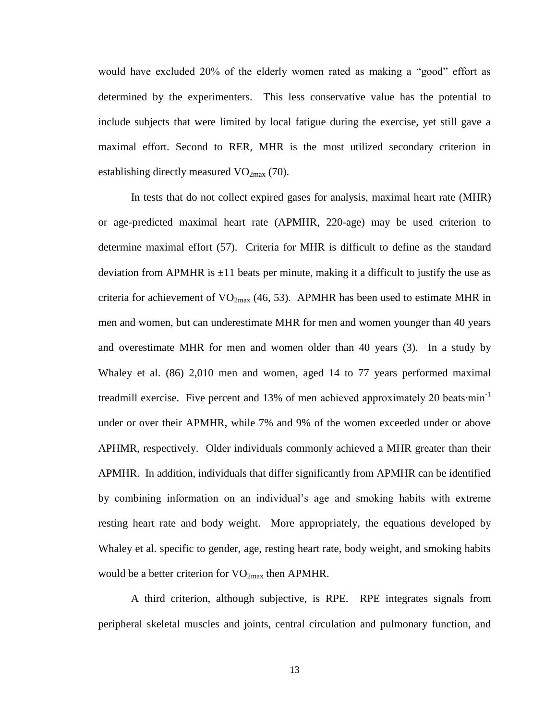would have excluded 20% of the elderly women rated as making a "good" effort as determined by the experimenters. This less conservative value has the potential to include subjects that were limited by local fatigue during the exercise, yet still gave a maximal effort. Second to RER, MHR is the most utilized secondary criterion in establishing directly measured  $VO_{2max}$  [\(70\)](#page-84-12).

In tests that do not collect expired gases for analysis, maximal heart rate (MHR) or age-predicted maximal heart rate (APMHR, 220-age) may be used criterion to determine maximal effort [\(57\)](#page-84-11). Criteria for MHR is difficult to define as the standard deviation from APMHR is  $\pm 11$  beats per minute, making it a difficult to justify the use as criteria for achievement of  $VO_{2max}$  [\(46,](#page-83-1) [53\)](#page-83-11). APMHR has been used to estimate MHR in men and women, but can underestimate MHR for men and women younger than 40 years and overestimate MHR for men and women older than 40 years [\(3\)](#page-82-1). In a study by Whaley et al. [\(86\)](#page-85-5) 2,010 men and women, aged 14 to 77 years performed maximal treadmill exercise. Five percent and 13% of men achieved approximately 20 beats∙min<sup>-1</sup> under or over their APMHR, while 7% and 9% of the women exceeded under or above APHMR, respectively. Older individuals commonly achieved a MHR greater than their APMHR. In addition, individuals that differ significantly from APMHR can be identified by combining information on an individual's age and smoking habits with extreme resting heart rate and body weight. More appropriately, the equations developed by Whaley et al. specific to gender, age, resting heart rate, body weight, and smoking habits would be a better criterion for  $VO_{2max}$  then APMHR.

A third criterion, although subjective, is RPE. RPE integrates signals from peripheral skeletal muscles and joints, central circulation and pulmonary function, and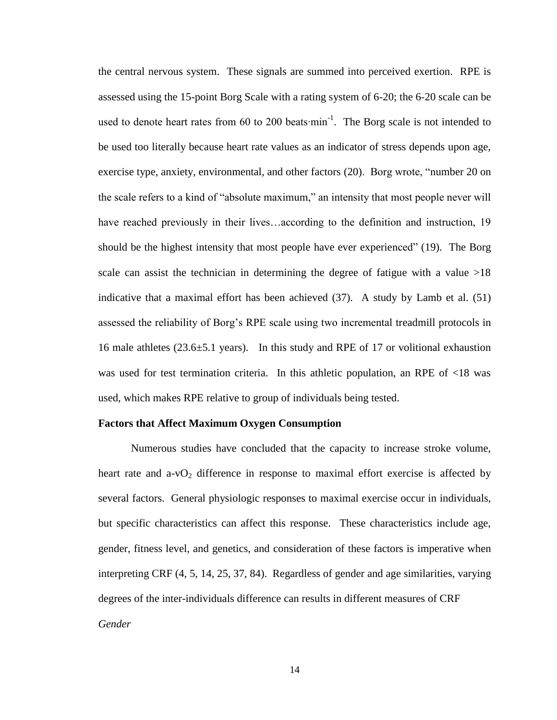the central nervous system. These signals are summed into perceived exertion. RPE is assessed using the 15-point Borg Scale with a rating system of 6-20; the 6-20 scale can be used to denote heart rates from 60 to 200 beats $\cdot$ min<sup>-1</sup>. The Borg scale is not intended to be used too literally because heart rate values as an indicator of stress depends upon age, exercise type, anxiety, environmental, and other factors [\(20\)](#page-82-16). Borg wrote, "number 20 on the scale refers to a kind of "absolute maximum," an intensity that most people never will have reached previously in their lives...according to the definition and instruction, 19 should be the highest intensity that most people have ever experienced" [\(19\)](#page-82-17). The Borg scale can assist the technician in determining the degree of fatigue with a value  $>18$ indicative that a maximal effort has been achieved [\(37\)](#page-83-8). A study by Lamb et al. [\(51\)](#page-83-12) assessed the reliability of Borg's RPE scale using two incremental treadmill protocols in 16 male athletes  $(23.6\pm5.1 \text{ years})$ . In this study and RPE of 17 or volitional exhaustion was used for test termination criteria. In this athletic population, an RPE of <18 was used, which makes RPE relative to group of individuals being tested.

#### **Factors that Affect Maximum Oxygen Consumption**

Numerous studies have concluded that the capacity to increase stroke volume, heart rate and  $a-vO_2$  difference in response to maximal effort exercise is affected by several factors. General physiologic responses to maximal exercise occur in individuals, but specific characteristics can affect this response. These characteristics include age, gender, fitness level, and genetics, and consideration of these factors is imperative when interpreting CRF [\(4,](#page-82-8) [5,](#page-82-4) [14,](#page-82-3) [25,](#page-82-18) [37,](#page-83-8) [84\)](#page-85-6). Regardless of gender and age similarities, varying degrees of the inter-individuals difference can results in different measures of CRF *Gender*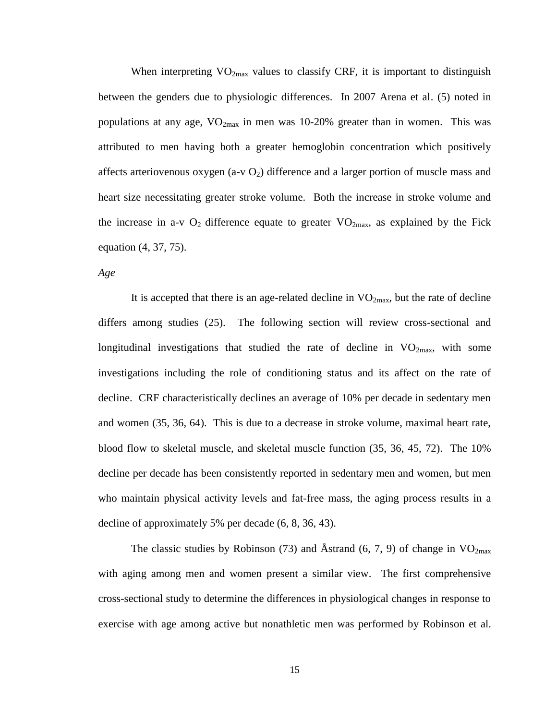When interpreting  $VO_{2max}$  values to classify CRF, it is important to distinguish between the genders due to physiologic differences. In 2007 Arena et al. [\(5\)](#page-82-4) noted in populations at any age,  $VO_{2max}$  in men was 10-20% greater than in women. This was attributed to men having both a greater hemoglobin concentration which positively affects arteriovenous oxygen (a-v  $O_2$ ) difference and a larger portion of muscle mass and heart size necessitating greater stroke volume. Both the increase in stroke volume and the increase in a-v  $O_2$  difference equate to greater  $VO_{2max}$ , as explained by the Fick equation [\(4,](#page-82-8) [37,](#page-83-8) [75\)](#page-84-1).

*Age*

It is accepted that there is an age-related decline in  $VO<sub>2max</sub>$ , but the rate of decline differs among studies [\(25\)](#page-82-18). The following section will review cross-sectional and longitudinal investigations that studied the rate of decline in  $VO<sub>2max</sub>$ , with some investigations including the role of conditioning status and its affect on the rate of decline. CRF characteristically declines an average of 10% per decade in sedentary men and women [\(35,](#page-83-13) [36,](#page-83-3) [64\)](#page-84-3). This is due to a decrease in stroke volume, maximal heart rate, blood flow to skeletal muscle, and skeletal muscle function [\(35,](#page-83-13) [36,](#page-83-3) [45,](#page-83-14) [72\)](#page-84-13). The 10% decline per decade has been consistently reported in sedentary men and women, but men who maintain physical activity levels and fat-free mass, the aging process results in a decline of approximately 5% per decade [\(6,](#page-82-14) [8,](#page-82-6) [36,](#page-83-3) [43\)](#page-83-0).

The classic studies by Robinson [\(73\)](#page-84-14) and Åstrand [\(6,](#page-82-14) [7,](#page-82-19) [9\)](#page-82-15) of change in  $VO_{2max}$ with aging among men and women present a similar view. The first comprehensive cross-sectional study to determine the differences in physiological changes in response to exercise with age among active but nonathletic men was performed by Robinson et al.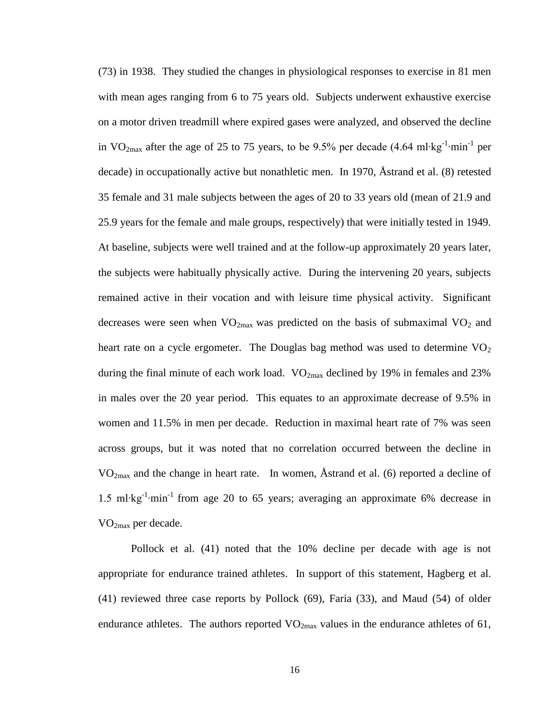[\(73\)](#page-84-14) in 1938. They studied the changes in physiological responses to exercise in 81 men with mean ages ranging from 6 to 75 years old. Subjects underwent exhaustive exercise on a motor driven treadmill where expired gases were analyzed, and observed the decline in VO<sub>2max</sub> after the age of 25 to 75 years, to be 9.5% per decade (4.64 ml⋅kg<sup>-1</sup>⋅min<sup>-1</sup> per decade) in occupationally active but nonathletic men. In 1970, Åstrand et al. [\(8\)](#page-82-6) retested 35 female and 31 male subjects between the ages of 20 to 33 years old (mean of 21.9 and 25.9 years for the female and male groups, respectively) that were initially tested in 1949. At baseline, subjects were well trained and at the follow-up approximately 20 years later, the subjects were habitually physically active. During the intervening 20 years, subjects remained active in their vocation and with leisure time physical activity. Significant decreases were seen when  $VO_{2max}$  was predicted on the basis of submaximal  $VO_2$  and heart rate on a cycle ergometer. The Douglas bag method was used to determine  $VO<sub>2</sub>$ during the final minute of each work load.  $VO_{2max}$  declined by 19% in females and 23% in males over the 20 year period. This equates to an approximate decrease of 9.5% in women and 11.5% in men per decade. Reduction in maximal heart rate of 7% was seen across groups, but it was noted that no correlation occurred between the decline in  $VO<sub>2max</sub>$  and the change in heart rate. In women, Åstrand et al. [\(6\)](#page-82-14) reported a decline of 1.5 ml∙kg-1 ∙min-1 from age 20 to 65 years; averaging an approximate 6% decrease in VO2max per decade.

Pollock et al. [\(41\)](#page-83-15) noted that the 10% decline per decade with age is not appropriate for endurance trained athletes. In support of this statement, Hagberg et al. [\(41\)](#page-83-15) reviewed three case reports by Pollock [\(69\)](#page-84-15), Faria [\(33\)](#page-83-16), and Maud [\(54\)](#page-84-16) of older endurance athletes. The authors reported  $VO_{2max}$  values in the endurance athletes of 61,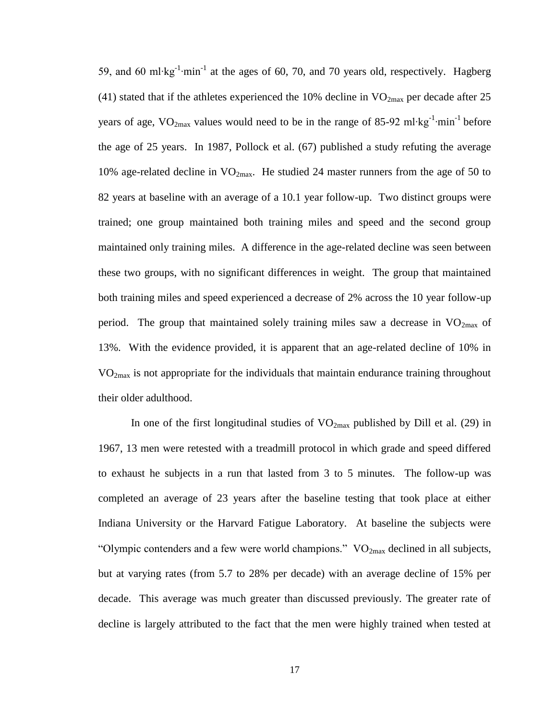59, and 60 ml⋅kg<sup>-1</sup>⋅min<sup>-1</sup> at the ages of 60, 70, and 70 years old, respectively. Hagberg [\(41\)](#page-83-15) stated that if the athletes experienced the 10% decline in  $VO_{2max}$  per decade after 25 years of age, VO<sub>2max</sub> values would need to be in the range of 85-92 ml⋅kg<sup>-1</sup>⋅min<sup>-1</sup> before the age of 25 years. In 1987, Pollock et al. [\(67\)](#page-84-17) published a study refuting the average 10% age-related decline in  $VO<sub>2max</sub>$ . He studied 24 master runners from the age of 50 to 82 years at baseline with an average of a 10.1 year follow-up. Two distinct groups were trained; one group maintained both training miles and speed and the second group maintained only training miles. A difference in the age-related decline was seen between these two groups, with no significant differences in weight. The group that maintained both training miles and speed experienced a decrease of 2% across the 10 year follow-up period. The group that maintained solely training miles saw a decrease in  $VO_{2max}$  of 13%. With the evidence provided, it is apparent that an age-related decline of 10% in VO2max is not appropriate for the individuals that maintain endurance training throughout their older adulthood.

In one of the first longitudinal studies of  $VO_{2max}$  published by Dill et al. [\(29\)](#page-83-17) in 1967, 13 men were retested with a treadmill protocol in which grade and speed differed to exhaust he subjects in a run that lasted from 3 to 5 minutes. The follow-up was completed an average of 23 years after the baseline testing that took place at either Indiana University or the Harvard Fatigue Laboratory. At baseline the subjects were "Olympic contenders and a few were world champions."  $VO_{2max}$  declined in all subjects, but at varying rates (from 5.7 to 28% per decade) with an average decline of 15% per decade. This average was much greater than discussed previously. The greater rate of decline is largely attributed to the fact that the men were highly trained when tested at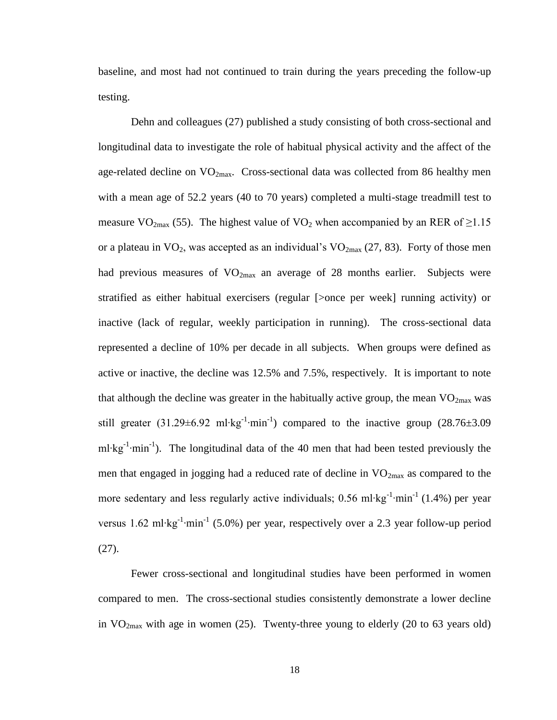baseline, and most had not continued to train during the years preceding the follow-up testing.

Dehn and colleagues [\(27\)](#page-83-2) published a study consisting of both cross-sectional and longitudinal data to investigate the role of habitual physical activity and the affect of the age-related decline on  $VO_{2max}$ . Cross-sectional data was collected from 86 healthy men with a mean age of 52.2 years (40 to 70 years) completed a multi-stage treadmill test to measure VO<sub>2max</sub> [\(55\)](#page-84-18). The highest value of VO<sub>2</sub> when accompanied by an RER of  $\geq$ 1.15 or a plateau in  $VO_2$ , was accepted as an individual's  $VO_{2max}$  [\(27,](#page-83-2) [83\)](#page-85-2). Forty of those men had previous measures of  $VO<sub>2max</sub>$  an average of 28 months earlier. Subjects were stratified as either habitual exercisers (regular [>once per week] running activity) or inactive (lack of regular, weekly participation in running). The cross-sectional data represented a decline of 10% per decade in all subjects. When groups were defined as active or inactive, the decline was 12.5% and 7.5%, respectively. It is important to note that although the decline was greater in the habitually active group, the mean  $VO_{2max}$  was still greater (31.29±6.92 ml⋅kg<sup>-1</sup>⋅min<sup>-1</sup>) compared to the inactive group (28.76±3.09 ml⋅kg<sup>-1</sup>⋅min<sup>-1</sup>). The longitudinal data of the 40 men that had been tested previously the men that engaged in jogging had a reduced rate of decline in  $VO_{2max}$  as compared to the more sedentary and less regularly active individuals; 0.56 ml⋅kg<sup>-1</sup>⋅min<sup>-1</sup> (1.4%) per year versus 1.62 ml⋅kg<sup>-1</sup>⋅min<sup>-1</sup> (5.0%) per year, respectively over a 2.3 year follow-up period [\(27\)](#page-83-2).

Fewer cross-sectional and longitudinal studies have been performed in women compared to men. The cross-sectional studies consistently demonstrate a lower decline in  $VO<sub>2max</sub>$  with age in women [\(25\)](#page-82-18). Twenty-three young to elderly (20 to 63 years old)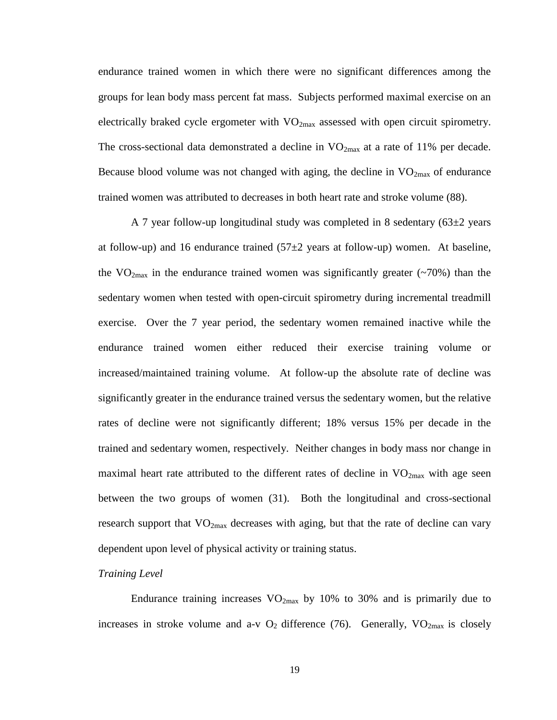endurance trained women in which there were no significant differences among the groups for lean body mass percent fat mass. Subjects performed maximal exercise on an electrically braked cycle ergometer with  $VO_{2max}$  assessed with open circuit spirometry. The cross-sectional data demonstrated a decline in  $VO_{2max}$  at a rate of 11% per decade. Because blood volume was not changed with aging, the decline in  $VO_{2max}$  of endurance trained women was attributed to decreases in both heart rate and stroke volume [\(88\)](#page-85-7).

A 7 year follow-up longitudinal study was completed in 8 sedentary  $(63\pm 2 \text{ years})$ at follow-up) and 16 endurance trained  $(57\pm2)$  years at follow-up) women. At baseline, the  $VO_{2max}$  in the endurance trained women was significantly greater ( $\sim$ 70%) than the sedentary women when tested with open-circuit spirometry during incremental treadmill exercise. Over the 7 year period, the sedentary women remained inactive while the endurance trained women either reduced their exercise training volume or increased/maintained training volume. At follow-up the absolute rate of decline was significantly greater in the endurance trained versus the sedentary women, but the relative rates of decline were not significantly different; 18% versus 15% per decade in the trained and sedentary women, respectively. Neither changes in body mass nor change in maximal heart rate attributed to the different rates of decline in  $VO_{2max}$  with age seen between the two groups of women [\(31\)](#page-83-18). Both the longitudinal and cross-sectional research support that  $VO_{2max}$  decreases with aging, but that the rate of decline can vary dependent upon level of physical activity or training status.

#### *Training Level*

Endurance training increases  $VO<sub>2max</sub>$  by 10% to 30% and is primarily due to increases in stroke volume and a-v  $O_2$  difference [\(76\)](#page-84-19). Generally,  $VO_{2max}$  is closely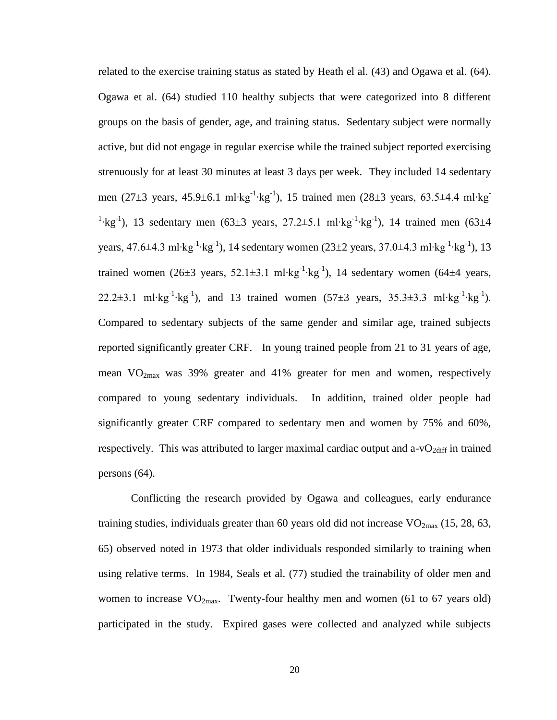related to the exercise training status as stated by Heath el al. [\(43\)](#page-83-0) and Ogawa et al. [\(64\)](#page-84-3). Ogawa et al. [\(64\)](#page-84-3) studied 110 healthy subjects that were categorized into 8 different groups on the basis of gender, age, and training status. Sedentary subject were normally active, but did not engage in regular exercise while the trained subject reported exercising strenuously for at least 30 minutes at least 3 days per week. They included 14 sedentary men (27±3 years, 45.9±6.1 ml∙kg<sup>-1</sup>⋅kg<sup>-1</sup>), 15 trained men (28±3 years, 63.5±4.4 ml⋅kg<sup>-1</sup> <sup>1</sup>⋅kg<sup>-1</sup>), 13 sedentary men (63±3 years, 27.2±5.1 ml⋅kg<sup>-1</sup>⋅kg<sup>-1</sup>), 14 trained men (63±4 years, 47.6±4.3 ml∙kg<sup>-1</sup>⋅kg<sup>-1</sup>), 14 sedentary women (23±2 years, 37.0±4.3 ml⋅kg<sup>-1</sup>⋅kg<sup>-1</sup>), 13 trained women (26±3 years, 52.1±3.1 ml⋅kg<sup>-1</sup>⋅kg<sup>-1</sup>), 14 sedentary women (64±4 years, 22.2±3.1 ml⋅kg<sup>-1</sup>⋅kg<sup>-1</sup>), and 13 trained women  $(57±3 \text{ years}, 35.3±3.3 \text{ ml·kg}^{-1}·\text{kg}^{-1})$ . Compared to sedentary subjects of the same gender and similar age, trained subjects reported significantly greater CRF. In young trained people from 21 to 31 years of age, mean  $VO<sub>2max</sub>$  was 39% greater and 41% greater for men and women, respectively compared to young sedentary individuals. In addition, trained older people had significantly greater CRF compared to sedentary men and women by 75% and 60%, respectively. This was attributed to larger maximal cardiac output and a- $vO_{2diff}$  in trained persons [\(64\)](#page-84-3).

Conflicting the research provided by Ogawa and colleagues, early endurance training studies, individuals greater than 60 years old did not increase  $VO_{2max}$  [\(15,](#page-82-20) [28,](#page-83-19) [63,](#page-84-20) [65\)](#page-84-21) observed noted in 1973 that older individuals responded similarly to training when using relative terms. In 1984, Seals et al. [\(77\)](#page-84-22) studied the trainability of older men and women to increase  $VO_{2max}$ . Twenty-four healthy men and women (61 to 67 years old) participated in the study. Expired gases were collected and analyzed while subjects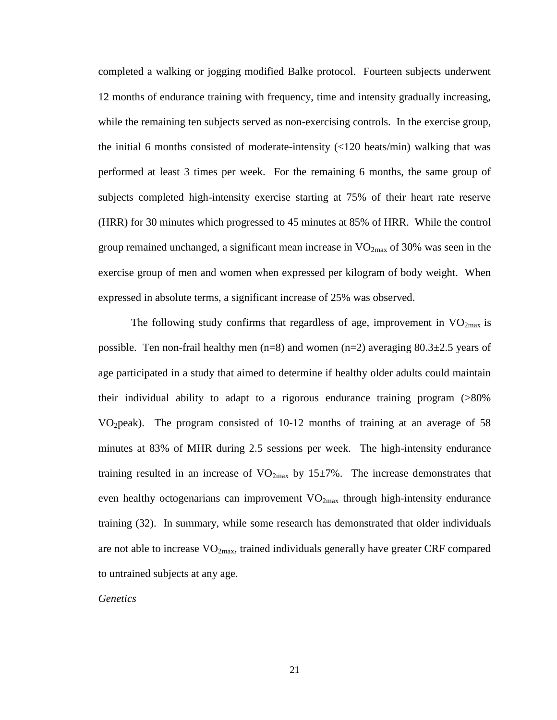completed a walking or jogging modified Balke protocol. Fourteen subjects underwent 12 months of endurance training with frequency, time and intensity gradually increasing, while the remaining ten subjects served as non-exercising controls. In the exercise group, the initial 6 months consisted of moderate-intensity  $\left($  <120 beats/min) walking that was performed at least 3 times per week. For the remaining 6 months, the same group of subjects completed high-intensity exercise starting at 75% of their heart rate reserve (HRR) for 30 minutes which progressed to 45 minutes at 85% of HRR. While the control group remained unchanged, a significant mean increase in  $VO_{2max}$  of 30% was seen in the exercise group of men and women when expressed per kilogram of body weight. When expressed in absolute terms, a significant increase of 25% was observed.

The following study confirms that regardless of age, improvement in  $VO<sub>2max</sub>$  is possible. Ten non-frail healthy men  $(n=8)$  and women  $(n=2)$  averaging  $80.3\pm2.5$  years of age participated in a study that aimed to determine if healthy older adults could maintain their individual ability to adapt to a rigorous endurance training program (>80% VO2peak). The program consisted of 10-12 months of training at an average of 58 minutes at 83% of MHR during 2.5 sessions per week. The high-intensity endurance training resulted in an increase of  $VO_{2max}$  by 15 $\pm$ 7%. The increase demonstrates that even healthy octogenarians can improvement  $VO_{2max}$  through high-intensity endurance training [\(32\)](#page-83-20). In summary, while some research has demonstrated that older individuals are not able to increase  $VO<sub>2max</sub>$ , trained individuals generally have greater CRF compared to untrained subjects at any age.

#### *Genetics*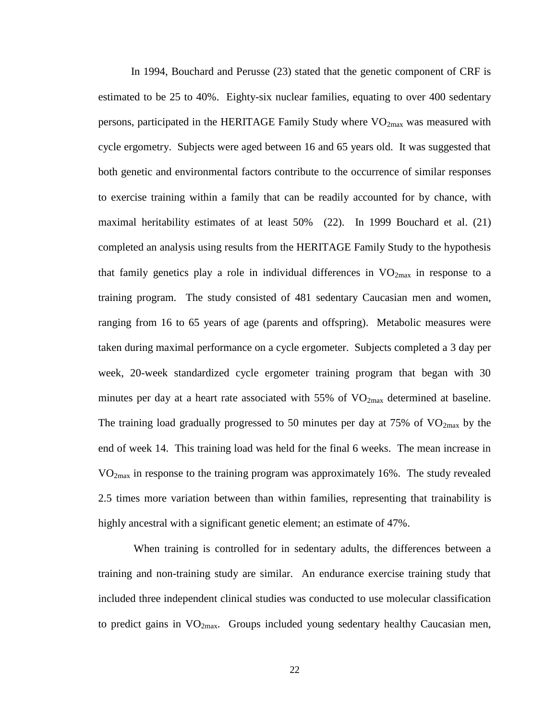In 1994, Bouchard and Perusse [\(23\)](#page-82-21) stated that the genetic component of CRF is estimated to be 25 to 40%. Eighty-six nuclear families, equating to over 400 sedentary persons, participated in the HERITAGE Family Study where  $VO<sub>2max</sub>$  was measured with cycle ergometry. Subjects were aged between 16 and 65 years old. It was suggested that both genetic and environmental factors contribute to the occurrence of similar responses to exercise training within a family that can be readily accounted for by chance, with maximal heritability estimates of at least 50% [\(22\)](#page-82-22). In 1999 Bouchard et al. [\(21\)](#page-82-23) completed an analysis using results from the HERITAGE Family Study to the hypothesis that family genetics play a role in individual differences in  $VO_{2max}$  in response to a training program. The study consisted of 481 sedentary Caucasian men and women, ranging from 16 to 65 years of age (parents and offspring). Metabolic measures were taken during maximal performance on a cycle ergometer. Subjects completed a 3 day per week, 20-week standardized cycle ergometer training program that began with 30 minutes per day at a heart rate associated with  $55\%$  of  $VO<sub>2max</sub>$  determined at baseline. The training load gradually progressed to 50 minutes per day at 75% of  $VO_{2max}$  by the end of week 14. This training load was held for the final 6 weeks. The mean increase in VO2max in response to the training program was approximately 16%. The study revealed 2.5 times more variation between than within families, representing that trainability is highly ancestral with a significant genetic element; an estimate of 47%.

When training is controlled for in sedentary adults, the differences between a training and non-training study are similar. An endurance exercise training study that included three independent clinical studies was conducted to use molecular classification to predict gains in  $VO<sub>2max</sub>$ . Groups included young sedentary healthy Caucasian men,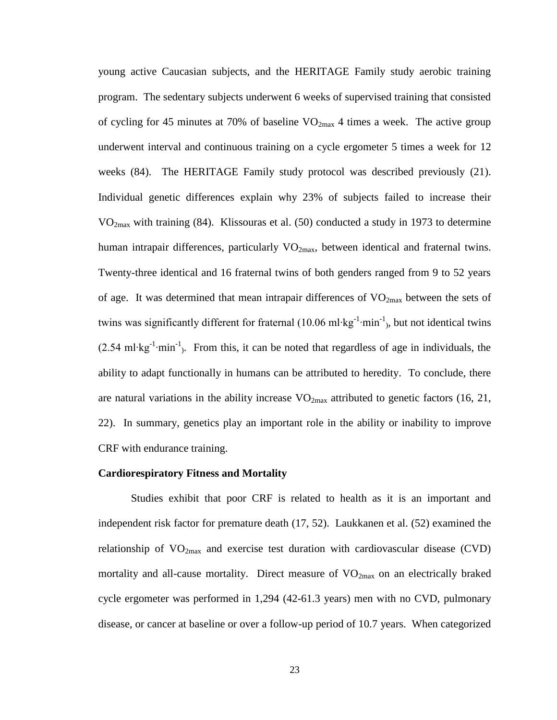young active Caucasian subjects, and the HERITAGE Family study aerobic training program. The sedentary subjects underwent 6 weeks of supervised training that consisted of cycling for 45 minutes at 70% of baseline  $VO_{2max}$  4 times a week. The active group underwent interval and continuous training on a cycle ergometer 5 times a week for 12 weeks [\(84\)](#page-85-6). The HERITAGE Family study protocol was described previously [\(21\)](#page-82-23). Individual genetic differences explain why 23% of subjects failed to increase their VO2max with training [\(84\)](#page-85-6). Klissouras et al. [\(50\)](#page-83-21) conducted a study in 1973 to determine human intrapair differences, particularly  $VO_{2max}$ , between identical and fraternal twins. Twenty-three identical and 16 fraternal twins of both genders ranged from 9 to 52 years of age. It was determined that mean intrapair differences of  $VO<sub>2max</sub>$  between the sets of twins was significantly different for fraternal (10.06 ml⋅kg<sup>-1</sup>⋅min<sup>-1</sup>), but not identical twins  $(2.54 \text{ ml·kg}^{-1} \cdot \text{min}^{-1})$ . From this, it can be noted that regardless of age in individuals, the ability to adapt functionally in humans can be attributed to heredity. To conclude, there are natural variations in the ability increase  $VO_{2max}$  attributed to genetic factors [\(16,](#page-82-5) [21,](#page-82-23) [22\)](#page-82-22). In summary, genetics play an important role in the ability or inability to improve CRF with endurance training.

#### <span id="page-28-0"></span>**Cardiorespiratory Fitness and Mortality**

Studies exhibit that poor CRF is related to health as it is an important and independent risk factor for premature death [\(17,](#page-82-24) [52\)](#page-83-22). Laukkanen et al. [\(52\)](#page-83-22) examined the relationship of  $VO_{2max}$  and exercise test duration with cardiovascular disease (CVD) mortality and all-cause mortality. Direct measure of  $VO<sub>2max</sub>$  on an electrically braked cycle ergometer was performed in 1,294 (42-61.3 years) men with no CVD, pulmonary disease, or cancer at baseline or over a follow-up period of 10.7 years. When categorized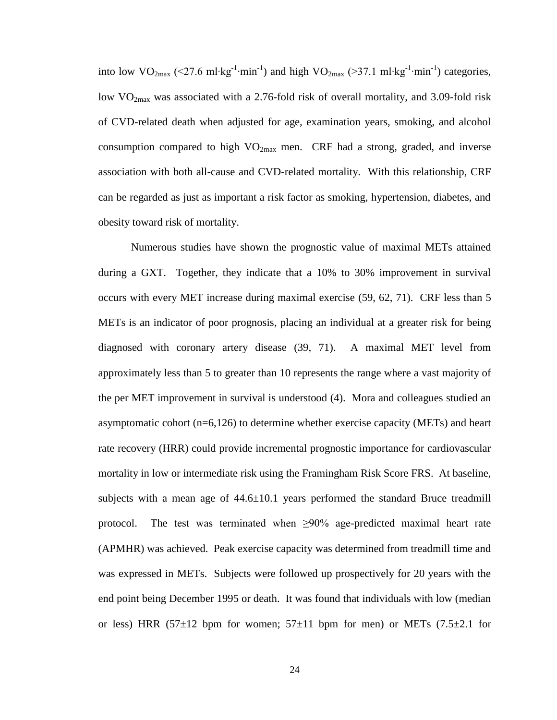into low VO<sub>2max</sub> (<27.6 ml⋅kg<sup>-1</sup>⋅min<sup>-1</sup>) and high VO<sub>2max</sub> (>37.1 ml⋅kg<sup>-1</sup>⋅min<sup>-1</sup>) categories, low  $VO<sub>2max</sub>$  was associated with a 2.76-fold risk of overall mortality, and 3.09-fold risk of CVD-related death when adjusted for age, examination years, smoking, and alcohol consumption compared to high  $VO_{2max}$  men. CRF had a strong, graded, and inverse association with both all-cause and CVD-related mortality. With this relationship, CRF can be regarded as just as important a risk factor as smoking, hypertension, diabetes, and obesity toward risk of mortality.

Numerous studies have shown the prognostic value of maximal METs attained during a GXT. Together, they indicate that a 10% to 30% improvement in survival occurs with every MET increase during maximal exercise [\(59,](#page-84-23) [62,](#page-84-2) [71\)](#page-84-24). CRF less than 5 METs is an indicator of poor prognosis, placing an individual at a greater risk for being diagnosed with coronary artery disease [\(39,](#page-83-23) [71\)](#page-84-24). A maximal MET level from approximately less than 5 to greater than 10 represents the range where a vast majority of the per MET improvement in survival is understood [\(4\)](#page-82-8). Mora and colleagues studied an asymptomatic cohort (n=6,126) to determine whether exercise capacity (METs) and heart rate recovery (HRR) could provide incremental prognostic importance for cardiovascular mortality in low or intermediate risk using the Framingham Risk Score FRS. At baseline, subjects with a mean age of  $44.6 \pm 10.1$  years performed the standard Bruce treadmill protocol. The test was terminated when  $\geq 90\%$  age-predicted maximal heart rate (APMHR) was achieved. Peak exercise capacity was determined from treadmill time and was expressed in METs. Subjects were followed up prospectively for 20 years with the end point being December 1995 or death. It was found that individuals with low (median or less) HRR (57 $\pm$ 12 bpm for women; 57 $\pm$ 11 bpm for men) or METs (7.5 $\pm$ 2.1 for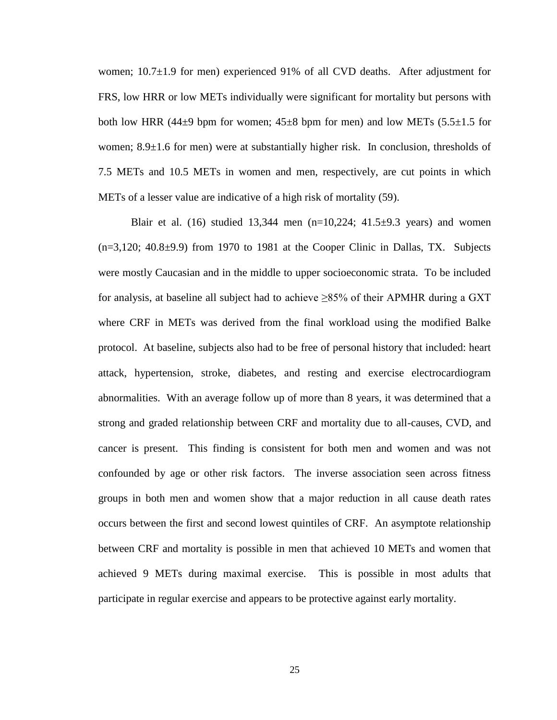women; 10.7±1.9 for men) experienced 91% of all CVD deaths. After adjustment for FRS, low HRR or low METs individually were significant for mortality but persons with both low HRR (44 $\pm$ 9 bpm for women; 45 $\pm$ 8 bpm for men) and low METs (5.5 $\pm$ 1.5 for women; 8.9 $\pm$ 1.6 for men) were at substantially higher risk. In conclusion, thresholds of 7.5 METs and 10.5 METs in women and men, respectively, are cut points in which METs of a lesser value are indicative of a high risk of mortality [\(59\)](#page-84-23).

Blair et al. [\(16\)](#page-82-5) studied 13,344 men  $(n=10,224; 41.5\pm9.3$  years) and women  $(n=3,120; 40.8\pm9.9)$  from 1970 to 1981 at the Cooper Clinic in Dallas, TX. Subjects were mostly Caucasian and in the middle to upper socioeconomic strata. To be included for analysis, at baseline all subject had to achieve ≥85% of their APMHR during a GXT where CRF in METs was derived from the final workload using the modified Balke protocol. At baseline, subjects also had to be free of personal history that included: heart attack, hypertension, stroke, diabetes, and resting and exercise electrocardiogram abnormalities. With an average follow up of more than 8 years, it was determined that a strong and graded relationship between CRF and mortality due to all-causes, CVD, and cancer is present. This finding is consistent for both men and women and was not confounded by age or other risk factors. The inverse association seen across fitness groups in both men and women show that a major reduction in all cause death rates occurs between the first and second lowest quintiles of CRF. An asymptote relationship between CRF and mortality is possible in men that achieved 10 METs and women that achieved 9 METs during maximal exercise. This is possible in most adults that participate in regular exercise and appears to be protective against early mortality.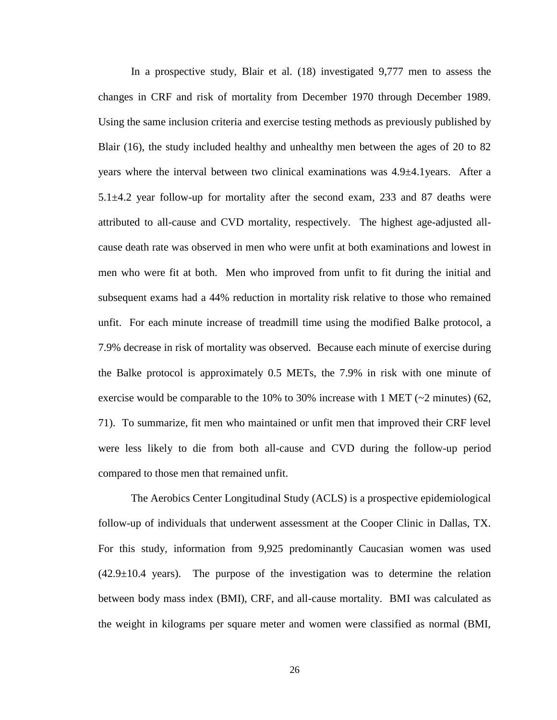In a prospective study, Blair et al. [\(18\)](#page-82-25) investigated 9,777 men to assess the changes in CRF and risk of mortality from December 1970 through December 1989. Using the same inclusion criteria and exercise testing methods as previously published by Blair [\(16\)](#page-82-5), the study included healthy and unhealthy men between the ages of 20 to 82 years where the interval between two clinical examinations was 4.9±4.1years. After a  $5.1 \pm 4.2$  year follow-up for mortality after the second exam, 233 and 87 deaths were attributed to all-cause and CVD mortality, respectively. The highest age-adjusted allcause death rate was observed in men who were unfit at both examinations and lowest in men who were fit at both. Men who improved from unfit to fit during the initial and subsequent exams had a 44% reduction in mortality risk relative to those who remained unfit. For each minute increase of treadmill time using the modified Balke protocol, a 7.9% decrease in risk of mortality was observed. Because each minute of exercise during the Balke protocol is approximately 0.5 METs, the 7.9% in risk with one minute of exercise would be comparable to the 10% to 30% increase with 1 MET ( $\sim$ 2 minutes) [\(62,](#page-84-2) [71\)](#page-84-24). To summarize, fit men who maintained or unfit men that improved their CRF level were less likely to die from both all-cause and CVD during the follow-up period compared to those men that remained unfit.

The Aerobics Center Longitudinal Study (ACLS) is a prospective epidemiological follow-up of individuals that underwent assessment at the Cooper Clinic in Dallas, TX. For this study, information from 9,925 predominantly Caucasian women was used  $(42.9 \pm 10.4$  years). The purpose of the investigation was to determine the relation between body mass index (BMI), CRF, and all-cause mortality. BMI was calculated as the weight in kilograms per square meter and women were classified as normal (BMI,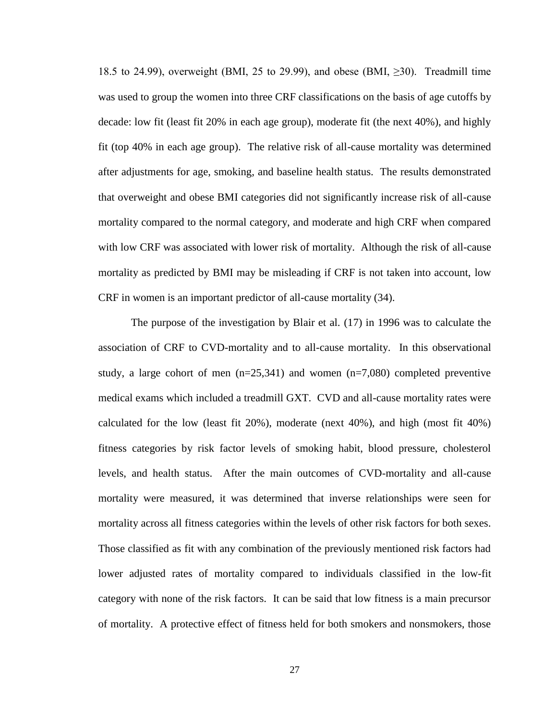18.5 to 24.99), overweight (BMI, 25 to 29.99), and obese (BMI,  $\geq$ 30). Treadmill time was used to group the women into three CRF classifications on the basis of age cutoffs by decade: low fit (least fit 20% in each age group), moderate fit (the next 40%), and highly fit (top 40% in each age group). The relative risk of all-cause mortality was determined after adjustments for age, smoking, and baseline health status. The results demonstrated that overweight and obese BMI categories did not significantly increase risk of all-cause mortality compared to the normal category, and moderate and high CRF when compared with low CRF was associated with lower risk of mortality. Although the risk of all-cause mortality as predicted by BMI may be misleading if CRF is not taken into account, low CRF in women is an important predictor of all-cause mortality [\(34\)](#page-83-24).

The purpose of the investigation by Blair et al. [\(17\)](#page-82-24) in 1996 was to calculate the association of CRF to CVD-mortality and to all-cause mortality. In this observational study, a large cohort of men  $(n=25,341)$  and women  $(n=7,080)$  completed preventive medical exams which included a treadmill GXT. CVD and all-cause mortality rates were calculated for the low (least fit 20%), moderate (next 40%), and high (most fit 40%) fitness categories by risk factor levels of smoking habit, blood pressure, cholesterol levels, and health status. After the main outcomes of CVD-mortality and all-cause mortality were measured, it was determined that inverse relationships were seen for mortality across all fitness categories within the levels of other risk factors for both sexes. Those classified as fit with any combination of the previously mentioned risk factors had lower adjusted rates of mortality compared to individuals classified in the low-fit category with none of the risk factors. It can be said that low fitness is a main precursor of mortality. A protective effect of fitness held for both smokers and nonsmokers, those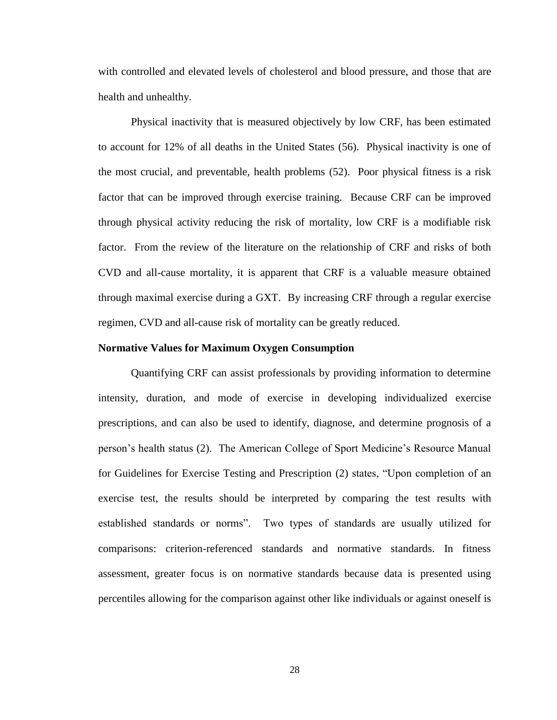with controlled and elevated levels of cholesterol and blood pressure, and those that are health and unhealthy.

Physical inactivity that is measured objectively by low CRF, has been estimated to account for 12% of all deaths in the United States [\(56\)](#page-84-25). Physical inactivity is one of the most crucial, and preventable, health problems [\(52\)](#page-83-22). Poor physical fitness is a risk factor that can be improved through exercise training. Because CRF can be improved through physical activity reducing the risk of mortality, low CRF is a modifiable risk factor. From the review of the literature on the relationship of CRF and risks of both CVD and all-cause mortality, it is apparent that CRF is a valuable measure obtained through maximal exercise during a GXT. By increasing CRF through a regular exercise regimen, CVD and all-cause risk of mortality can be greatly reduced.

#### <span id="page-33-0"></span>**Normative Values for Maximum Oxygen Consumption**

Quantifying CRF can assist professionals by providing information to determine intensity, duration, and mode of exercise in developing individualized exercise prescriptions, and can also be used to identify, diagnose, and determine prognosis of a person's health status [\(2\)](#page-82-10). The American College of Sport Medicine's Resource Manual for Guidelines for Exercise Testing and Prescription [\(2\)](#page-82-10) states, "Upon completion of an exercise test, the results should be interpreted by comparing the test results with established standards or norms". Two types of standards are usually utilized for comparisons: criterion-referenced standards and normative standards. In fitness assessment, greater focus is on normative standards because data is presented using percentiles allowing for the comparison against other like individuals or against oneself is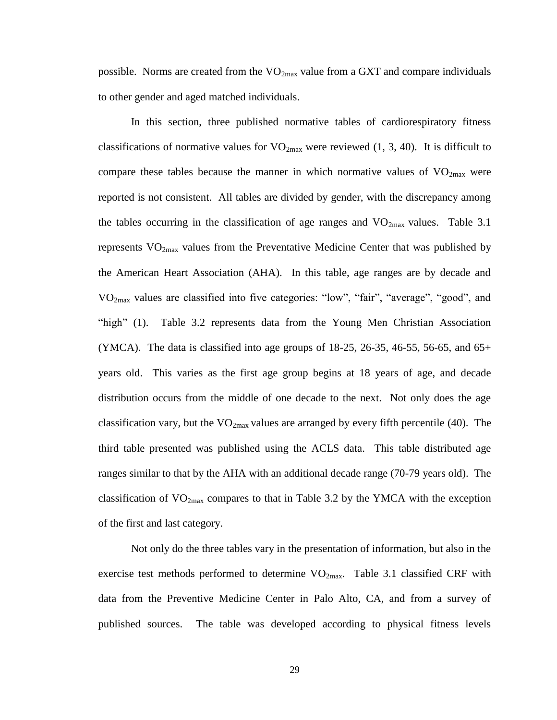possible. Norms are created from the  $VO_{2max}$  value from a GXT and compare individuals to other gender and aged matched individuals.

In this section, three published normative tables of cardiorespiratory fitness classifications of normative values for  $VO_{2max}$  were reviewed [\(1,](#page-82-26) [3,](#page-82-1) [40\)](#page-83-6). It is difficult to compare these tables because the manner in which normative values of  $VO_{2max}$  were reported is not consistent. All tables are divided by gender, with the discrepancy among the tables occurring in the classification of age ranges and  $VO<sub>2max</sub>$  values. Table 3.1 represents  $VO<sub>2max</sub>$  values from the Preventative Medicine Center that was published by the American Heart Association (AHA). In this table, age ranges are by decade and VO2max values are classified into five categories: "low", "fair", "average", "good", and "high" [\(1\)](#page-82-26). Table 3.2 represents data from the Young Men Christian Association (YMCA). The data is classified into age groups of  $18-25$ ,  $26-35$ ,  $46-55$ ,  $56-65$ , and  $65+$ years old. This varies as the first age group begins at 18 years of age, and decade distribution occurs from the middle of one decade to the next. Not only does the age classification vary, but the  $VO_{2max}$  values are arranged by every fifth percentile [\(40\)](#page-83-6). The third table presented was published using the ACLS data. This table distributed age ranges similar to that by the AHA with an additional decade range (70-79 years old). The classification of  $VO_{2max}$  compares to that in Table 3.2 by the YMCA with the exception of the first and last category.

Not only do the three tables vary in the presentation of information, but also in the exercise test methods performed to determine  $VO_{2max}$ . Table 3.1 classified CRF with data from the Preventive Medicine Center in Palo Alto, CA, and from a survey of published sources. The table was developed according to physical fitness levels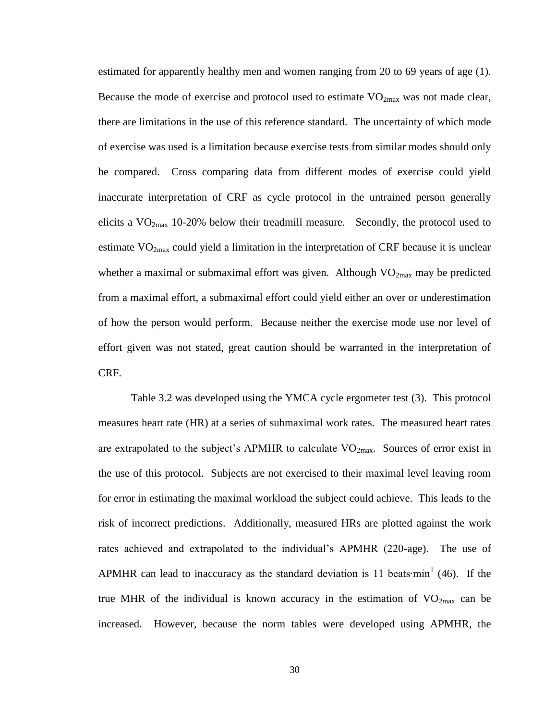estimated for apparently healthy men and women ranging from 20 to 69 years of age [\(1\)](#page-82-26). Because the mode of exercise and protocol used to estimate  $VO_{2max}$  was not made clear, there are limitations in the use of this reference standard. The uncertainty of which mode of exercise was used is a limitation because exercise tests from similar modes should only be compared. Cross comparing data from different modes of exercise could yield inaccurate interpretation of CRF as cycle protocol in the untrained person generally elicits a  $VO<sub>2max</sub>$  10-20% below their treadmill measure. Secondly, the protocol used to estimate  $VO<sub>2max</sub>$  could yield a limitation in the interpretation of CRF because it is unclear whether a maximal or submaximal effort was given. Although  $VO<sub>2max</sub>$  may be predicted from a maximal effort, a submaximal effort could yield either an over or underestimation of how the person would perform. Because neither the exercise mode use nor level of effort given was not stated, great caution should be warranted in the interpretation of CRF.

Table 3.2 was developed using the YMCA cycle ergometer test [\(3\)](#page-82-1). This protocol measures heart rate (HR) at a series of submaximal work rates. The measured heart rates are extrapolated to the subject's APMHR to calculate  $VO_{2max}$ . Sources of error exist in the use of this protocol. Subjects are not exercised to their maximal level leaving room for error in estimating the maximal workload the subject could achieve. This leads to the risk of incorrect predictions. Additionally, measured HRs are plotted against the work rates achieved and extrapolated to the individual's APMHR (220-age). The use of APMHR can lead to inaccuracy as the standard deviation is 11 beats∙min<sup>1</sup> [\(46\)](#page-83-1). If the true MHR of the individual is known accuracy in the estimation of  $VO<sub>2max</sub>$  can be increased. However, because the norm tables were developed using APMHR, the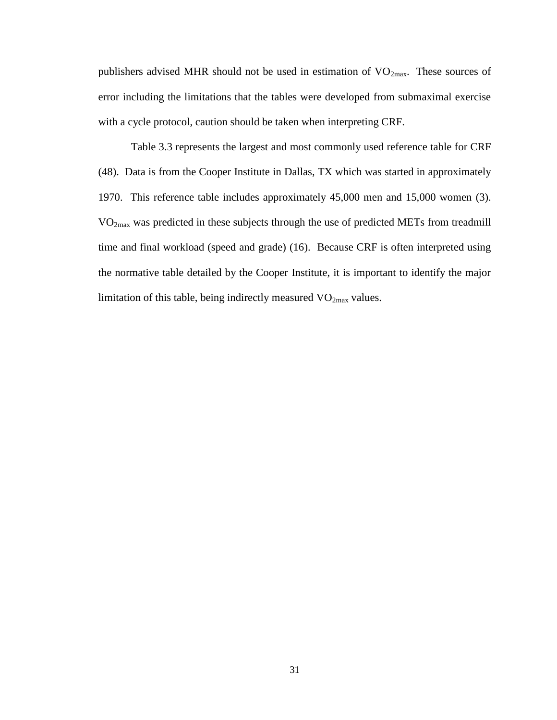publishers advised MHR should not be used in estimation of VO<sub>2max</sub>. These sources of error including the limitations that the tables were developed from submaximal exercise with a cycle protocol, caution should be taken when interpreting CRF.

Table 3.3 represents the largest and most commonly used reference table for CRF [\(48\)](#page-83-0). Data is from the Cooper Institute in Dallas, TX which was started in approximately 1970. This reference table includes approximately 45,000 men and 15,000 women [\(3\)](#page-82-0). VO2max was predicted in these subjects through the use of predicted METs from treadmill time and final workload (speed and grade) [\(16\)](#page-82-1). Because CRF is often interpreted using the normative table detailed by the Cooper Institute, it is important to identify the major limitation of this table, being indirectly measured  $VO<sub>2max</sub>$  values.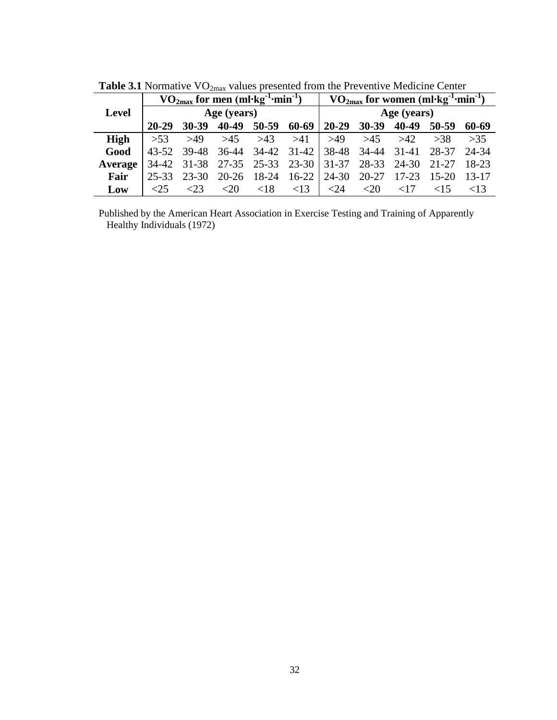|              |         | $VO_{2max}$ for men (ml·kg <sup>-1</sup> ·min <sup>-1</sup> ) |             |                   |         |             | $VO_{2max}$ for women (ml·kg <sup>-1</sup> ·min <sup>-1</sup> ) |           |           |           |  |  |
|--------------|---------|---------------------------------------------------------------|-------------|-------------------|---------|-------------|-----------------------------------------------------------------|-----------|-----------|-----------|--|--|
| <b>Level</b> |         |                                                               | Age (years) |                   |         | Age (years) |                                                                 |           |           |           |  |  |
|              | 20-29   | $30 - 39$                                                     | 40-49       | $50-59$           | 60-69   | $20 - 29$   | $30 - 39$                                                       | 40-49     | $50 - 59$ | 60-69     |  |  |
| <b>High</b>  | >53     | >49                                                           | >45         | >43               | >41     | >49         | >45                                                             | >42       | >38       | >35       |  |  |
| Good         | 43-52   | 39-48                                                         | $36-44$     | 34-42             | 31-42   | 38-48       | 34-44                                                           | 31-41     | 28-37     | 24-34     |  |  |
| Average      | 34-42   | 31-38                                                         |             | 27-35 25-33 23-30 |         | $31 - 37$   | 28-33                                                           | 24-30     | 21-27     | 18-23     |  |  |
| Fair         | 25-33   | $23 - 30$                                                     | $20 - 26$   | 18-24             | $16-22$ | 24-30       | 20-27                                                           | $17 - 23$ | $15-20$   | $13 - 17$ |  |  |
| Low          | $<$ 2.5 | 23                                                            | $<$ 20      | $\leq 18$         | <13     | <24         | $<$ 20                                                          | ${<}17$   | $\leq$ 15 | $\leq$ 13 |  |  |

Table 3.1 Normative VO<sub>2max</sub> values presented from the Preventive Medicine Center

Published by the American Heart Association in Exercise Testing and Training of Apparently Healthy Individuals (1972)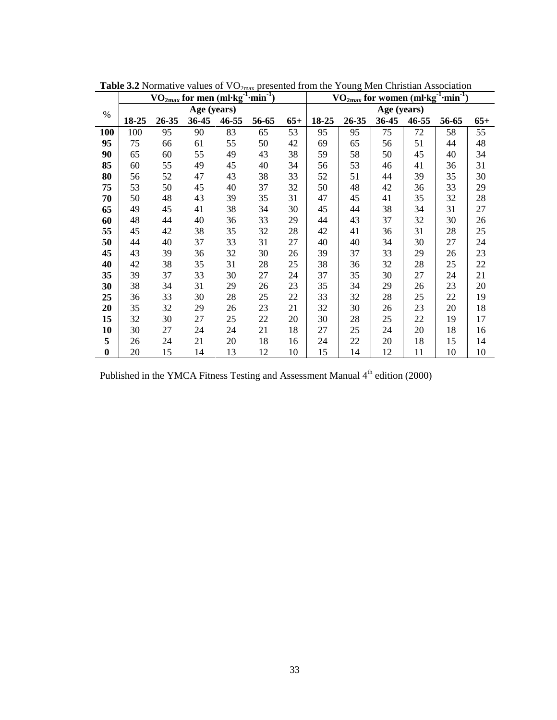|          | $\rm \frac{VO_{2max}}{for}$ men (ml·kg <sup>-1</sup> ·min <sup>-1</sup> ) |       |             |       |       |       | $\rm \overline{VO_{2max}}$ for women (ml· $\overline{\rm kg}^{-1}$ ·min <sup>-1</sup> ) |       |       |       |       |       |  |
|----------|---------------------------------------------------------------------------|-------|-------------|-------|-------|-------|-----------------------------------------------------------------------------------------|-------|-------|-------|-------|-------|--|
| $\%$     |                                                                           |       | Age (years) |       |       |       | Age (years)                                                                             |       |       |       |       |       |  |
|          | 18-25                                                                     | 26-35 | 36-45       | 46-55 | 56-65 | $65+$ | 18-25                                                                                   | 26-35 | 36-45 | 46-55 | 56-65 | $65+$ |  |
| 100      | 100                                                                       | 95    | 90          | 83    | 65    | 53    | 95                                                                                      | 95    | 75    | 72    | 58    | 55    |  |
| 95       | 75                                                                        | 66    | 61          | 55    | 50    | 42    | 69                                                                                      | 65    | 56    | 51    | 44    | 48    |  |
| 90       | 65                                                                        | 60    | 55          | 49    | 43    | 38    | 59                                                                                      | 58    | 50    | 45    | 40    | 34    |  |
| 85       | 60                                                                        | 55    | 49          | 45    | 40    | 34    | 56                                                                                      | 53    | 46    | 41    | 36    | 31    |  |
| 80       | 56                                                                        | 52    | 47          | 43    | 38    | 33    | 52                                                                                      | 51    | 44    | 39    | 35    | 30    |  |
| 75       | 53                                                                        | 50    | 45          | 40    | 37    | 32    | 50                                                                                      | 48    | 42    | 36    | 33    | 29    |  |
| 70       | 50                                                                        | 48    | 43          | 39    | 35    | 31    | 47                                                                                      | 45    | 41    | 35    | 32    | 28    |  |
| 65       | 49                                                                        | 45    | 41          | 38    | 34    | 30    | 45                                                                                      | 44    | 38    | 34    | 31    | 27    |  |
| 60       | 48                                                                        | 44    | 40          | 36    | 33    | 29    | 44                                                                                      | 43    | 37    | 32    | 30    | 26    |  |
| 55       | 45                                                                        | 42    | 38          | 35    | 32    | 28    | 42                                                                                      | 41    | 36    | 31    | 28    | 25    |  |
| 50       | 44                                                                        | 40    | 37          | 33    | 31    | 27    | 40                                                                                      | 40    | 34    | 30    | 27    | 24    |  |
| 45       | 43                                                                        | 39    | 36          | 32    | 30    | 26    | 39                                                                                      | 37    | 33    | 29    | 26    | 23    |  |
| 40       | 42                                                                        | 38    | 35          | 31    | 28    | 25    | 38                                                                                      | 36    | 32    | 28    | 25    | 22    |  |
| 35       | 39                                                                        | 37    | 33          | 30    | 27    | 24    | 37                                                                                      | 35    | 30    | 27    | 24    | 21    |  |
| 30       | 38                                                                        | 34    | 31          | 29    | 26    | 23    | 35                                                                                      | 34    | 29    | 26    | 23    | 20    |  |
| 25       | 36                                                                        | 33    | 30          | 28    | 25    | 22    | 33                                                                                      | 32    | 28    | 25    | 22    | 19    |  |
| 20       | 35                                                                        | 32    | 29          | 26    | 23    | 21    | 32                                                                                      | 30    | 26    | 23    | 20    | 18    |  |
| 15       | 32                                                                        | 30    | 27          | 25    | 22    | 20    | 30                                                                                      | 28    | 25    | 22    | 19    | 17    |  |
| 10       | 30                                                                        | 27    | 24          | 24    | 21    | 18    | 27                                                                                      | 25    | 24    | 20    | 18    | 16    |  |
| 5        | 26                                                                        | 24    | 21          | 20    | 18    | 16    | 24                                                                                      | 22    | 20    | 18    | 15    | 14    |  |
| $\bf{0}$ | 20                                                                        | 15    | 14          | 13    | 12    | 10    | 15                                                                                      | 14    | 12    | 11    | 10    | 10    |  |

**Table 3.2** Normative values of VO<sub>2max</sub> presented from the Young Men Christian Association

Published in the YMCA Fitness Testing and Assessment Manual 4<sup>th</sup> edition (2000)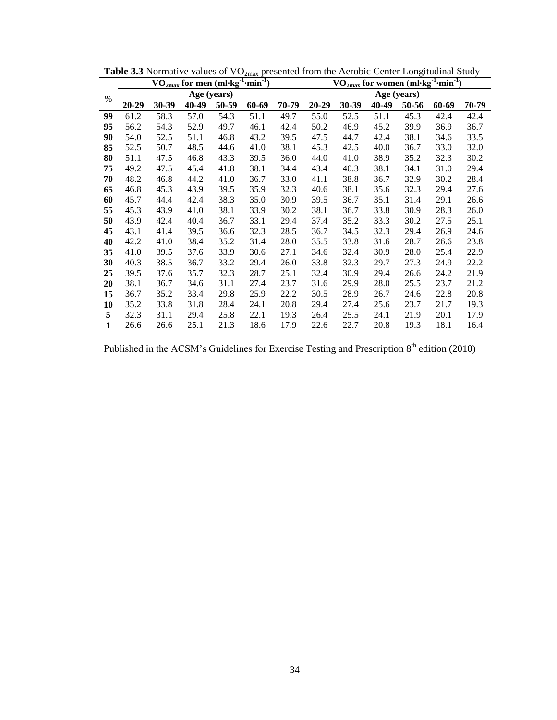|              | $\rm \frac{VO_{2max}}{formum}$ for men (ml·kg <sup>-1</sup> ·min <sup>-1</sup> ) |       |       |       |       |       |       | VO <sub>2max</sub> for women (ml·kg <sup>-1</sup> ·min <sup>-1</sup> ) |       |       |       |       |  |  |
|--------------|----------------------------------------------------------------------------------|-------|-------|-------|-------|-------|-------|------------------------------------------------------------------------|-------|-------|-------|-------|--|--|
| $\%$         | Age (years)                                                                      |       |       |       |       |       |       | Age (years)                                                            |       |       |       |       |  |  |
|              | $20 - 29$                                                                        | 30-39 | 40-49 | 50-59 | 60-69 | 70-79 | 20-29 | 30-39                                                                  | 40-49 | 50-56 | 60-69 | 70-79 |  |  |
| 99           | 61.2                                                                             | 58.3  | 57.0  | 54.3  | 51.1  | 49.7  | 55.0  | 52.5                                                                   | 51.1  | 45.3  | 42.4  | 42.4  |  |  |
| 95           | 56.2                                                                             | 54.3  | 52.9  | 49.7  | 46.1  | 42.4  | 50.2  | 46.9                                                                   | 45.2  | 39.9  | 36.9  | 36.7  |  |  |
| 90           | 54.0                                                                             | 52.5  | 51.1  | 46.8  | 43.2  | 39.5  | 47.5  | 44.7                                                                   | 42.4  | 38.1  | 34.6  | 33.5  |  |  |
| 85           | 52.5                                                                             | 50.7  | 48.5  | 44.6  | 41.0  | 38.1  | 45.3  | 42.5                                                                   | 40.0  | 36.7  | 33.0  | 32.0  |  |  |
| 80           | 51.1                                                                             | 47.5  | 46.8  | 43.3  | 39.5  | 36.0  | 44.0  | 41.0                                                                   | 38.9  | 35.2  | 32.3  | 30.2  |  |  |
| 75           | 49.2                                                                             | 47.5  | 45.4  | 41.8  | 38.1  | 34.4  | 43.4  | 40.3                                                                   | 38.1  | 34.1  | 31.0  | 29.4  |  |  |
| 70           | 48.2                                                                             | 46.8  | 44.2  | 41.0  | 36.7  | 33.0  | 41.1  | 38.8                                                                   | 36.7  | 32.9  | 30.2  | 28.4  |  |  |
| 65           | 46.8                                                                             | 45.3  | 43.9  | 39.5  | 35.9  | 32.3  | 40.6  | 38.1                                                                   | 35.6  | 32.3  | 29.4  | 27.6  |  |  |
| 60           | 45.7                                                                             | 44.4  | 42.4  | 38.3  | 35.0  | 30.9  | 39.5  | 36.7                                                                   | 35.1  | 31.4  | 29.1  | 26.6  |  |  |
| 55           | 45.3                                                                             | 43.9  | 41.0  | 38.1  | 33.9  | 30.2  | 38.1  | 36.7                                                                   | 33.8  | 30.9  | 28.3  | 26.0  |  |  |
| 50           | 43.9                                                                             | 42.4  | 40.4  | 36.7  | 33.1  | 29.4  | 37.4  | 35.2                                                                   | 33.3  | 30.2  | 27.5  | 25.1  |  |  |
| 45           | 43.1                                                                             | 41.4  | 39.5  | 36.6  | 32.3  | 28.5  | 36.7  | 34.5                                                                   | 32.3  | 29.4  | 26.9  | 24.6  |  |  |
| 40           | 42.2                                                                             | 41.0  | 38.4  | 35.2  | 31.4  | 28.0  | 35.5  | 33.8                                                                   | 31.6  | 28.7  | 26.6  | 23.8  |  |  |
| 35           | 41.0                                                                             | 39.5  | 37.6  | 33.9  | 30.6  | 27.1  | 34.6  | 32.4                                                                   | 30.9  | 28.0  | 25.4  | 22.9  |  |  |
| 30           | 40.3                                                                             | 38.5  | 36.7  | 33.2  | 29.4  | 26.0  | 33.8  | 32.3                                                                   | 29.7  | 27.3  | 24.9  | 22.2  |  |  |
| 25           | 39.5                                                                             | 37.6  | 35.7  | 32.3  | 28.7  | 25.1  | 32.4  | 30.9                                                                   | 29.4  | 26.6  | 24.2  | 21.9  |  |  |
| 20           | 38.1                                                                             | 36.7  | 34.6  | 31.1  | 27.4  | 23.7  | 31.6  | 29.9                                                                   | 28.0  | 25.5  | 23.7  | 21.2  |  |  |
| 15           | 36.7                                                                             | 35.2  | 33.4  | 29.8  | 25.9  | 22.2  | 30.5  | 28.9                                                                   | 26.7  | 24.6  | 22.8  | 20.8  |  |  |
| 10           | 35.2                                                                             | 33.8  | 31.8  | 28.4  | 24.1  | 20.8  | 29.4  | 27.4                                                                   | 25.6  | 23.7  | 21.7  | 19.3  |  |  |
| 5            | 32.3                                                                             | 31.1  | 29.4  | 25.8  | 22.1  | 19.3  | 26.4  | 25.5                                                                   | 24.1  | 21.9  | 20.1  | 17.9  |  |  |
| $\mathbf{1}$ | 26.6                                                                             | 26.6  | 25.1  | 21.3  | 18.6  | 17.9  | 22.6  | 22.7                                                                   | 20.8  | 19.3  | 18.1  | 16.4  |  |  |

Table 3.3 Normative values of VO<sub>2max</sub> presented from the Aerobic Center Longitudinal Study

Published in the ACSM's Guidelines for Exercise Testing and Prescription 8<sup>th</sup> edition (2010)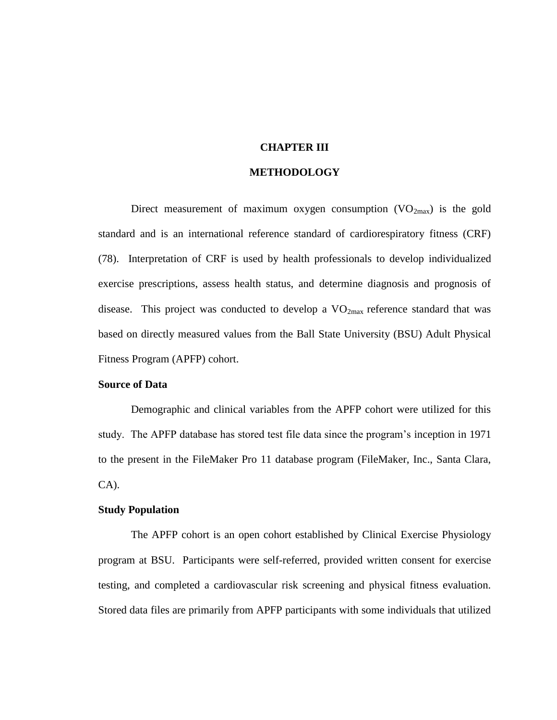# **CHAPTER III**

#### **METHODOLOGY**

Direct measurement of maximum oxygen consumption  $(VO_{2max})$  is the gold standard and is an international reference standard of cardiorespiratory fitness (CRF) [\(78\)](#page-84-0). Interpretation of CRF is used by health professionals to develop individualized exercise prescriptions, assess health status, and determine diagnosis and prognosis of disease. This project was conducted to develop a  $VO_{2max}$  reference standard that was based on directly measured values from the Ball State University (BSU) Adult Physical Fitness Program (APFP) cohort.

#### **Source of Data**

Demographic and clinical variables from the APFP cohort were utilized for this study. The APFP database has stored test file data since the program's inception in 1971 to the present in the FileMaker Pro 11 database program (FileMaker, Inc., Santa Clara, CA).

# **Study Population**

The APFP cohort is an open cohort established by Clinical Exercise Physiology program at BSU. Participants were self-referred, provided written consent for exercise testing, and completed a cardiovascular risk screening and physical fitness evaluation. Stored data files are primarily from APFP participants with some individuals that utilized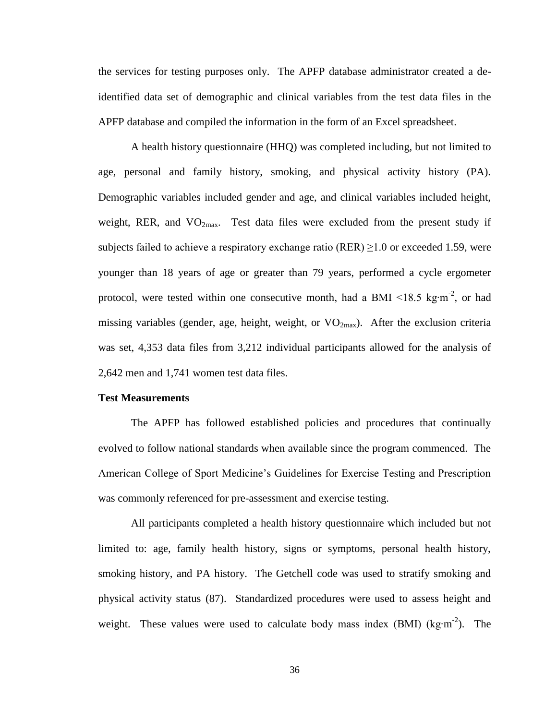the services for testing purposes only. The APFP database administrator created a deidentified data set of demographic and clinical variables from the test data files in the APFP database and compiled the information in the form of an Excel spreadsheet.

A health history questionnaire (HHQ) was completed including, but not limited to age, personal and family history, smoking, and physical activity history (PA). Demographic variables included gender and age, and clinical variables included height, weight, RER, and  $VO<sub>2max</sub>$ . Test data files were excluded from the present study if subjects failed to achieve a respiratory exchange ratio (RER)  $\geq$ 1.0 or exceeded 1.59, were younger than 18 years of age or greater than 79 years, performed a cycle ergometer protocol, were tested within one consecutive month, had a BMI <18.5 kg⋅m<sup>-2</sup>, or had missing variables (gender, age, height, weight, or  $VO_{2max}$ ). After the exclusion criteria was set, 4,353 data files from 3,212 individual participants allowed for the analysis of 2,642 men and 1,741 women test data files.

# **Test Measurements**

The APFP has followed established policies and procedures that continually evolved to follow national standards when available since the program commenced. The American College of Sport Medicine's Guidelines for Exercise Testing and Prescription was commonly referenced for pre-assessment and exercise testing.

All participants completed a health history questionnaire which included but not limited to: age, family health history, signs or symptoms, personal health history, smoking history, and PA history. The Getchell code was used to stratify smoking and physical activity status [\(87\)](#page-85-0). Standardized procedures were used to assess height and weight. These values were used to calculate body mass index (BMI) (kg⋅m<sup>-2</sup>). The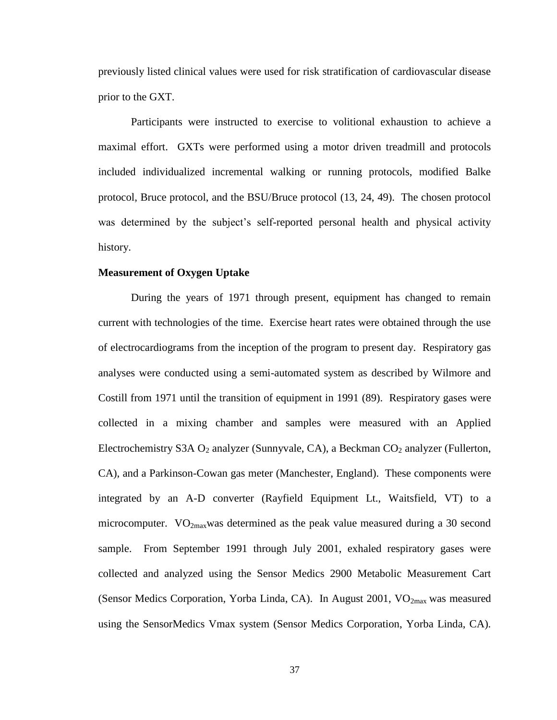previously listed clinical values were used for risk stratification of cardiovascular disease prior to the GXT.

Participants were instructed to exercise to volitional exhaustion to achieve a maximal effort. GXTs were performed using a motor driven treadmill and protocols included individualized incremental walking or running protocols, modified Balke protocol, Bruce protocol, and the BSU/Bruce protocol [\(13,](#page-82-2) [24,](#page-82-3) [49\)](#page-83-1). The chosen protocol was determined by the subject's self-reported personal health and physical activity history.

### **Measurement of Oxygen Uptake**

During the years of 1971 through present, equipment has changed to remain current with technologies of the time. Exercise heart rates were obtained through the use of electrocardiograms from the inception of the program to present day. Respiratory gas analyses were conducted using a semi-automated system as described by Wilmore and Costill from 1971 until the transition of equipment in 1991 [\(89\)](#page-85-1). Respiratory gases were collected in a mixing chamber and samples were measured with an Applied Electrochemistry S3A  $O_2$  analyzer (Sunnyvale, CA), a Beckman  $CO_2$  analyzer (Fullerton, CA), and a Parkinson-Cowan gas meter (Manchester, England). These components were integrated by an A-D converter (Rayfield Equipment Lt., Waitsfield, VT) to a microcomputer.  $VO<sub>2max</sub>was determined as the peak value measured during a 30 second$ sample. From September 1991 through July 2001, exhaled respiratory gases were collected and analyzed using the Sensor Medics 2900 Metabolic Measurement Cart (Sensor Medics Corporation, Yorba Linda, CA). In August 2001,  $VO<sub>2max</sub>$  was measured using the SensorMedics Vmax system (Sensor Medics Corporation, Yorba Linda, CA).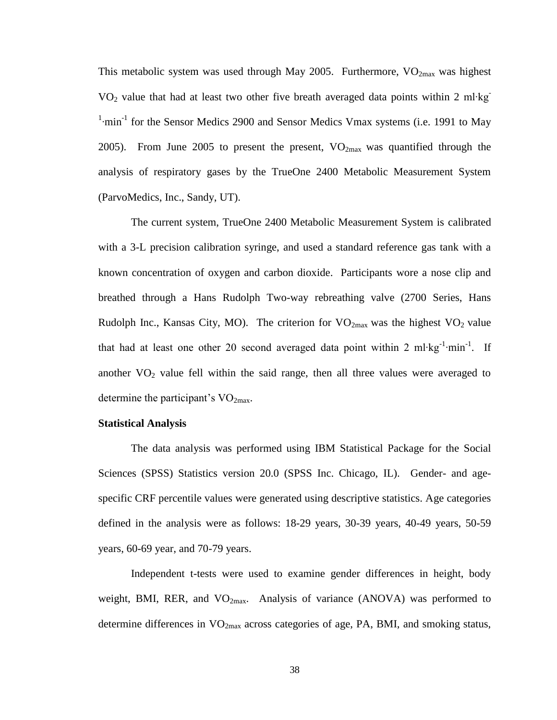This metabolic system was used through May 2005. Furthermore,  $VO<sub>2max</sub>$  was highest VO<sub>2</sub> value that had at least two other five breath averaged data points within 2 ml⋅kg<sup>-</sup> <sup>1</sup>·min<sup>-1</sup> for the Sensor Medics 2900 and Sensor Medics Vmax systems (i.e. 1991 to May 2005). From June 2005 to present the present,  $VO_{2max}$  was quantified through the analysis of respiratory gases by the TrueOne 2400 Metabolic Measurement System (ParvoMedics, Inc., Sandy, UT).

The current system, TrueOne 2400 Metabolic Measurement System is calibrated with a 3-L precision calibration syringe, and used a standard reference gas tank with a known concentration of oxygen and carbon dioxide. Participants wore a nose clip and breathed through a Hans Rudolph Two-way rebreathing valve (2700 Series, Hans Rudolph Inc., Kansas City, MO). The criterion for  $VO_{2max}$  was the highest  $VO_2$  value that had at least one other 20 second averaged data point within 2 ml⋅kg<sup>-1</sup>⋅min<sup>-1</sup>. If another  $VO<sub>2</sub>$  value fell within the said range, then all three values were averaged to determine the participant's  $VO<sub>2max</sub>$ .

#### **Statistical Analysis**

The data analysis was performed using IBM Statistical Package for the Social Sciences (SPSS) Statistics version 20.0 (SPSS Inc. Chicago, IL). Gender- and agespecific CRF percentile values were generated using descriptive statistics. Age categories defined in the analysis were as follows: 18-29 years, 30-39 years, 40-49 years, 50-59 years, 60-69 year, and 70-79 years.

Independent t-tests were used to examine gender differences in height, body weight, BMI, RER, and  $VO<sub>2max</sub>$ . Analysis of variance (ANOVA) was performed to determine differences in  $VO<sub>2max</sub>$  across categories of age, PA, BMI, and smoking status,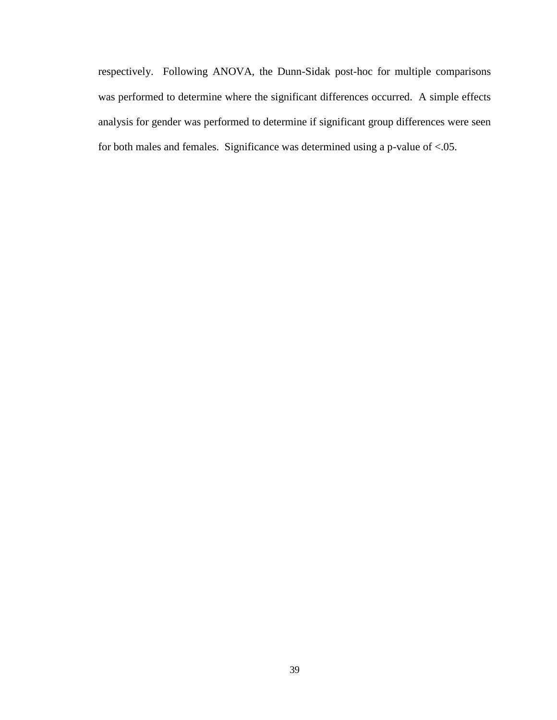respectively. Following ANOVA, the Dunn-Sidak post-hoc for multiple comparisons was performed to determine where the significant differences occurred. A simple effects analysis for gender was performed to determine if significant group differences were seen for both males and females. Significance was determined using a p-value of <.05.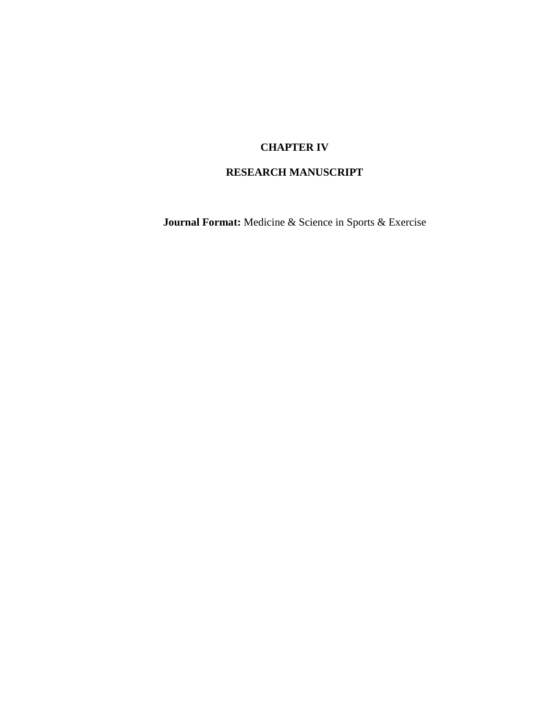# **CHAPTER IV**

# **RESEARCH MANUSCRIPT**

**Journal Format:** Medicine & Science in Sports & Exercise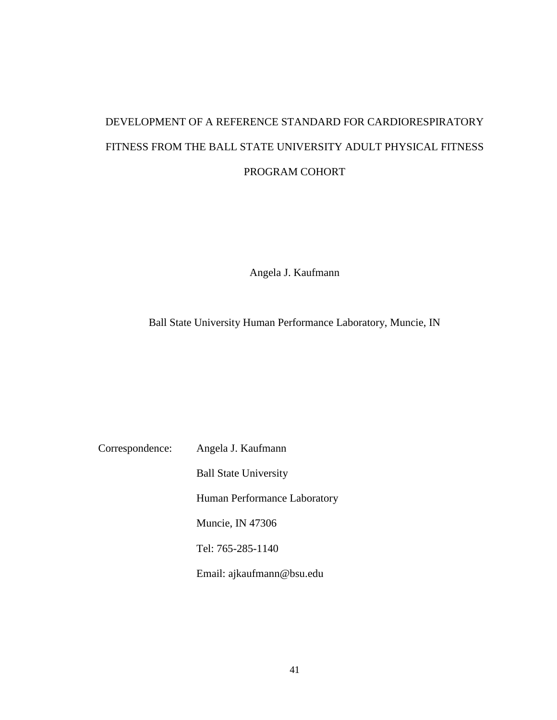# DEVELOPMENT OF A REFERENCE STANDARD FOR CARDIORESPIRATORY FITNESS FROM THE BALL STATE UNIVERSITY ADULT PHYSICAL FITNESS PROGRAM COHORT

Angela J. Kaufmann

Ball State University Human Performance Laboratory, Muncie, IN

Correspondence: Angela J. Kaufmann

Ball State University Human Performance Laboratory Muncie, IN 47306 Tel: 765-285-1140 Email: ajkaufmann@bsu.edu

41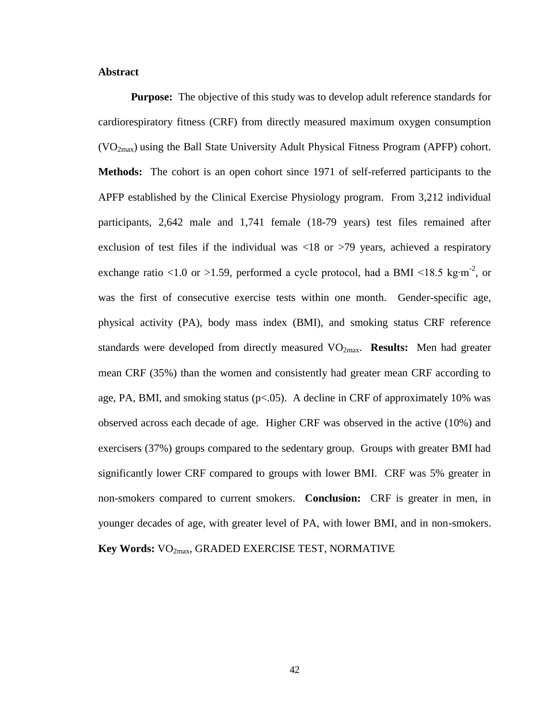# **Abstract**

**Purpose:** The objective of this study was to develop adult reference standards for cardiorespiratory fitness (CRF) from directly measured maximum oxygen consumption  $(VO<sub>2max</sub>)$  using the Ball State University Adult Physical Fitness Program (APFP) cohort. **Methods:** The cohort is an open cohort since 1971 of self-referred participants to the APFP established by the Clinical Exercise Physiology program. From 3,212 individual participants, 2,642 male and 1,741 female (18-79 years) test files remained after exclusion of test files if the individual was  $\langle 18 \text{ or } \rangle$  years, achieved a respiratory exchange ratio <1.0 or >1.59, performed a cycle protocol, had a BMI <18.5 kg⋅m<sup>-2</sup>, or was the first of consecutive exercise tests within one month. Gender-specific age, physical activity (PA), body mass index (BMI), and smoking status CRF reference standards were developed from directly measured VO<sub>2max</sub>. **Results:** Men had greater mean CRF (35%) than the women and consistently had greater mean CRF according to age, PA, BMI, and smoking status ( $p < 0.05$ ). A decline in CRF of approximately 10% was observed across each decade of age. Higher CRF was observed in the active (10%) and exercisers (37%) groups compared to the sedentary group. Groups with greater BMI had significantly lower CRF compared to groups with lower BMI. CRF was 5% greater in non-smokers compared to current smokers. **Conclusion:** CRF is greater in men, in younger decades of age, with greater level of PA, with lower BMI, and in non-smokers. **Key Words:**  $VO_{2max}$ **, GRADED EXERCISE TEST, NORMATIVE**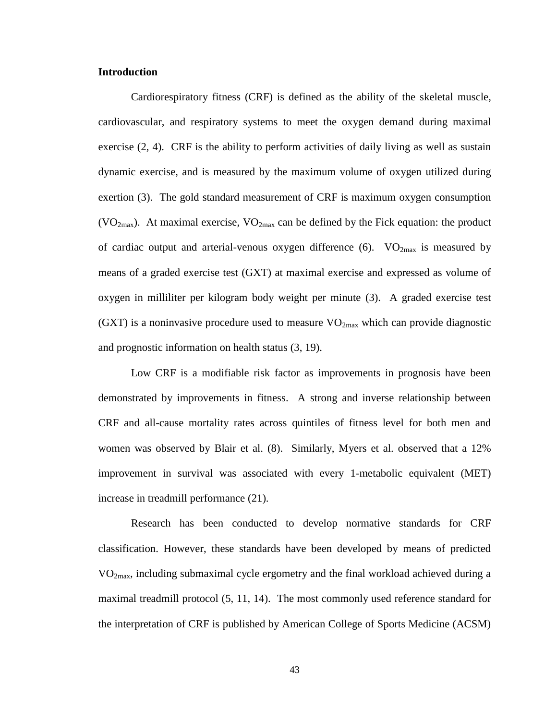## **Introduction**

Cardiorespiratory fitness (CRF) is defined as the ability of the skeletal muscle, cardiovascular, and respiratory systems to meet the oxygen demand during maximal exercise (2, 4). CRF is the ability to perform activities of daily living as well as sustain dynamic exercise, and is measured by the maximum volume of oxygen utilized during exertion (3). The gold standard measurement of CRF is maximum oxygen consumption (VO<sub>2max</sub>). At maximal exercise, VO<sub>2max</sub> can be defined by the Fick equation: the product of cardiac output and arterial-venous oxygen difference (6).  $VO_{2max}$  is measured by means of a graded exercise test (GXT) at maximal exercise and expressed as volume of oxygen in milliliter per kilogram body weight per minute (3). A graded exercise test (GXT) is a noninvasive procedure used to measure  $VO_{2max}$  which can provide diagnostic and prognostic information on health status (3, 19).

Low CRF is a modifiable risk factor as improvements in prognosis have been demonstrated by improvements in fitness. A strong and inverse relationship between CRF and all-cause mortality rates across quintiles of fitness level for both men and women was observed by Blair et al. (8). Similarly, Myers et al. observed that a 12% improvement in survival was associated with every 1-metabolic equivalent (MET) increase in treadmill performance (21).

Research has been conducted to develop normative standards for CRF classification. However, these standards have been developed by means of predicted VO2max, including submaximal cycle ergometry and the final workload achieved during a maximal treadmill protocol (5, 11, 14). The most commonly used reference standard for the interpretation of CRF is published by American College of Sports Medicine (ACSM)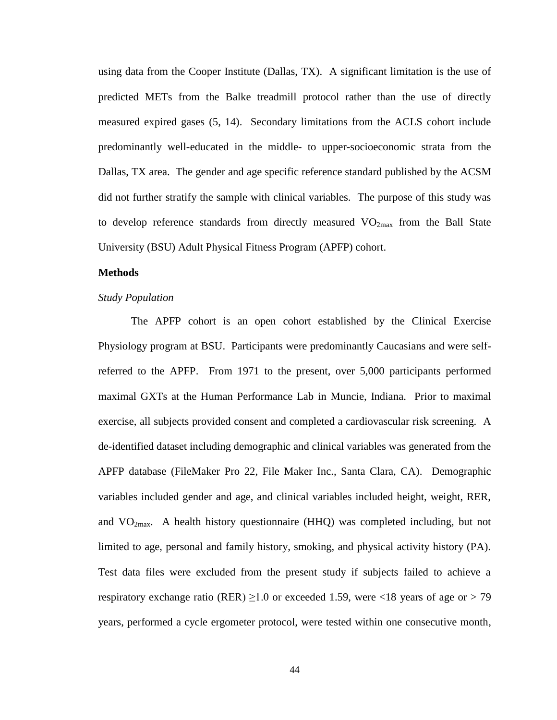using data from the Cooper Institute (Dallas, TX). A significant limitation is the use of predicted METs from the Balke treadmill protocol rather than the use of directly measured expired gases (5, 14). Secondary limitations from the ACLS cohort include predominantly well-educated in the middle- to upper-socioeconomic strata from the Dallas, TX area. The gender and age specific reference standard published by the ACSM did not further stratify the sample with clinical variables. The purpose of this study was to develop reference standards from directly measured  $VO_{2max}$  from the Ball State University (BSU) Adult Physical Fitness Program (APFP) cohort.

## **Methods**

## *Study Population*

The APFP cohort is an open cohort established by the Clinical Exercise Physiology program at BSU. Participants were predominantly Caucasians and were selfreferred to the APFP. From 1971 to the present, over 5,000 participants performed maximal GXTs at the Human Performance Lab in Muncie, Indiana. Prior to maximal exercise, all subjects provided consent and completed a cardiovascular risk screening. A de-identified dataset including demographic and clinical variables was generated from the APFP database (FileMaker Pro 22, File Maker Inc., Santa Clara, CA). Demographic variables included gender and age, and clinical variables included height, weight, RER, and  $VO<sub>2max</sub>$ . A health history questionnaire (HHQ) was completed including, but not limited to age, personal and family history, smoking, and physical activity history (PA). Test data files were excluded from the present study if subjects failed to achieve a respiratory exchange ratio (RER)  $\geq$ 1.0 or exceeded 1.59, were <18 years of age or > 79 years, performed a cycle ergometer protocol, were tested within one consecutive month,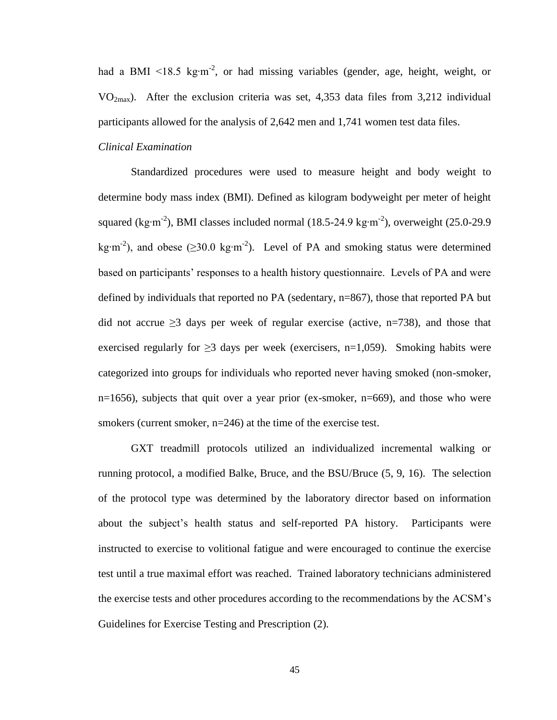had a BMI <18.5 kg⋅m<sup>-2</sup>, or had missing variables (gender, age, height, weight, or  $VO<sub>2max</sub>$ ). After the exclusion criteria was set, 4,353 data files from 3,212 individual participants allowed for the analysis of 2,642 men and 1,741 women test data files.

# *Clinical Examination*

Standardized procedures were used to measure height and body weight to determine body mass index (BMI). Defined as kilogram bodyweight per meter of height squared (kg⋅m<sup>-2</sup>), BMI classes included normal (18.5-24.9 kg⋅m<sup>-2</sup>), overweight (25.0-29.9 kg⋅m<sup>-2</sup>), and obese (≥30.0 kg⋅m<sup>-2</sup>). Level of PA and smoking status were determined based on participants' responses to a health history questionnaire. Levels of PA and were defined by individuals that reported no PA (sedentary, n=867), those that reported PA but did not accrue  $\geq$ 3 days per week of regular exercise (active, n=738), and those that exercised regularly for  $\geq$ 3 days per week (exercisers, n=1,059). Smoking habits were categorized into groups for individuals who reported never having smoked (non-smoker,  $n=1656$ ), subjects that quit over a year prior (ex-smoker,  $n=669$ ), and those who were smokers (current smoker, n=246) at the time of the exercise test.

GXT treadmill protocols utilized an individualized incremental walking or running protocol, a modified Balke, Bruce, and the BSU/Bruce (5, 9, 16). The selection of the protocol type was determined by the laboratory director based on information about the subject's health status and self-reported PA history. Participants were instructed to exercise to volitional fatigue and were encouraged to continue the exercise test until a true maximal effort was reached. Trained laboratory technicians administered the exercise tests and other procedures according to the recommendations by the ACSM's Guidelines for Exercise Testing and Prescription (2).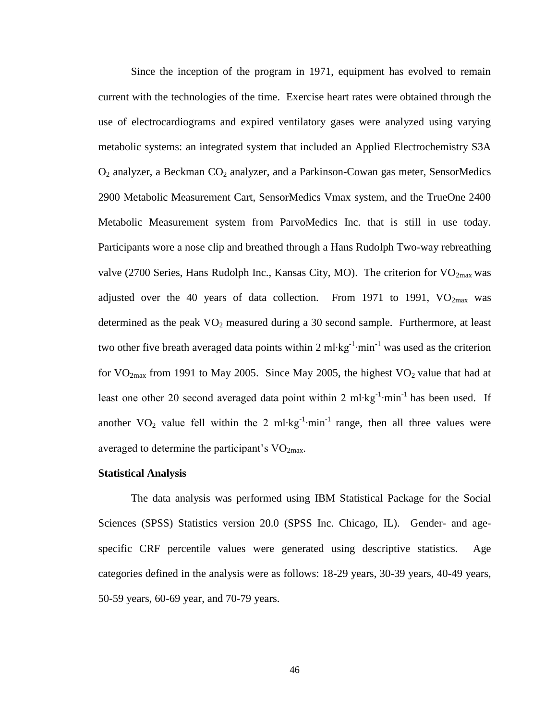Since the inception of the program in 1971, equipment has evolved to remain current with the technologies of the time. Exercise heart rates were obtained through the use of electrocardiograms and expired ventilatory gases were analyzed using varying metabolic systems: an integrated system that included an Applied Electrochemistry S3A  $O_2$  analyzer, a Beckman  $CO_2$  analyzer, and a Parkinson-Cowan gas meter, SensorMedics 2900 Metabolic Measurement Cart, SensorMedics Vmax system, and the TrueOne 2400 Metabolic Measurement system from ParvoMedics Inc. that is still in use today. Participants wore a nose clip and breathed through a Hans Rudolph Two-way rebreathing valve (2700 Series, Hans Rudolph Inc., Kansas City, MO). The criterion for  $VO<sub>2max</sub>$  was adjusted over the 40 years of data collection. From 1971 to 1991,  $VO<sub>2max</sub>$  was determined as the peak  $VO<sub>2</sub>$  measured during a 30 second sample. Furthermore, at least two other five breath averaged data points within 2 ml⋅kg<sup>-1</sup>⋅min<sup>-1</sup> was used as the criterion for  $VO_{2max}$  from 1991 to May 2005. Since May 2005, the highest  $VO_2$  value that had at least one other 20 second averaged data point within 2 ml⋅kg<sup>-1</sup>⋅min<sup>-1</sup> has been used. If another VO<sub>2</sub> value fell within the 2 ml⋅kg<sup>-1</sup>⋅min<sup>-1</sup> range, then all three values were averaged to determine the participant's  $VO<sub>2max</sub>$ .

#### **Statistical Analysis**

The data analysis was performed using IBM Statistical Package for the Social Sciences (SPSS) Statistics version 20.0 (SPSS Inc. Chicago, IL). Gender- and agespecific CRF percentile values were generated using descriptive statistics. Age categories defined in the analysis were as follows: 18-29 years, 30-39 years, 40-49 years, 50-59 years, 60-69 year, and 70-79 years.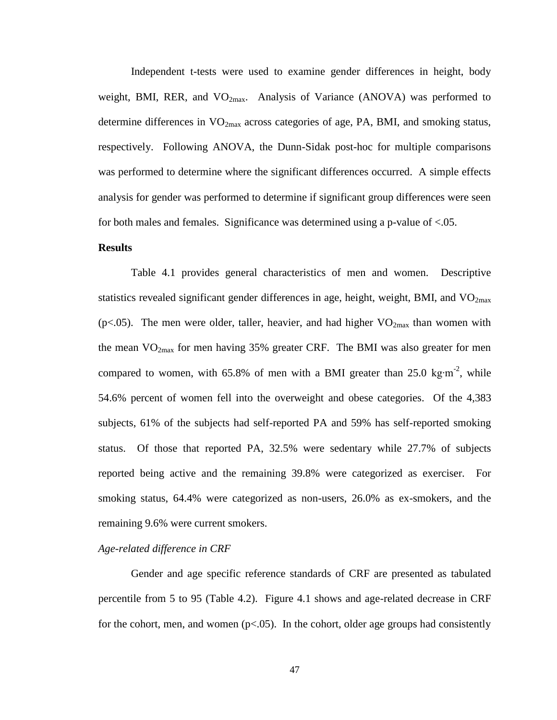Independent t-tests were used to examine gender differences in height, body weight, BMI, RER, and  $VO<sub>2max</sub>$ . Analysis of Variance (ANOVA) was performed to determine differences in  $VO_{2max}$  across categories of age, PA, BMI, and smoking status, respectively. Following ANOVA, the Dunn-Sidak post-hoc for multiple comparisons was performed to determine where the significant differences occurred. A simple effects analysis for gender was performed to determine if significant group differences were seen for both males and females. Significance was determined using a p-value of <.05.

# **Results**

Table 4.1 provides general characteristics of men and women. Descriptive statistics revealed significant gender differences in age, height, weight, BMI, and  $VO<sub>2max</sub>$ ( $p$ <.05). The men were older, taller, heavier, and had higher  $VO_{2max}$  than women with the mean  $VO_{2max}$  for men having 35% greater CRF. The BMI was also greater for men compared to women, with 65.8% of men with a BMI greater than 25.0 kg⋅m<sup>-2</sup>, while 54.6% percent of women fell into the overweight and obese categories. Of the 4,383 subjects, 61% of the subjects had self-reported PA and 59% has self-reported smoking status. Of those that reported PA, 32.5% were sedentary while 27.7% of subjects reported being active and the remaining 39.8% were categorized as exerciser. For smoking status, 64.4% were categorized as non-users, 26.0% as ex-smokers, and the remaining 9.6% were current smokers.

# *Age-related difference in CRF*

Gender and age specific reference standards of CRF are presented as tabulated percentile from 5 to 95 (Table 4.2). Figure 4.1 shows and age-related decrease in CRF for the cohort, men, and women  $(p<0.05)$ . In the cohort, older age groups had consistently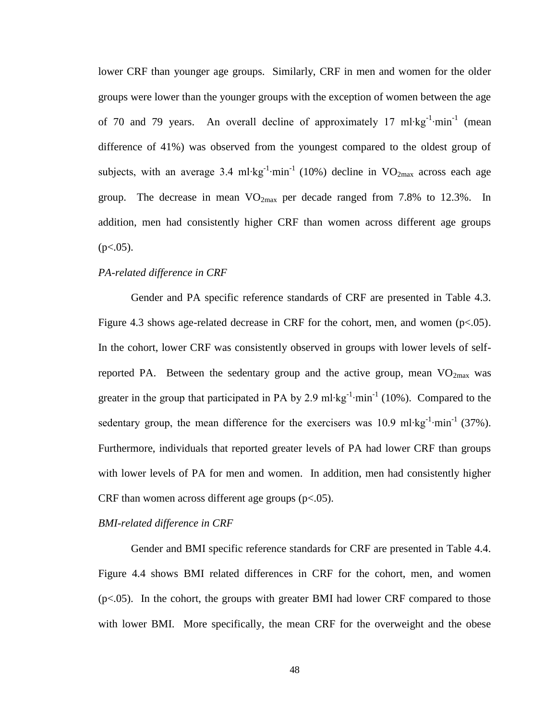lower CRF than younger age groups. Similarly, CRF in men and women for the older groups were lower than the younger groups with the exception of women between the age of 70 and 79 years. An overall decline of approximately 17 ml⋅kg<sup>-1</sup>⋅min<sup>-1</sup> (mean difference of 41%) was observed from the youngest compared to the oldest group of subjects, with an average 3.4 ml⋅kg<sup>-1</sup>⋅min<sup>-1</sup> (10%) decline in VO<sub>2max</sub> across each age group. The decrease in mean  $VO_{2max}$  per decade ranged from 7.8% to 12.3%. In addition, men had consistently higher CRF than women across different age groups  $(p<.05)$ .

# *PA-related difference in CRF*

Gender and PA specific reference standards of CRF are presented in Table 4.3. Figure 4.3 shows age-related decrease in CRF for the cohort, men, and women  $(p<.05)$ . In the cohort, lower CRF was consistently observed in groups with lower levels of selfreported PA. Between the sedentary group and the active group, mean  $VO_{2max}$  was greater in the group that participated in PA by 2.9 ml⋅kg<sup>-1</sup>⋅min<sup>-1</sup> (10%). Compared to the sedentary group, the mean difference for the exercisers was 10.9 ml⋅kg<sup>-1</sup>⋅min<sup>-1</sup> (37%). Furthermore, individuals that reported greater levels of PA had lower CRF than groups with lower levels of PA for men and women. In addition, men had consistently higher CRF than women across different age groups  $(p<.05)$ .

#### *BMI-related difference in CRF*

Gender and BMI specific reference standards for CRF are presented in Table 4.4. Figure 4.4 shows BMI related differences in CRF for the cohort, men, and women  $(p<.05)$ . In the cohort, the groups with greater BMI had lower CRF compared to those with lower BMI. More specifically, the mean CRF for the overweight and the obese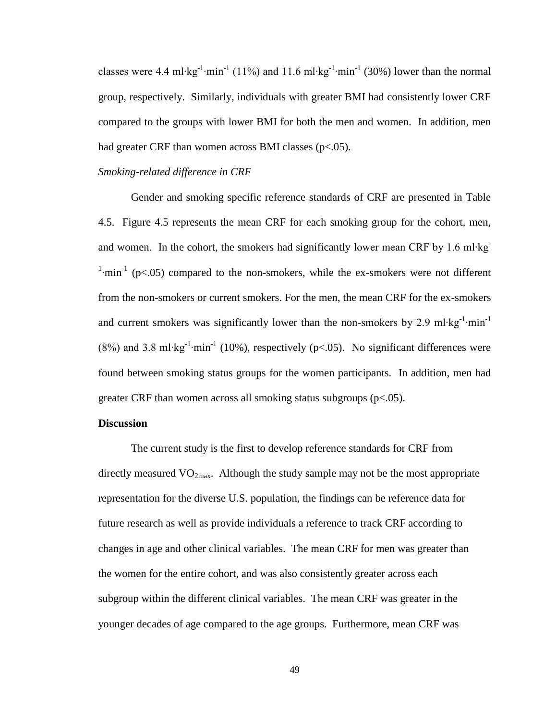classes were 4.4 ml⋅kg<sup>-1</sup>⋅min<sup>-1</sup> (11%) and 11.6 ml⋅kg<sup>-1</sup>⋅min<sup>-1</sup> (30%) lower than the normal group, respectively. Similarly, individuals with greater BMI had consistently lower CRF compared to the groups with lower BMI for both the men and women. In addition, men had greater CRF than women across BMI classes (p<.05).

#### *Smoking-related difference in CRF*

Gender and smoking specific reference standards of CRF are presented in Table 4.5. Figure 4.5 represents the mean CRF for each smoking group for the cohort, men, and women. In the cohort, the smokers had significantly lower mean CRF by 1.6 ml∙kg- $\frac{1}{2}$  min<sup>-1</sup> (p<.05) compared to the non-smokers, while the ex-smokers were not different from the non-smokers or current smokers. For the men, the mean CRF for the ex-smokers and current smokers was significantly lower than the non-smokers by 2.9 ml⋅kg<sup>-1</sup>⋅min<sup>-1</sup>  $(8\%)$  and 3.8 ml⋅kg<sup>-1</sup>⋅min<sup>-1</sup> (10%), respectively (p<.05). No significant differences were found between smoking status groups for the women participants. In addition, men had greater CRF than women across all smoking status subgroups  $(p<.05)$ .

# **Discussion**

The current study is the first to develop reference standards for CRF from directly measured  $VO<sub>2max</sub>$ . Although the study sample may not be the most appropriate representation for the diverse U.S. population, the findings can be reference data for future research as well as provide individuals a reference to track CRF according to changes in age and other clinical variables. The mean CRF for men was greater than the women for the entire cohort, and was also consistently greater across each subgroup within the different clinical variables. The mean CRF was greater in the younger decades of age compared to the age groups. Furthermore, mean CRF was

49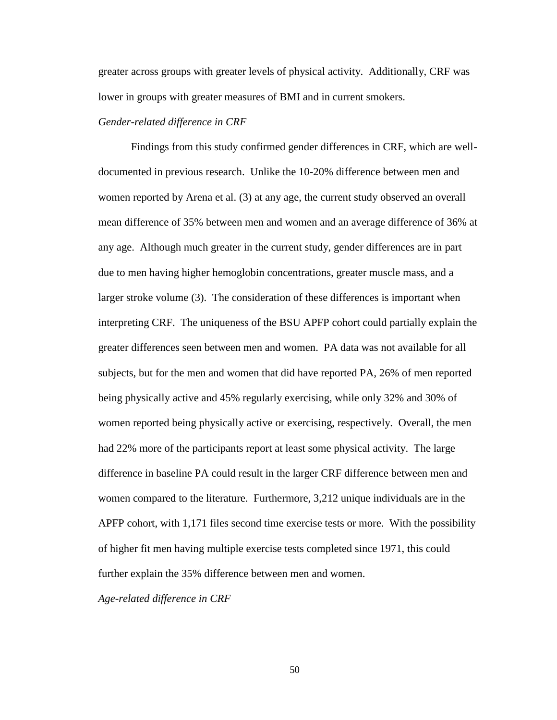greater across groups with greater levels of physical activity. Additionally, CRF was lower in groups with greater measures of BMI and in current smokers.

# *Gender-related difference in CRF*

Findings from this study confirmed gender differences in CRF, which are welldocumented in previous research. Unlike the 10-20% difference between men and women reported by Arena et al. (3) at any age, the current study observed an overall mean difference of 35% between men and women and an average difference of 36% at any age. Although much greater in the current study, gender differences are in part due to men having higher hemoglobin concentrations, greater muscle mass, and a larger stroke volume (3). The consideration of these differences is important when interpreting CRF. The uniqueness of the BSU APFP cohort could partially explain the greater differences seen between men and women. PA data was not available for all subjects, but for the men and women that did have reported PA, 26% of men reported being physically active and 45% regularly exercising, while only 32% and 30% of women reported being physically active or exercising, respectively. Overall, the men had 22% more of the participants report at least some physical activity. The large difference in baseline PA could result in the larger CRF difference between men and women compared to the literature. Furthermore, 3,212 unique individuals are in the APFP cohort, with 1,171 files second time exercise tests or more. With the possibility of higher fit men having multiple exercise tests completed since 1971, this could further explain the 35% difference between men and women.

*Age-related difference in CRF*

50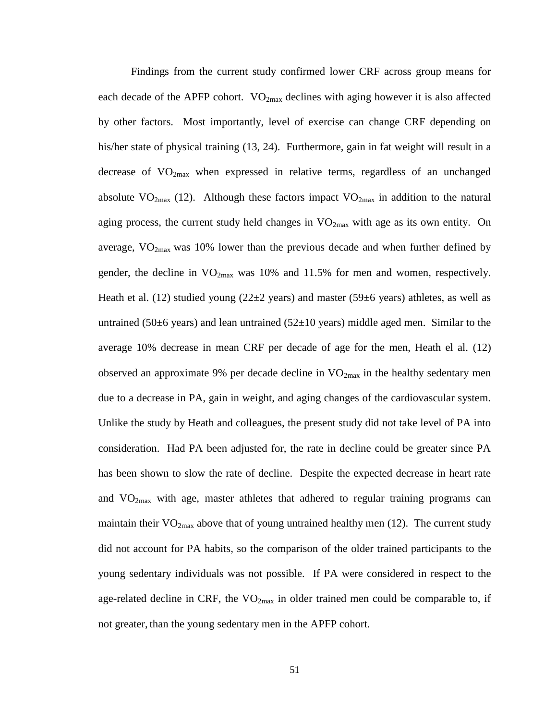Findings from the current study confirmed lower CRF across group means for each decade of the APFP cohort.  $VO_{2max}$  declines with aging however it is also affected by other factors. Most importantly, level of exercise can change CRF depending on his/her state of physical training (13, 24). Furthermore, gain in fat weight will result in a decrease of  $VO<sub>2max</sub>$  when expressed in relative terms, regardless of an unchanged absolute  $VO_{2max}$  (12). Although these factors impact  $VO_{2max}$  in addition to the natural aging process, the current study held changes in  $VO_{2max}$  with age as its own entity. On average,  $VO_{2max}$  was 10% lower than the previous decade and when further defined by gender, the decline in  $VO_{2max}$  was 10% and 11.5% for men and women, respectively. Heath et al. (12) studied young ( $22\pm 2$  years) and master ( $59\pm 6$  years) athletes, as well as untrained (50 $\pm$ 6 years) and lean untrained (52 $\pm$ 10 years) middle aged men. Similar to the average 10% decrease in mean CRF per decade of age for the men, Heath el al. (12) observed an approximate 9% per decade decline in  $VO_{2max}$  in the healthy sedentary men due to a decrease in PA, gain in weight, and aging changes of the cardiovascular system. Unlike the study by Heath and colleagues, the present study did not take level of PA into consideration. Had PA been adjusted for, the rate in decline could be greater since PA has been shown to slow the rate of decline. Despite the expected decrease in heart rate and  $VO<sub>2max</sub>$  with age, master athletes that adhered to regular training programs can maintain their  $VO_{2max}$  above that of young untrained healthy men (12). The current study did not account for PA habits, so the comparison of the older trained participants to the young sedentary individuals was not possible. If PA were considered in respect to the age-related decline in CRF, the  $VO_{2max}$  in older trained men could be comparable to, if not greater, than the young sedentary men in the APFP cohort.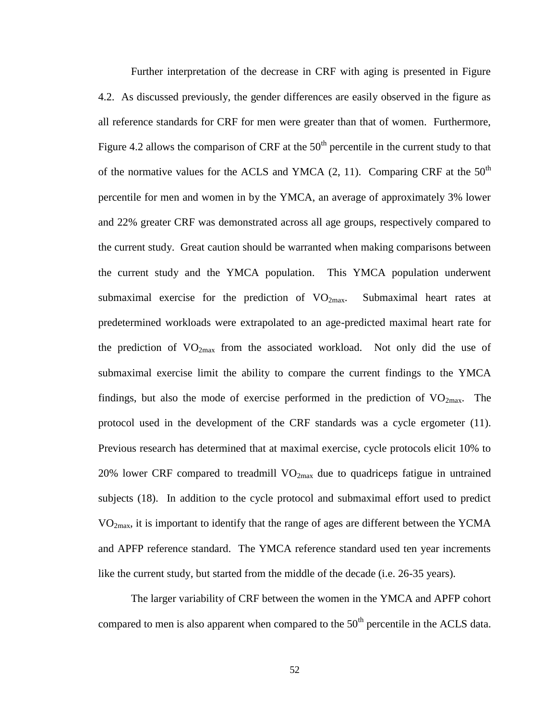Further interpretation of the decrease in CRF with aging is presented in Figure 4.2. As discussed previously, the gender differences are easily observed in the figure as all reference standards for CRF for men were greater than that of women. Furthermore, Figure 4.2 allows the comparison of CRF at the  $50<sup>th</sup>$  percentile in the current study to that of the normative values for the ACLS and YMCA  $(2, 11)$ . Comparing CRF at the 50<sup>th</sup> percentile for men and women in by the YMCA, an average of approximately 3% lower and 22% greater CRF was demonstrated across all age groups, respectively compared to the current study. Great caution should be warranted when making comparisons between the current study and the YMCA population. This YMCA population underwent submaximal exercise for the prediction of  $VO_{2max}$ . Submaximal heart rates at predetermined workloads were extrapolated to an age-predicted maximal heart rate for the prediction of  $VO_{2max}$  from the associated workload. Not only did the use of submaximal exercise limit the ability to compare the current findings to the YMCA findings, but also the mode of exercise performed in the prediction of  $VO<sub>2max</sub>$ . The protocol used in the development of the CRF standards was a cycle ergometer (11). Previous research has determined that at maximal exercise, cycle protocols elicit 10% to 20% lower CRF compared to treadmill  $VO_{2max}$  due to quadriceps fatigue in untrained subjects (18). In addition to the cycle protocol and submaximal effort used to predict  $VO<sub>2max</sub>$ , it is important to identify that the range of ages are different between the YCMA and APFP reference standard. The YMCA reference standard used ten year increments like the current study, but started from the middle of the decade (i.e. 26-35 years).

The larger variability of CRF between the women in the YMCA and APFP cohort compared to men is also apparent when compared to the  $50<sup>th</sup>$  percentile in the ACLS data.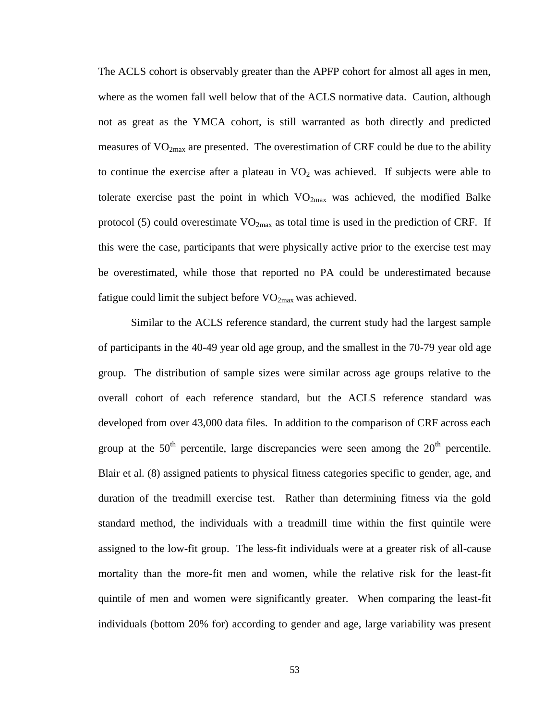The ACLS cohort is observably greater than the APFP cohort for almost all ages in men, where as the women fall well below that of the ACLS normative data. Caution, although not as great as the YMCA cohort, is still warranted as both directly and predicted measures of  $VO_{2max}$  are presented. The overestimation of CRF could be due to the ability to continue the exercise after a plateau in  $VO<sub>2</sub>$  was achieved. If subjects were able to tolerate exercise past the point in which  $VO_{2max}$  was achieved, the modified Balke protocol (5) could overestimate  $VO_{2max}$  as total time is used in the prediction of CRF. If this were the case, participants that were physically active prior to the exercise test may be overestimated, while those that reported no PA could be underestimated because fatigue could limit the subject before  $VO_{2max}$  was achieved.

Similar to the ACLS reference standard, the current study had the largest sample of participants in the 40-49 year old age group, and the smallest in the 70-79 year old age group. The distribution of sample sizes were similar across age groups relative to the overall cohort of each reference standard, but the ACLS reference standard was developed from over 43,000 data files. In addition to the comparison of CRF across each group at the  $50<sup>th</sup>$  percentile, large discrepancies were seen among the  $20<sup>th</sup>$  percentile. Blair et al. (8) assigned patients to physical fitness categories specific to gender, age, and duration of the treadmill exercise test. Rather than determining fitness via the gold standard method, the individuals with a treadmill time within the first quintile were assigned to the low-fit group. The less-fit individuals were at a greater risk of all-cause mortality than the more-fit men and women, while the relative risk for the least-fit quintile of men and women were significantly greater. When comparing the least-fit individuals (bottom 20% for) according to gender and age, large variability was present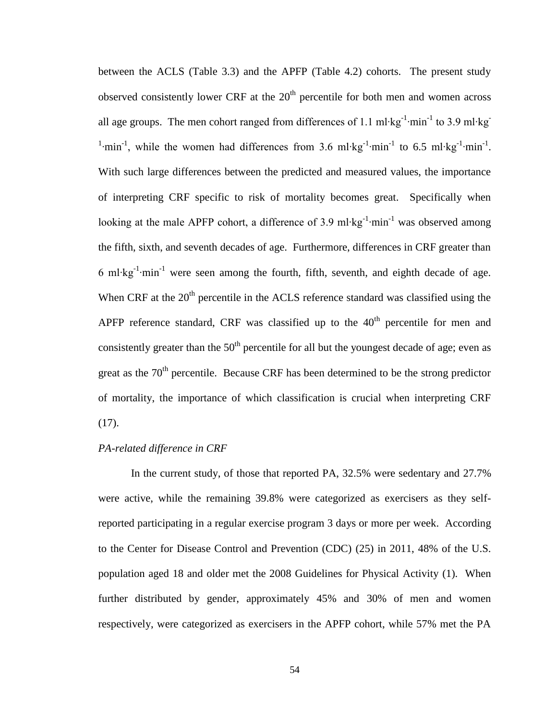between the ACLS (Table 3.3) and the APFP (Table 4.2) cohorts. The present study observed consistently lower CRF at the  $20<sup>th</sup>$  percentile for both men and women across all age groups. The men cohort ranged from differences of 1.1 ml⋅kg<sup>-1</sup>⋅min<sup>-1</sup> to 3.9 ml⋅kg<sup>-1</sup> <sup>1</sup>·min<sup>-1</sup>, while the women had differences from 3.6 ml⋅kg<sup>-1</sup>·min<sup>-1</sup> to 6.5 ml⋅kg<sup>-1</sup>·min<sup>-1</sup>. With such large differences between the predicted and measured values, the importance of interpreting CRF specific to risk of mortality becomes great. Specifically when looking at the male APFP cohort, a difference of 3.9 ml⋅kg<sup>-1</sup>⋅min<sup>-1</sup> was observed among the fifth, sixth, and seventh decades of age. Furthermore, differences in CRF greater than 6 ml⋅kg<sup>-1</sup>⋅min<sup>-1</sup> were seen among the fourth, fifth, seventh, and eighth decade of age. When CRF at the  $20<sup>th</sup>$  percentile in the ACLS reference standard was classified using the APFP reference standard, CRF was classified up to the  $40<sup>th</sup>$  percentile for men and consistently greater than the  $50<sup>th</sup>$  percentile for all but the youngest decade of age; even as great as the  $70<sup>th</sup>$  percentile. Because CRF has been determined to be the strong predictor of mortality, the importance of which classification is crucial when interpreting CRF (17).

# *PA-related difference in CRF*

In the current study, of those that reported PA, 32.5% were sedentary and 27.7% were active, while the remaining 39.8% were categorized as exercisers as they selfreported participating in a regular exercise program 3 days or more per week. According to the Center for Disease Control and Prevention (CDC) (25) in 2011, 48% of the U.S. population aged 18 and older met the 2008 Guidelines for Physical Activity (1). When further distributed by gender, approximately 45% and 30% of men and women respectively, were categorized as exercisers in the APFP cohort, while 57% met the PA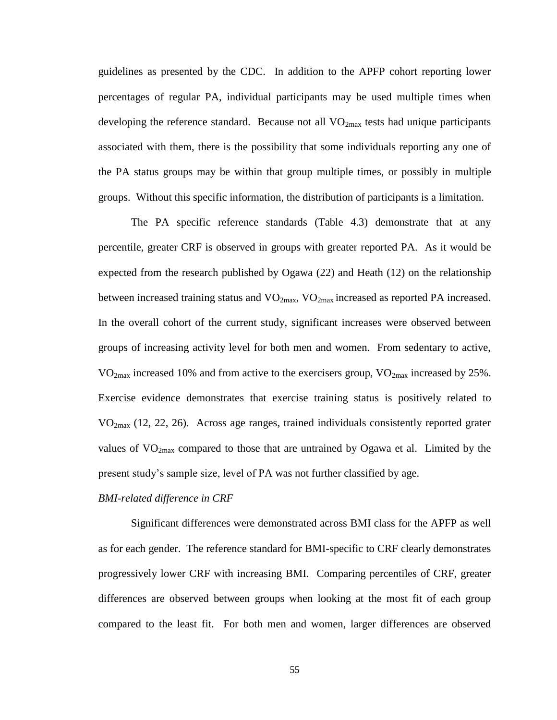guidelines as presented by the CDC. In addition to the APFP cohort reporting lower percentages of regular PA, individual participants may be used multiple times when developing the reference standard. Because not all  $VO<sub>2max</sub>$  tests had unique participants associated with them, there is the possibility that some individuals reporting any one of the PA status groups may be within that group multiple times, or possibly in multiple groups. Without this specific information, the distribution of participants is a limitation.

The PA specific reference standards (Table 4.3) demonstrate that at any percentile, greater CRF is observed in groups with greater reported PA. As it would be expected from the research published by Ogawa (22) and Heath (12) on the relationship between increased training status and  $VO_{2max}$ ,  $VO_{2max}$  increased as reported PA increased. In the overall cohort of the current study, significant increases were observed between groups of increasing activity level for both men and women. From sedentary to active,  $VO<sub>2max</sub>$  increased 10% and from active to the exercisers group,  $VO<sub>2max</sub>$  increased by 25%. Exercise evidence demonstrates that exercise training status is positively related to  $VO<sub>2max</sub>$  (12, 22, 26). Across age ranges, trained individuals consistently reported grater values of  $VO<sub>2max</sub>$  compared to those that are untrained by Ogawa et al. Limited by the present study's sample size, level of PA was not further classified by age.

#### *BMI-related difference in CRF*

Significant differences were demonstrated across BMI class for the APFP as well as for each gender. The reference standard for BMI-specific to CRF clearly demonstrates progressively lower CRF with increasing BMI. Comparing percentiles of CRF, greater differences are observed between groups when looking at the most fit of each group compared to the least fit. For both men and women, larger differences are observed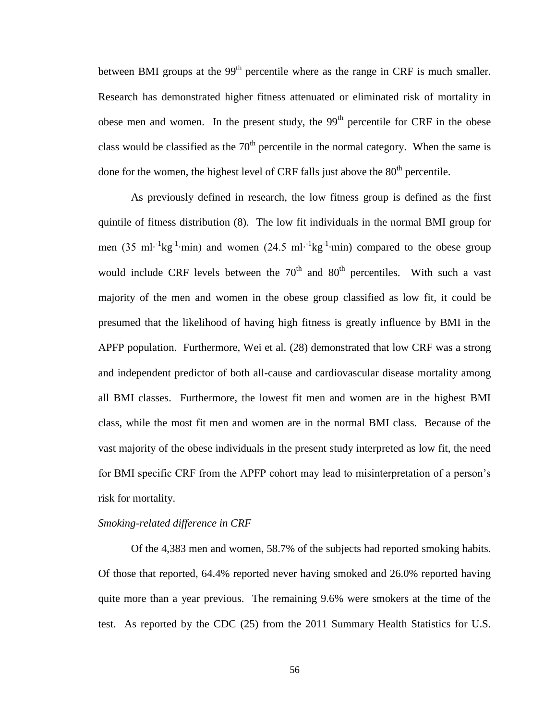between BMI groups at the  $99<sup>th</sup>$  percentile where as the range in CRF is much smaller. Research has demonstrated higher fitness attenuated or eliminated risk of mortality in obese men and women. In the present study, the  $99<sup>th</sup>$  percentile for CRF in the obese class would be classified as the  $70<sup>th</sup>$  percentile in the normal category. When the same is done for the women, the highest level of CRF falls just above the  $80<sup>th</sup>$  percentile.

As previously defined in research, the low fitness group is defined as the first quintile of fitness distribution (8). The low fit individuals in the normal BMI group for men (35 ml⋅<sup>-1</sup>kg<sup>-1</sup>⋅min) and women (24.5 ml⋅<sup>-1</sup>kg<sup>-1</sup>⋅min) compared to the obese group would include CRF levels between the  $70<sup>th</sup>$  and  $80<sup>th</sup>$  percentiles. With such a vast majority of the men and women in the obese group classified as low fit, it could be presumed that the likelihood of having high fitness is greatly influence by BMI in the APFP population. Furthermore, Wei et al. (28) demonstrated that low CRF was a strong and independent predictor of both all-cause and cardiovascular disease mortality among all BMI classes. Furthermore, the lowest fit men and women are in the highest BMI class, while the most fit men and women are in the normal BMI class. Because of the vast majority of the obese individuals in the present study interpreted as low fit, the need for BMI specific CRF from the APFP cohort may lead to misinterpretation of a person's risk for mortality.

#### *Smoking-related difference in CRF*

Of the 4,383 men and women, 58.7% of the subjects had reported smoking habits. Of those that reported, 64.4% reported never having smoked and 26.0% reported having quite more than a year previous. The remaining 9.6% were smokers at the time of the test. As reported by the CDC (25) from the 2011 Summary Health Statistics for U.S.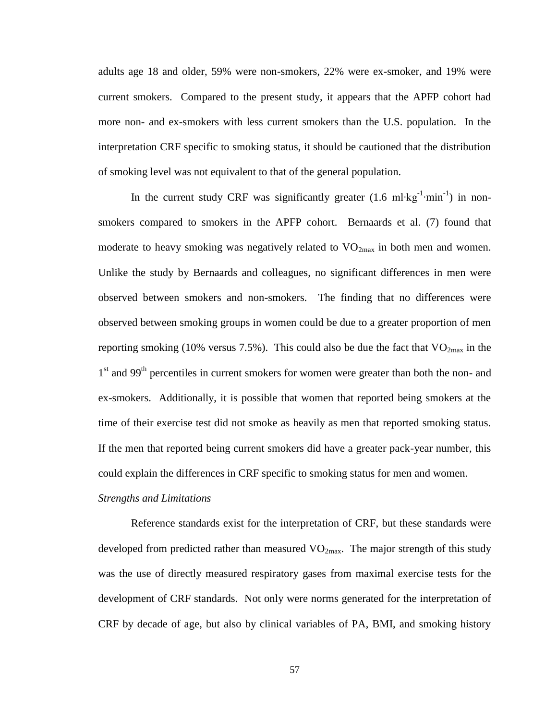adults age 18 and older, 59% were non-smokers, 22% were ex-smoker, and 19% were current smokers. Compared to the present study, it appears that the APFP cohort had more non- and ex-smokers with less current smokers than the U.S. population. In the interpretation CRF specific to smoking status, it should be cautioned that the distribution of smoking level was not equivalent to that of the general population.

In the current study CRF was significantly greater  $(1.6 \text{ ml·kg}^{-1} \cdot \text{min}^{-1})$  in nonsmokers compared to smokers in the APFP cohort. Bernaards et al. (7) found that moderate to heavy smoking was negatively related to  $VO_{2max}$  in both men and women. Unlike the study by Bernaards and colleagues, no significant differences in men were observed between smokers and non-smokers. The finding that no differences were observed between smoking groups in women could be due to a greater proportion of men reporting smoking (10% versus 7.5%). This could also be due the fact that  $VO_{2max}$  in the 1<sup>st</sup> and 99<sup>th</sup> percentiles in current smokers for women were greater than both the non- and ex-smokers. Additionally, it is possible that women that reported being smokers at the time of their exercise test did not smoke as heavily as men that reported smoking status. If the men that reported being current smokers did have a greater pack-year number, this could explain the differences in CRF specific to smoking status for men and women.

# *Strengths and Limitations*

Reference standards exist for the interpretation of CRF, but these standards were developed from predicted rather than measured  $VO_{2max}$ . The major strength of this study was the use of directly measured respiratory gases from maximal exercise tests for the development of CRF standards. Not only were norms generated for the interpretation of CRF by decade of age, but also by clinical variables of PA, BMI, and smoking history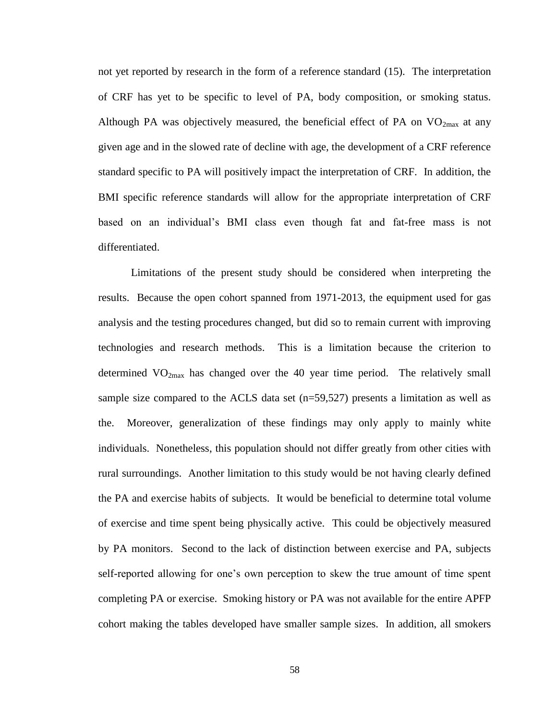not yet reported by research in the form of a reference standard (15). The interpretation of CRF has yet to be specific to level of PA, body composition, or smoking status. Although PA was objectively measured, the beneficial effect of PA on  $VO_{2max}$  at any given age and in the slowed rate of decline with age, the development of a CRF reference standard specific to PA will positively impact the interpretation of CRF. In addition, the BMI specific reference standards will allow for the appropriate interpretation of CRF based on an individual's BMI class even though fat and fat-free mass is not differentiated.

Limitations of the present study should be considered when interpreting the results. Because the open cohort spanned from 1971-2013, the equipment used for gas analysis and the testing procedures changed, but did so to remain current with improving technologies and research methods. This is a limitation because the criterion to determined  $VO_{2max}$  has changed over the 40 year time period. The relatively small sample size compared to the ACLS data set  $(n=59,527)$  presents a limitation as well as the. Moreover, generalization of these findings may only apply to mainly white individuals. Nonetheless, this population should not differ greatly from other cities with rural surroundings. Another limitation to this study would be not having clearly defined the PA and exercise habits of subjects. It would be beneficial to determine total volume of exercise and time spent being physically active. This could be objectively measured by PA monitors. Second to the lack of distinction between exercise and PA, subjects self-reported allowing for one's own perception to skew the true amount of time spent completing PA or exercise. Smoking history or PA was not available for the entire APFP cohort making the tables developed have smaller sample sizes. In addition, all smokers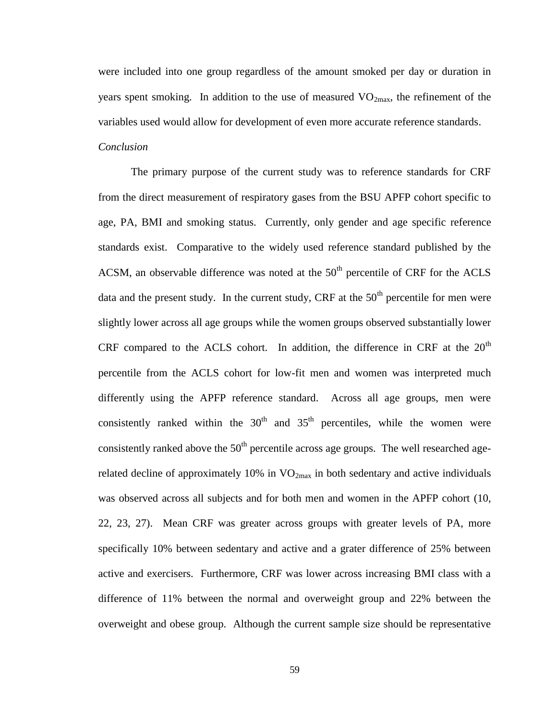were included into one group regardless of the amount smoked per day or duration in years spent smoking. In addition to the use of measured  $VO_{2max}$ , the refinement of the variables used would allow for development of even more accurate reference standards.

# *Conclusion*

The primary purpose of the current study was to reference standards for CRF from the direct measurement of respiratory gases from the BSU APFP cohort specific to age, PA, BMI and smoking status. Currently, only gender and age specific reference standards exist. Comparative to the widely used reference standard published by the ACSM, an observable difference was noted at the  $50<sup>th</sup>$  percentile of CRF for the ACLS data and the present study. In the current study, CRF at the  $50<sup>th</sup>$  percentile for men were slightly lower across all age groups while the women groups observed substantially lower CRF compared to the ACLS cohort. In addition, the difference in CRF at the  $20<sup>th</sup>$ percentile from the ACLS cohort for low-fit men and women was interpreted much differently using the APFP reference standard. Across all age groups, men were consistently ranked within the  $30<sup>th</sup>$  and  $35<sup>th</sup>$  percentiles, while the women were consistently ranked above the  $50<sup>th</sup>$  percentile across age groups. The well researched agerelated decline of approximately 10% in  $VO_{2max}$  in both sedentary and active individuals was observed across all subjects and for both men and women in the APFP cohort (10, 22, 23, 27). Mean CRF was greater across groups with greater levels of PA, more specifically 10% between sedentary and active and a grater difference of 25% between active and exercisers. Furthermore, CRF was lower across increasing BMI class with a difference of 11% between the normal and overweight group and 22% between the overweight and obese group. Although the current sample size should be representative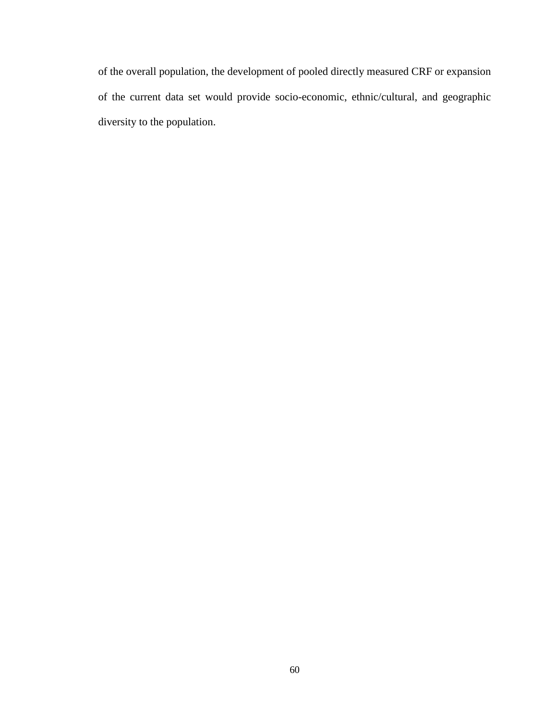of the overall population, the development of pooled directly measured CRF or expansion of the current data set would provide socio-economic, ethnic/cultural, and geographic diversity to the population.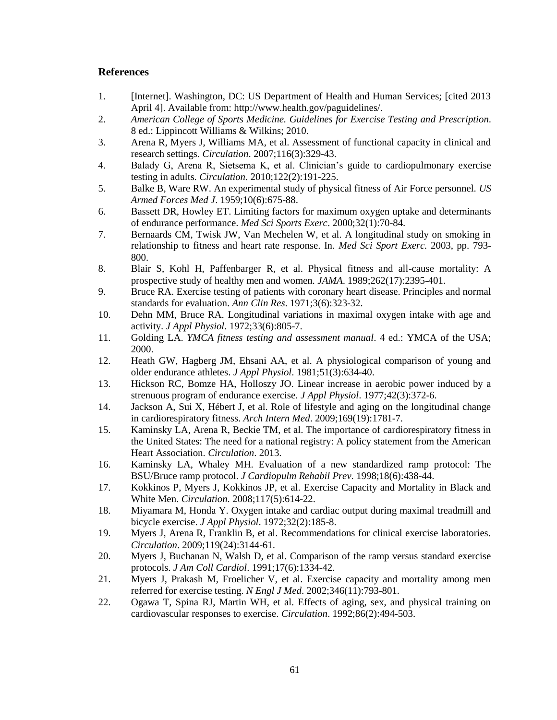# **References**

- 1. [Internet]. Washington, DC: US Department of Health and Human Services; [cited 2013 April 4]. Available from: http://www.health.gov/paguidelines/.
- 2. *American College of Sports Medicine. Guidelines for Exercise Testing and Prescription*. 8 ed.: Lippincott Williams & Wilkins; 2010.
- 3. Arena R, Myers J, Williams MA, et al. Assessment of functional capacity in clinical and research settings. *Circulation*. 2007;116(3):329-43.
- 4. Balady G, Arena R, Sietsema K, et al. Clinician's guide to cardiopulmonary exercise testing in adults. *Circulation*. 2010;122(2):191-225.
- 5. Balke B, Ware RW. An experimental study of physical fitness of Air Force personnel. *US Armed Forces Med J*. 1959;10(6):675-88.
- 6. Bassett DR, Howley ET. Limiting factors for maximum oxygen uptake and determinants of endurance performance. *Med Sci Sports Exerc*. 2000;32(1):70-84.
- 7. Bernaards CM, Twisk JW, Van Mechelen W, et al. A longitudinal study on smoking in relationship to fitness and heart rate response. In. *Med Sci Sport Exerc.* 2003, pp. 793- 800.
- 8. Blair S, Kohl H, Paffenbarger R, et al. Physical fitness and all-cause mortality: A prospective study of healthy men and women. *JAMA*. 1989;262(17):2395-401.
- 9. Bruce RA. Exercise testing of patients with coronary heart disease. Principles and normal standards for evaluation. *Ann Clin Res*. 1971;3(6):323-32.
- 10. Dehn MM, Bruce RA. Longitudinal variations in maximal oxygen intake with age and activity. *J Appl Physiol*. 1972;33(6):805-7.
- 11. Golding LA. *YMCA fitness testing and assessment manual*. 4 ed.: YMCA of the USA; 2000.
- 12. Heath GW, Hagberg JM, Ehsani AA, et al. A physiological comparison of young and older endurance athletes. *J Appl Physiol*. 1981;51(3):634-40.
- 13. Hickson RC, Bomze HA, Holloszy JO. Linear increase in aerobic power induced by a strenuous program of endurance exercise. *J Appl Physiol*. 1977;42(3):372-6.
- 14. Jackson A, Sui X, Hébert J, et al. Role of lifestyle and aging on the longitudinal change in cardiorespiratory fitness. *Arch Intern Med*. 2009;169(19):1781-7.
- 15. Kaminsky LA, Arena R, Beckie TM, et al. The importance of cardiorespiratory fitness in the United States: The need for a national registry: A policy statement from the American Heart Association. *Circulation*. 2013.
- 16. Kaminsky LA, Whaley MH. Evaluation of a new standardized ramp protocol: The BSU/Bruce ramp protocol. *J Cardiopulm Rehabil Prev*. 1998;18(6):438-44.
- 17. Kokkinos P, Myers J, Kokkinos JP, et al. Exercise Capacity and Mortality in Black and White Men. *Circulation*. 2008;117(5):614-22.
- 18. Miyamara M, Honda Y. Oxygen intake and cardiac output during maximal treadmill and bicycle exercise. *J Appl Physiol*. 1972;32(2):185-8.
- 19. Myers J, Arena R, Franklin B, et al. Recommendations for clinical exercise laboratories. *Circulation*. 2009;119(24):3144-61.
- 20. Myers J, Buchanan N, Walsh D, et al. Comparison of the ramp versus standard exercise protocols. *J Am Coll Cardiol*. 1991;17(6):1334-42.
- 21. Myers J, Prakash M, Froelicher V, et al. Exercise capacity and mortality among men referred for exercise testing. *N Engl J Med*. 2002;346(11):793-801.
- 22. Ogawa T, Spina RJ, Martin WH, et al. Effects of aging, sex, and physical training on cardiovascular responses to exercise. *Circulation*. 1992;86(2):494-503.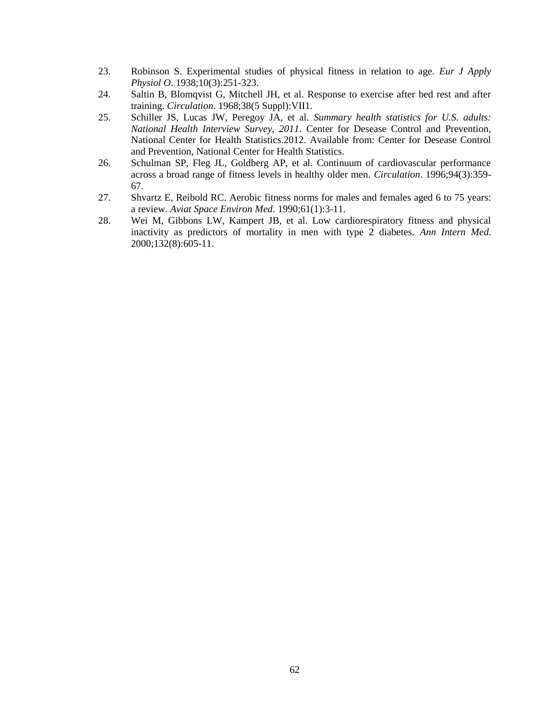- 23. Robinson S. Experimental studies of physical fitness in relation to age. *Eur J Apply Physiol O*. 1938;10(3):251-323.
- 24. Saltin B, Blomqvist G, Mitchell JH, et al. Response to exercise after bed rest and after training. *Circulation*. 1968;38(5 Suppl):VII1.
- 25. Schiller JS, Lucas JW, Peregoy JA, et al. *Summary health statistics for U.S. adults: National Health Interview Survey, 2011*. Center for Desease Control and Prevention, National Center for Health Statistics.2012. Available from: Center for Desease Control and Prevention, National Center for Health Statistics.
- 26. Schulman SP, Fleg JL, Goldberg AP, et al. Continuum of cardiovascular performance across a broad range of fitness levels in healthy older men. *Circulation*. 1996;94(3):359- 67.
- 27. Shvartz E, Reibold RC. Aerobic fitness norms for males and females aged 6 to 75 years: a review. *Aviat Space Environ Med*. 1990;61(1):3-11.
- 28. Wei M, Gibbons LW, Kampert JB, et al. Low cardiorespiratory fitness and physical inactivity as predictors of mortality in men with type 2 diabetes. *Ann Intern Med*. 2000;132(8):605-11.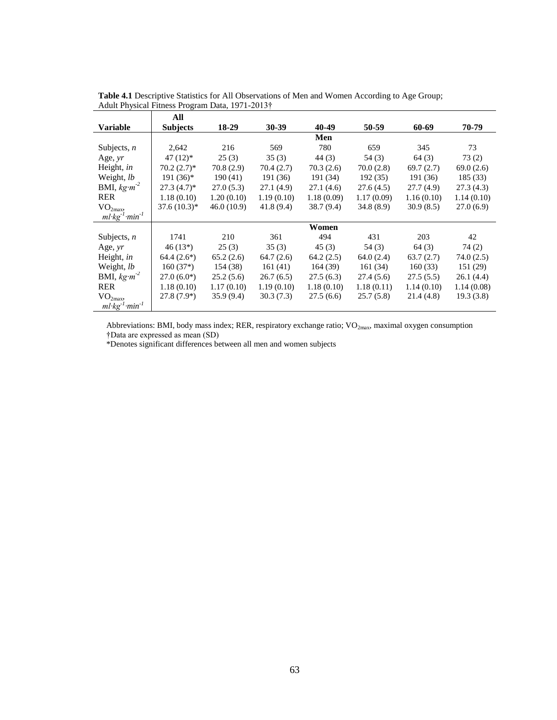|                                   | All             |             |            |            |            |            |            |
|-----------------------------------|-----------------|-------------|------------|------------|------------|------------|------------|
| <b>Variable</b>                   | <b>Subjects</b> | 18-29       | 30-39      | 40-49      | 50-59      | 60-69      | 70-79      |
|                                   |                 |             |            | Men        |            |            |            |
| Subjects, $n$                     | 2,642           | 216         | 569        | 780        | 659        | 345        | 73         |
| Age, yr                           | $47(12)*$       | 25(3)       | 35(3)      | 44(3)      | 54 (3)     | 64(3)      | 73(2)      |
| Height, in                        | $70.2(2.7)$ *   | 70.8(2.9)   | 70.4 (2.7) | 70.3 (2.6) | 70.0 (2.8) | 69.7(2.7)  | 69.0(2.6)  |
| Weight, lb                        | $191(36)*$      | 190(41)     | 191 (36)   | 191 (34)   | 192(35)    | 191 (36)   | 185 (33)   |
| BMI, $kg m^2$                     | $27.3(4.7)^*$   | 27.0(5.3)   | 27.1 (4.9) | 27.1(4.6)  | 27.6(4.5)  | 27.7(4.9)  | 27.3(4.3)  |
| <b>RER</b>                        | 1.18(0.10)      | 1.20(0.10)  | 1.19(0.10) | 1.18(0.09) | 1.17(0.09) | 1.16(0.10) | 1.14(0.10) |
| VO <sub>2max</sub>                | $37.6(10.3)*$   | 46.0 (10.9) | 41.8(9.4)  | 38.7 (9.4) | 34.8(8.9)  | 30.9(8.5)  | 27.0(6.9)  |
| $ml$ · $kg^{-1}$ · $min^{-1}$     |                 |             |            |            |            |            |            |
|                                   |                 |             |            | Women      |            |            |            |
| Subjects, $n$                     | 1741            | 210         | 361        | 494        | 431        | 203        | 42         |
| Age, $yr$                         | $46(13*)$       | 25(3)       | 35(3)      | 45(3)      | 54 (3)     | 64(3)      | 74(2)      |
| Height, in                        | $64.4(2.6*)$    | 65.2(2.6)   | 64.7(2.6)  | 64.2(2.5)  | 64.0(2.4)  | 63.7(2.7)  | 74.0(2.5)  |
| Weight, lb                        | $160(37*)$      | 154 (38)    | 161(41)    | 164(39)    | 161(34)    | 160(33)    | 151(29)    |
| BMI, $kg \cdot m^{-2}$            | $27.0(6.0*)$    | 25.2(5.6)   | 26.7(6.5)  | 27.5(6.3)  | 27.4 (5.6) | 27.5(5.5)  | 26.1(4.4)  |
| <b>RER</b>                        | 1.18(0.10)      | 1.17(0.10)  | 1.19(0.10) | 1.18(0.10) | 1.18(0.11) | 1.14(0.10) | 1.14(0.08) |
| VO <sub>2max</sub>                | $27.8(7.9*)$    | 35.9(9.4)   | 30.3(7.3)  | 27.5(6.6)  | 25.7(5.8)  | 21.4 (4.8) | 19.3(3.8)  |
| $ml \cdot kg^{-1} \cdot min^{-1}$ |                 |             |            |            |            |            |            |

**Table 4.1** Descriptive Statistics for All Observations of Men and Women According to Age Group; Adult Physical Fitness Program Data, 1971-2013†

Abbreviations: BMI, body mass index; RER, respiratory exchange ratio; VO<sub>2max</sub>, maximal oxygen consumption †Data are expressed as mean (SD)

\*Denotes significant differences between all men and women subjects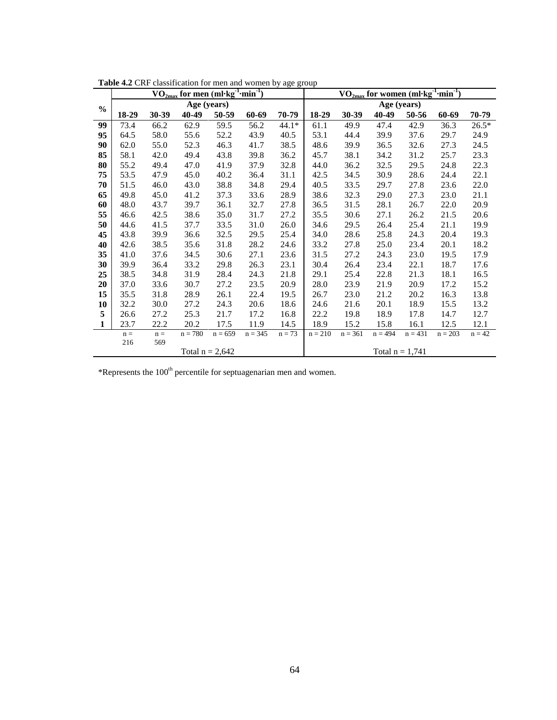|               | $\rm VO_{2max}$ for men (ml·kg <sup>-1</sup> ·min <sup>-1</sup> ) |       |                   |           |           |          |           | $\rm VO_{2max}$ for women (ml· $\rm kg^{-1} \cdot min^{-1}$ ) |                   |           |           |          |  |
|---------------|-------------------------------------------------------------------|-------|-------------------|-----------|-----------|----------|-----------|---------------------------------------------------------------|-------------------|-----------|-----------|----------|--|
| $\frac{0}{0}$ |                                                                   |       | Age (years)       |           |           |          |           |                                                               | Age (years)       |           |           |          |  |
|               | 18-29                                                             | 30-39 | 40-49             | 50-59     | 60-69     | 70-79    | 18-29     | 30-39                                                         | 40-49             | 50-56     | 60-69     | 70-79    |  |
| 99            | 73.4                                                              | 66.2  | 62.9              | 59.5      | 56.2      | $44.1*$  | 61.1      | 49.9                                                          | 47.4              | 42.9      | 36.3      | $26.5*$  |  |
| 95            | 64.5                                                              | 58.0  | 55.6              | 52.2      | 43.9      | 40.5     | 53.1      | 44.4                                                          | 39.9              | 37.6      | 29.7      | 24.9     |  |
| 90            | 62.0                                                              | 55.0  | 52.3              | 46.3      | 41.7      | 38.5     | 48.6      | 39.9                                                          | 36.5              | 32.6      | 27.3      | 24.5     |  |
| 85            | 58.1                                                              | 42.0  | 49.4              | 43.8      | 39.8      | 36.2     | 45.7      | 38.1                                                          | 34.2              | 31.2      | 25.7      | 23.3     |  |
| 80            | 55.2                                                              | 49.4  | 47.0              | 41.9      | 37.9      | 32.8     | 44.0      | 36.2                                                          | 32.5              | 29.5      | 24.8      | 22.3     |  |
| 75            | 53.5                                                              | 47.9  | 45.0              | 40.2      | 36.4      | 31.1     | 42.5      | 34.5                                                          | 30.9              | 28.6      | 24.4      | 22.1     |  |
| 70            | 51.5                                                              | 46.0  | 43.0              | 38.8      | 34.8      | 29.4     | 40.5      | 33.5                                                          | 29.7              | 27.8      | 23.6      | 22.0     |  |
| 65            | 49.8                                                              | 45.0  | 41.2              | 37.3      | 33.6      | 28.9     | 38.6      | 32.3                                                          | 29.0              | 27.3      | 23.0      | 21.1     |  |
| 60            | 48.0                                                              | 43.7  | 39.7              | 36.1      | 32.7      | 27.8     | 36.5      | 31.5                                                          | 28.1              | 26.7      | 22.0      | 20.9     |  |
| 55            | 46.6                                                              | 42.5  | 38.6              | 35.0      | 31.7      | 27.2     | 35.5      | 30.6                                                          | 27.1              | 26.2      | 21.5      | 20.6     |  |
| 50            | 44.6                                                              | 41.5  | 37.7              | 33.5      | 31.0      | 26.0     | 34.6      | 29.5                                                          | 26.4              | 25.4      | 21.1      | 19.9     |  |
| 45            | 43.8                                                              | 39.9  | 36.6              | 32.5      | 29.5      | 25.4     | 34.0      | 28.6                                                          | 25.8              | 24.3      | 20.4      | 19.3     |  |
| 40            | 42.6                                                              | 38.5  | 35.6              | 31.8      | 28.2      | 24.6     | 33.2      | 27.8                                                          | 25.0              | 23.4      | 20.1      | 18.2     |  |
| 35            | 41.0                                                              | 37.6  | 34.5              | 30.6      | 27.1      | 23.6     | 31.5      | 27.2                                                          | 24.3              | 23.0      | 19.5      | 17.9     |  |
| 30            | 39.9                                                              | 36.4  | 33.2              | 29.8      | 26.3      | 23.1     | 30.4      | 26.4                                                          | 23.4              | 22.1      | 18.7      | 17.6     |  |
| 25            | 38.5                                                              | 34.8  | 31.9              | 28.4      | 24.3      | 21.8     | 29.1      | 25.4                                                          | 22.8              | 21.3      | 18.1      | 16.5     |  |
| 20            | 37.0                                                              | 33.6  | 30.7              | 27.2      | 23.5      | 20.9     | 28.0      | 23.9                                                          | 21.9              | 20.9      | 17.2      | 15.2     |  |
| 15            | 35.5                                                              | 31.8  | 28.9              | 26.1      | 22.4      | 19.5     | 26.7      | 23.0                                                          | 21.2              | 20.2      | 16.3      | 13.8     |  |
| 10            | 32.2                                                              | 30.0  | 27.2              | 24.3      | 20.6      | 18.6     | 24.6      | 21.6                                                          | 20.1              | 18.9      | 15.5      | 13.2     |  |
| 5             | 26.6                                                              | 27.2  | 25.3              | 21.7      | 17.2      | 16.8     | 22.2      | 19.8                                                          | 18.9              | 17.8      | 14.7      | 12.7     |  |
| 1             | 23.7                                                              | 22.2  | 20.2              | 17.5      | 11.9      | 14.5     | 18.9      | 15.2                                                          | 15.8              | 16.1      | 12.5      | 12.1     |  |
|               | $n =$                                                             | $n =$ | $n = 780$         | $n = 659$ | $n = 345$ | $n = 73$ | $n = 210$ | $n = 361$                                                     | $n = 494$         | $n = 431$ | $n = 203$ | $n = 42$ |  |
|               | 216                                                               | 569   |                   |           |           |          |           |                                                               |                   |           |           |          |  |
|               |                                                                   |       | Total $n = 2,642$ |           |           |          |           |                                                               | Total $n = 1,741$ |           |           |          |  |

**Table 4.2** CRF classification for men and women by age group

 $*$ Represents the 100<sup>th</sup> percentile for septuagenarian men and women.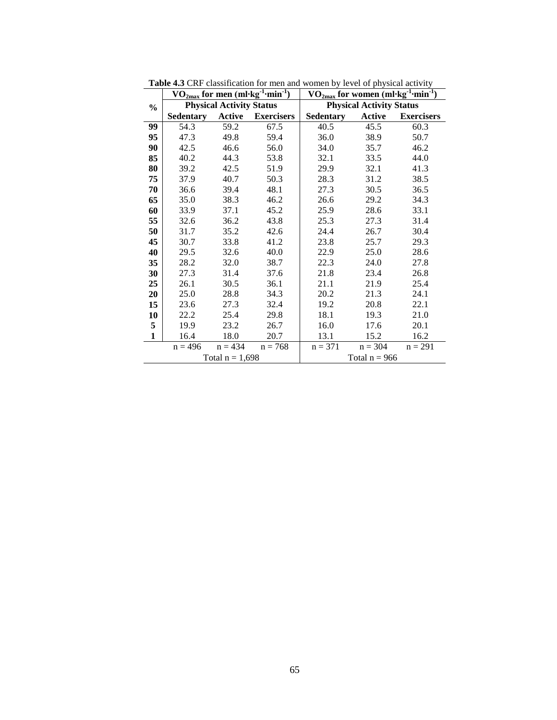|               |                  |                                 | $\rm{VO_{2max}}$ for men (ml·kg $^{-1}$ ·min $^{-1})$ | $\rm \frac{VO_{2max}}$ for women (ml·kg <sup>-1</sup> ·min <sup>-1</sup> ) |                                 |                   |
|---------------|------------------|---------------------------------|-------------------------------------------------------|----------------------------------------------------------------------------|---------------------------------|-------------------|
| $\frac{0}{0}$ |                  | <b>Physical Activity Status</b> |                                                       |                                                                            | <b>Physical Activity Status</b> |                   |
|               | <b>Sedentary</b> | Active                          | <b>Exercisers</b>                                     | <b>Sedentary</b>                                                           | Active                          | <b>Exercisers</b> |
| 99            | 54.3             | 59.2                            | 67.5                                                  | 40.5                                                                       | 45.5                            | 60.3              |
| 95            | 47.3             | 49.8                            | 59.4                                                  | 36.0                                                                       | 38.9                            | 50.7              |
| 90            | 42.5             | 46.6                            | 56.0                                                  | 34.0                                                                       | 35.7                            | 46.2              |
| 85            | 40.2             | 44.3                            | 53.8                                                  | 32.1                                                                       | 33.5                            | 44.0              |
| 80            | 39.2             | 42.5                            | 51.9                                                  | 29.9                                                                       | 32.1                            | 41.3              |
| 75            | 37.9             | 40.7                            | 50.3                                                  | 28.3                                                                       | 31.2                            | 38.5              |
| 70            | 36.6             | 39.4                            | 48.1                                                  | 27.3                                                                       | 30.5                            | 36.5              |
| 65            | 35.0             | 38.3                            | 46.2                                                  | 26.6                                                                       | 29.2                            | 34.3              |
| 60            | 33.9             | 37.1                            | 45.2                                                  | 25.9                                                                       | 28.6                            | 33.1              |
| 55            | 32.6             | 36.2                            | 43.8                                                  | 25.3                                                                       | 27.3                            | 31.4              |
| 50            | 31.7             | 35.2                            | 42.6                                                  | 24.4                                                                       | 26.7                            | 30.4              |
| 45            | 30.7             | 33.8                            | 41.2                                                  | 23.8                                                                       | 25.7                            | 29.3              |
| 40            | 29.5             | 32.6                            | 40.0                                                  | 22.9                                                                       | 25.0                            | 28.6              |
| 35            | 28.2             | 32.0                            | 38.7                                                  | 22.3                                                                       | 24.0                            | 27.8              |
| 30            | 27.3             | 31.4                            | 37.6                                                  | 21.8                                                                       | 23.4                            | 26.8              |
| 25            | 26.1             | 30.5                            | 36.1                                                  | 21.1                                                                       | 21.9                            | 25.4              |
| 20            | 25.0             | 28.8                            | 34.3                                                  | 20.2                                                                       | 21.3                            | 24.1              |
| 15            | 23.6             | 27.3                            | 32.4                                                  | 19.2                                                                       | 20.8                            | 22.1              |
| 10            | 22.2             | 25.4                            | 29.8                                                  | 18.1                                                                       | 19.3                            | 21.0              |
| 5             | 19.9             | 23.2                            | 26.7                                                  | 16.0                                                                       | 17.6                            | 20.1              |
| $\mathbf{1}$  | 16.4             | 18.0                            | 20.7                                                  | 13.1                                                                       | 15.2                            | 16.2              |
|               | $n = 496$        | $n = 434$                       | $n = 768$                                             | $n = 371$                                                                  | $n = 304$                       | $n = 291$         |
|               |                  | Total $n = 1,698$               |                                                       |                                                                            | Total $n = 966$                 |                   |

**Table 4.3** CRF classification for men and women by level of physical activity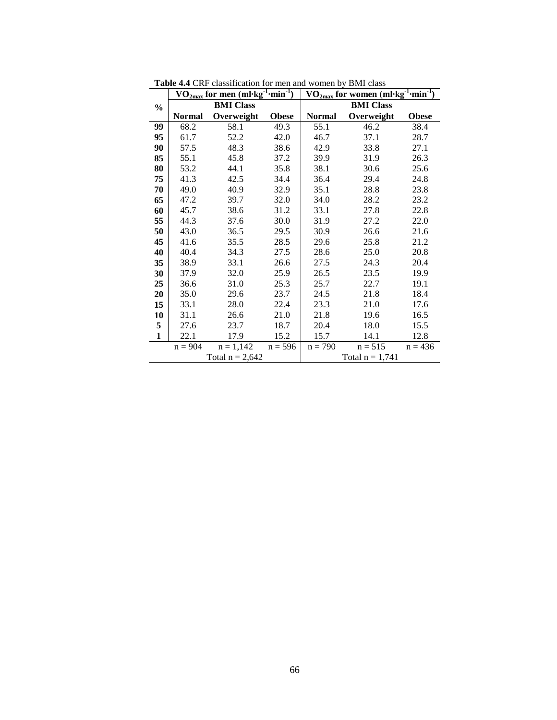|               |               | $\rm VO_{2max}$ for men (ml·kg $\,$ | $\cdot$ min $^{T}$ | <b>min</b><br>VO <sub>2max</sub> for women (ml·kg <sup>-</sup> |                  |              |  |  |  |
|---------------|---------------|-------------------------------------|--------------------|----------------------------------------------------------------|------------------|--------------|--|--|--|
| $\frac{0}{0}$ |               | <b>BMI</b> Class                    |                    |                                                                | <b>BMI</b> Class |              |  |  |  |
|               | <b>Normal</b> | Overweight                          | <b>Obese</b>       | <b>Normal</b>                                                  | Overweight       | <b>Obese</b> |  |  |  |
| 99            | 68.2          | 58.1                                | 49.3               | 55.1                                                           | 46.2             | 38.4         |  |  |  |
| 95            | 61.7          | 52.2                                | 42.0               | 46.7                                                           | 37.1             | 28.7         |  |  |  |
| 90            | 57.5          | 48.3                                | 38.6               | 42.9                                                           | 33.8             | 27.1         |  |  |  |
| 85            | 55.1          | 45.8                                | 37.2               | 39.9                                                           | 31.9             | 26.3         |  |  |  |
| 80            | 53.2          | 44.1                                | 35.8               | 38.1                                                           | 30.6             | 25.6         |  |  |  |
| 75            | 41.3          | 42.5                                | 34.4               | 36.4                                                           | 29.4             | 24.8         |  |  |  |
| 70            | 49.0          | 40.9                                | 32.9               | 35.1                                                           | 28.8             | 23.8         |  |  |  |
| 65            | 47.2          | 39.7                                | 32.0               | 34.0                                                           | 28.2             | 23.2         |  |  |  |
| 60            | 45.7          | 38.6                                | 31.2               | 33.1                                                           | 27.8             | 22.8         |  |  |  |
| 55            | 44.3          | 37.6                                | 30.0               | 31.9                                                           | 27.2             | 22.0         |  |  |  |
| 50            | 43.0          | 36.5                                | 29.5               | 30.9                                                           | 26.6             | 21.6         |  |  |  |
| 45            | 41.6          | 35.5                                | 28.5               | 29.6                                                           | 25.8             | 21.2         |  |  |  |
| 40            | 40.4          | 34.3                                | 27.5               | 28.6                                                           | 25.0             | 20.8         |  |  |  |
| 35            | 38.9          | 33.1                                | 26.6               | 27.5                                                           | 24.3             | 20.4         |  |  |  |
| 30            | 37.9          | 32.0                                | 25.9               | 26.5                                                           | 23.5             | 19.9         |  |  |  |
| 25            | 36.6          | 31.0                                | 25.3               | 25.7                                                           | 22.7             | 19.1         |  |  |  |
| 20            | 35.0          | 29.6                                | 23.7               | 24.5                                                           | 21.8             | 18.4         |  |  |  |
| 15            | 33.1          | 28.0                                | 22.4               | 23.3                                                           | 21.0             | 17.6         |  |  |  |
| 10            | 31.1          | 26.6                                | 21.0               | 21.8                                                           | 19.6             | 16.5         |  |  |  |
| 5             | 27.6          | 23.7                                | 18.7               | 20.4                                                           | 18.0             | 15.5         |  |  |  |
| $\mathbf{1}$  | 22.1          | 17.9                                | 15.2               | 15.7                                                           | 14.1             | 12.8         |  |  |  |
|               | $n = 904$     | $n = 1,142$                         | $n = 596$          | $n = 790$                                                      | $n = 515$        | $n = 436$    |  |  |  |
|               |               | Total $n = 2,642$                   |                    | Total $n = 1,741$                                              |                  |              |  |  |  |

**Table 4.4** CRF classification for men and women by BMI class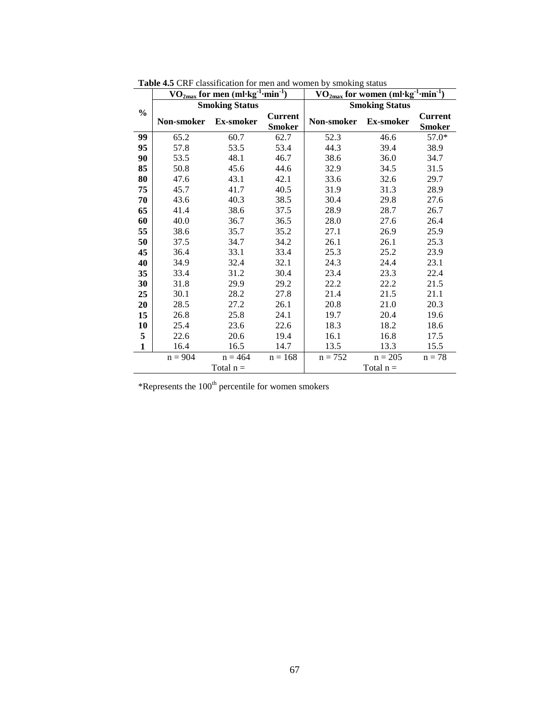|               | $\rm\,VO_{2max}$ for men (ml·kg <sup>-1</sup> ·min <sup>-1</sup> ) |             |                                 | $\mathbf{m}$ in <sup>-T</sup><br>$\rm VO_{2max}$ for women (ml·kg $^1$ |             |                                 |
|---------------|--------------------------------------------------------------------|-------------|---------------------------------|------------------------------------------------------------------------|-------------|---------------------------------|
| $\frac{0}{0}$ | <b>Smoking Status</b>                                              |             |                                 | <b>Smoking Status</b>                                                  |             |                                 |
|               | Non-smoker                                                         | Ex-smoker   | <b>Current</b><br><b>Smoker</b> | Non-smoker                                                             | Ex-smoker   | <b>Current</b><br><b>Smoker</b> |
| 99            | 65.2                                                               | 60.7        | 62.7                            | 52.3                                                                   | 46.6        | 57.0*                           |
| 95            | 57.8                                                               | 53.5        | 53.4                            | 44.3                                                                   | 39.4        | 38.9                            |
| 90            | 53.5                                                               | 48.1        | 46.7                            | 38.6                                                                   | 36.0        | 34.7                            |
| 85            | 50.8                                                               | 45.6        | 44.6                            | 32.9                                                                   | 34.5        | 31.5                            |
| 80            | 47.6                                                               | 43.1        | 42.1                            | 33.6                                                                   | 32.6        | 29.7                            |
| 75            | 45.7                                                               | 41.7        | 40.5                            | 31.9                                                                   | 31.3        | 28.9                            |
| 70            | 43.6                                                               | 40.3        | 38.5                            | 30.4                                                                   | 29.8        | 27.6                            |
| 65            | 41.4                                                               | 38.6        | 37.5                            | 28.9                                                                   | 28.7        | 26.7                            |
| 60            | 40.0                                                               | 36.7        | 36.5                            | 28.0                                                                   | 27.6        | 26.4                            |
| 55            | 38.6                                                               | 35.7        | 35.2                            | 27.1                                                                   | 26.9        | 25.9                            |
| 50            | 37.5                                                               | 34.7        | 34.2                            | 26.1                                                                   | 26.1        | 25.3                            |
| 45            | 36.4                                                               | 33.1        | 33.4                            | 25.3                                                                   | 25.2        | 23.9                            |
| 40            | 34.9                                                               | 32.4        | 32.1                            | 24.3                                                                   | 24.4        | 23.1                            |
| 35            | 33.4                                                               | 31.2        | 30.4                            | 23.4                                                                   | 23.3        | 22.4                            |
| 30            | 31.8                                                               | 29.9        | 29.2                            | 22.2                                                                   | 22.2        | 21.5                            |
| 25            | 30.1                                                               | 28.2        | 27.8                            | 21.4                                                                   | 21.5        | 21.1                            |
| 20            | 28.5                                                               | 27.2        | 26.1                            | 20.8                                                                   | 21.0        | 20.3                            |
| 15            | 26.8                                                               | 25.8        | 24.1                            | 19.7                                                                   | 20.4        | 19.6                            |
| 10            | 25.4                                                               | 23.6        | 22.6                            | 18.3                                                                   | 18.2        | 18.6                            |
| 5             | 22.6                                                               | 20.6        | 19.4                            | 16.1                                                                   | 16.8        | 17.5                            |
| $\mathbf{1}$  | 16.4                                                               | 16.5        | 14.7                            | 13.5                                                                   | 13.3        | 15.5                            |
|               | $n = 904$                                                          | $n = 464$   | $n = 168$                       | $n = 752$                                                              | $n = 205$   | $n = 78$                        |
|               |                                                                    | Total $n =$ |                                 |                                                                        | Total $n =$ |                                 |

**Table 4.5** CRF classification for men and women by smoking status

 $*$ Represents the 100<sup>th</sup> percentile for women smokers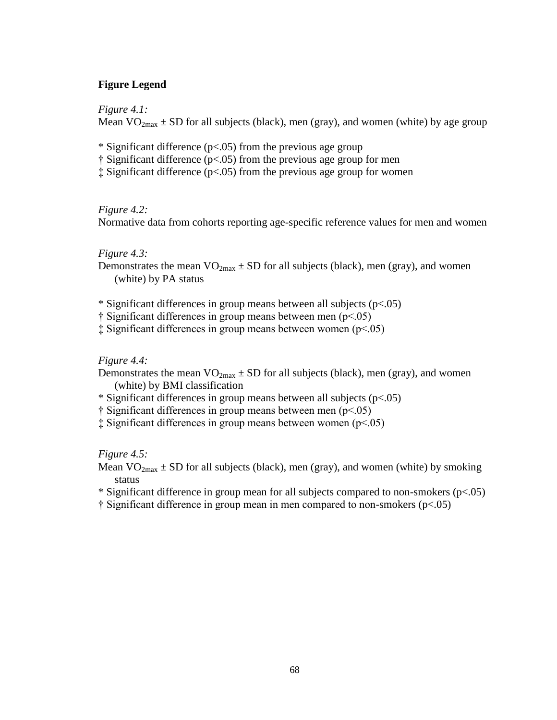# **Figure Legend**

*Figure 4.1:* 

Mean  $VO_{2max} \pm SD$  for all subjects (black), men (gray), and women (white) by age group

- \* Significant difference ( $p<0.05$ ) from the previous age group
- † Significant difference (p<.05) from the previous age group for men
- ‡ Significant difference (p<.05) from the previous age group for women

## *Figure 4.2:*

Normative data from cohorts reporting age-specific reference values for men and women

# *Figure 4.3:*

- Demonstrates the mean  $VO_{2max} \pm SD$  for all subjects (black), men (gray), and women (white) by PA status
- \* Significant differences in group means between all subjects ( $p < .05$ )
- † Significant differences in group means between men (p<.05)
- ‡ Significant differences in group means between women (p<.05)

## *Figure 4.4:*

- Demonstrates the mean  $VO_{2max} \pm SD$  for all subjects (black), men (gray), and women (white) by BMI classification
- \* Significant differences in group means between all subjects ( $p < .05$ )
- † Significant differences in group means between men (p<.05)
- ‡ Significant differences in group means between women (p<.05)

## *Figure 4.5:*

Mean  $VO_{2max} \pm SD$  for all subjects (black), men (gray), and women (white) by smoking status

- \* Significant difference in group mean for all subjects compared to non-smokers ( $p<0.05$ )
- † Significant difference in group mean in men compared to non-smokers (p<.05)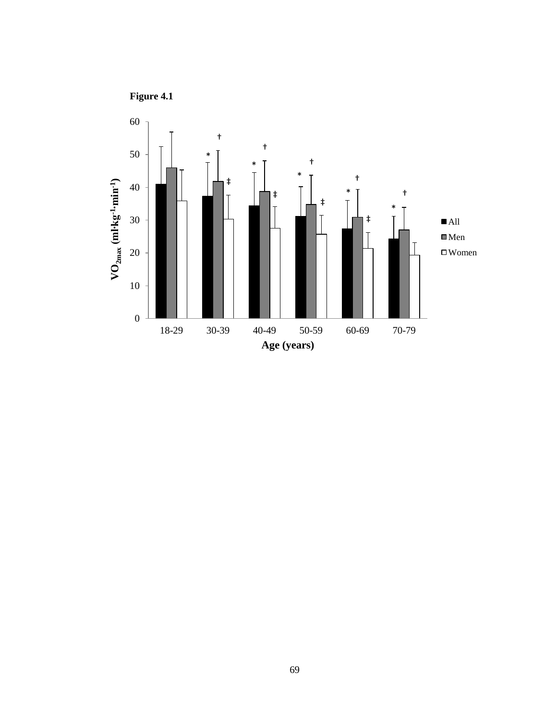

69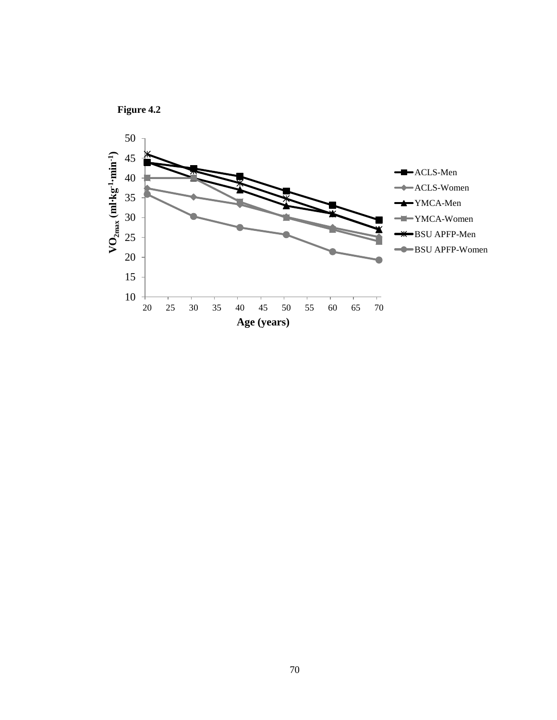

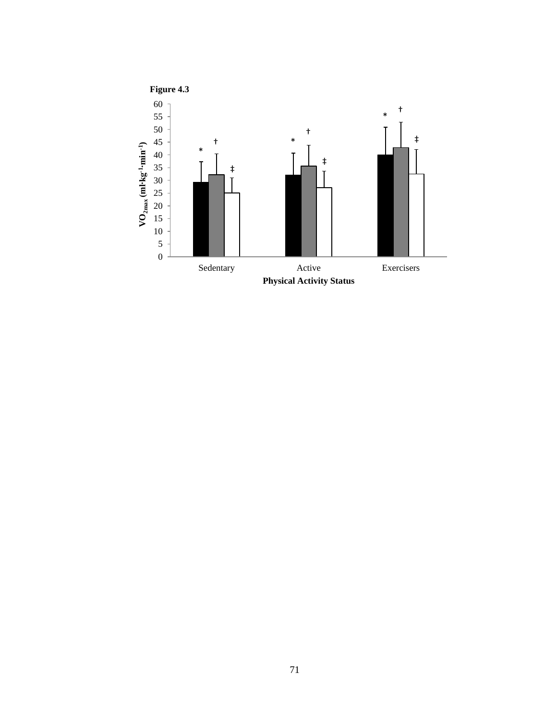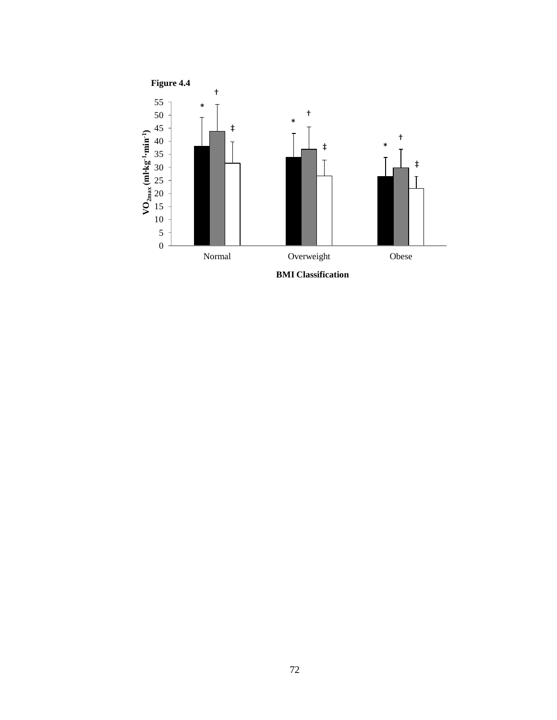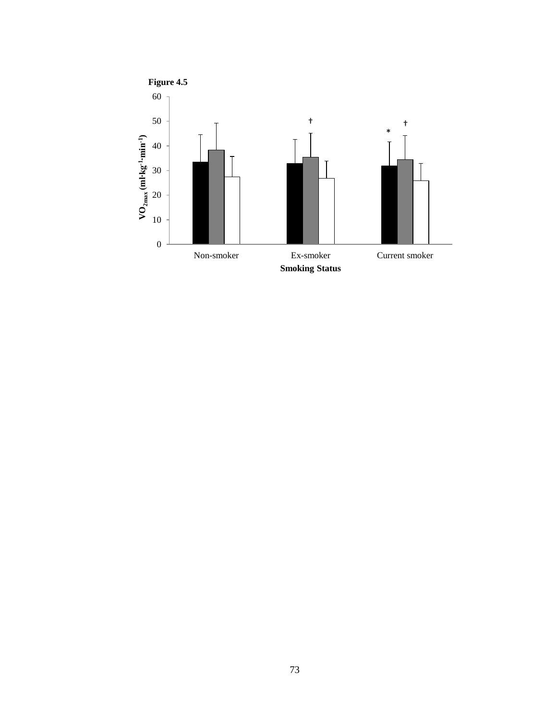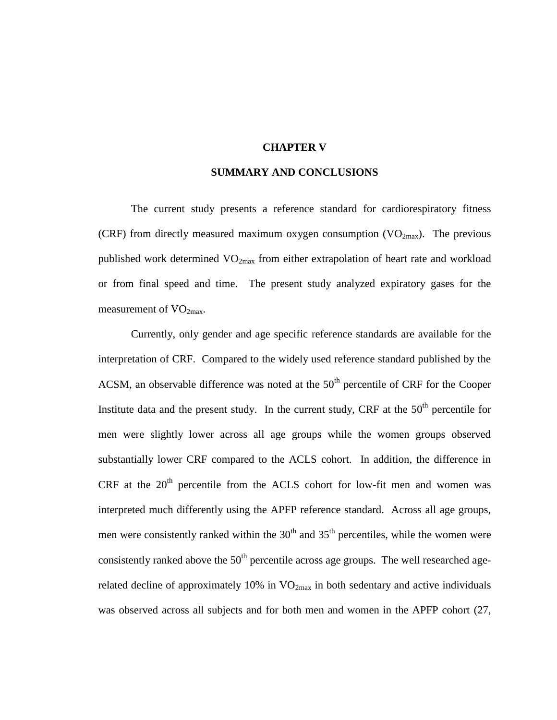#### **CHAPTER V**

#### **SUMMARY AND CONCLUSIONS**

The current study presents a reference standard for cardiorespiratory fitness (CRF) from directly measured maximum oxygen consumption  $(VO_{2max})$ . The previous published work determined VO<sub>2max</sub> from either extrapolation of heart rate and workload or from final speed and time. The present study analyzed expiratory gases for the measurement of  $VO<sub>2max</sub>$ .

Currently, only gender and age specific reference standards are available for the interpretation of CRF. Compared to the widely used reference standard published by the ACSM, an observable difference was noted at the  $50<sup>th</sup>$  percentile of CRF for the Cooper Institute data and the present study. In the current study, CRF at the  $50<sup>th</sup>$  percentile for men were slightly lower across all age groups while the women groups observed substantially lower CRF compared to the ACLS cohort. In addition, the difference in CRF at the  $20<sup>th</sup>$  percentile from the ACLS cohort for low-fit men and women was interpreted much differently using the APFP reference standard. Across all age groups, men were consistently ranked within the  $30<sup>th</sup>$  and  $35<sup>th</sup>$  percentiles, while the women were consistently ranked above the  $50<sup>th</sup>$  percentile across age groups. The well researched agerelated decline of approximately 10% in  $VO_{2max}$  in both sedentary and active individuals was observed across all subjects and for both men and women in the APFP cohort [\(27,](#page-83-0)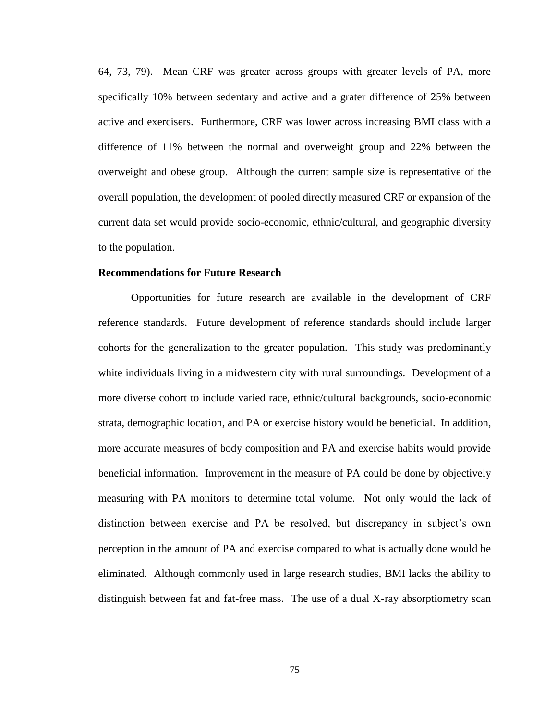[64,](#page-84-0) [73,](#page-84-1) [79\)](#page-84-2). Mean CRF was greater across groups with greater levels of PA, more specifically 10% between sedentary and active and a grater difference of 25% between active and exercisers. Furthermore, CRF was lower across increasing BMI class with a difference of 11% between the normal and overweight group and 22% between the overweight and obese group. Although the current sample size is representative of the overall population, the development of pooled directly measured CRF or expansion of the current data set would provide socio-economic, ethnic/cultural, and geographic diversity to the population.

## **Recommendations for Future Research**

Opportunities for future research are available in the development of CRF reference standards. Future development of reference standards should include larger cohorts for the generalization to the greater population. This study was predominantly white individuals living in a midwestern city with rural surroundings. Development of a more diverse cohort to include varied race, ethnic/cultural backgrounds, socio-economic strata, demographic location, and PA or exercise history would be beneficial. In addition, more accurate measures of body composition and PA and exercise habits would provide beneficial information. Improvement in the measure of PA could be done by objectively measuring with PA monitors to determine total volume. Not only would the lack of distinction between exercise and PA be resolved, but discrepancy in subject's own perception in the amount of PA and exercise compared to what is actually done would be eliminated. Although commonly used in large research studies, BMI lacks the ability to distinguish between fat and fat-free mass. The use of a dual X-ray absorptiometry scan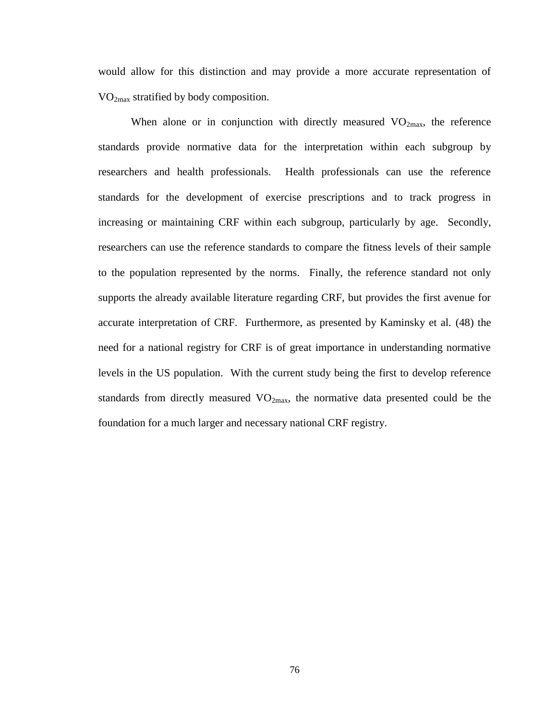would allow for this distinction and may provide a more accurate representation of  $VO<sub>2max</sub>$  stratified by body composition.

When alone or in conjunction with directly measured  $VO<sub>2max</sub>$ , the reference standards provide normative data for the interpretation within each subgroup by researchers and health professionals. Health professionals can use the reference standards for the development of exercise prescriptions and to track progress in increasing or maintaining CRF within each subgroup, particularly by age. Secondly, researchers can use the reference standards to compare the fitness levels of their sample to the population represented by the norms. Finally, the reference standard not only supports the already available literature regarding CRF, but provides the first avenue for accurate interpretation of CRF. Furthermore, as presented by Kaminsky et al. [\(48\)](#page-83-1) the need for a national registry for CRF is of great importance in understanding normative levels in the US population. With the current study being the first to develop reference standards from directly measured  $VO_{2max}$ , the normative data presented could be the foundation for a much larger and necessary national CRF registry.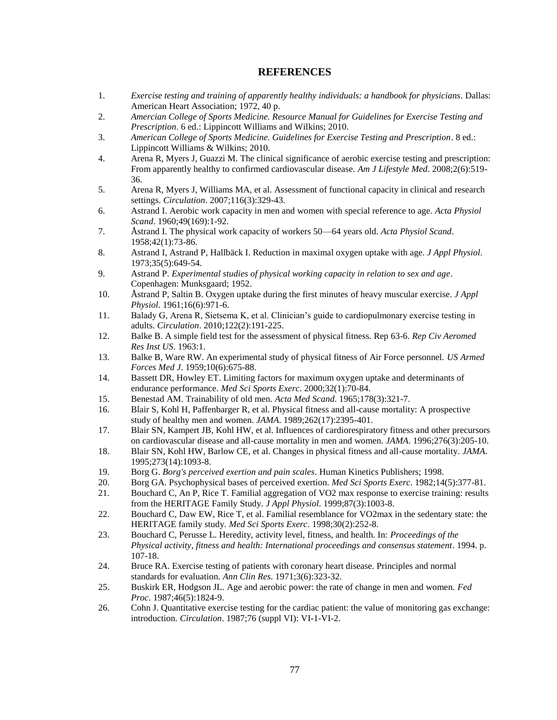#### **REFERENCES**

- 1. *Exercise testing and training of apparently healthy individuals: a handbook for physicians*. Dallas: American Heart Association; 1972, 40 p.
- 2. *Amercian College of Sports Medicine. Resource Manual for Guidelines for Exercise Testing and Prescription*. 6 ed.: Lippincott Williams and Wilkins; 2010.
- 3. *American College of Sports Medicine. Guidelines for Exercise Testing and Prescription*. 8 ed.: Lippincott Williams & Wilkins; 2010.
- 4. Arena R, Myers J, Guazzi M. The clinical significance of aerobic exercise testing and prescription: From apparently healthy to confirmed cardiovascular disease. *Am J Lifestyle Med*. 2008;2(6):519- 36.
- 5. Arena R, Myers J, Williams MA, et al. Assessment of functional capacity in clinical and research settings. *Circulation*. 2007;116(3):329-43.
- 6. Astrand I. Aerobic work capacity in men and women with special reference to age. *Acta Physiol Scand*. 1960;49(169):1-92.
- 7. Åstrand I. The physical work capacity of workers 50—64 years old. *Acta Physiol Scand*. 1958;42(1):73-86.
- 8. Astrand I, Astrand P, Hallbäck I. Reduction in maximal oxygen uptake with age. *J Appl Physiol*. 1973;35(5):649-54.
- 9. Astrand P. *Experimental studies of physical working capacity in relation to sex and age*. Copenhagen: Munksgaard; 1952.
- 10. Åstrand P, Saltin B. Oxygen uptake during the first minutes of heavy muscular exercise. *J Appl Physiol*. 1961;16(6):971-6.
- 11. Balady G, Arena R, Sietsema K, et al. Clinician's guide to cardiopulmonary exercise testing in adults. *Circulation*. 2010;122(2):191-225.
- 12. Balke B. A simple field test for the assessment of physical fitness. Rep 63-6. *Rep Civ Aeromed Res Inst US*. 1963:1.
- 13. Balke B, Ware RW. An experimental study of physical fitness of Air Force personnel. *US Armed Forces Med J*. 1959;10(6):675-88.
- 14. Bassett DR, Howley ET. Limiting factors for maximum oxygen uptake and determinants of endurance performance. *Med Sci Sports Exerc*. 2000;32(1):70-84.
- 15. Benestad AM. Trainability of old men. *Acta Med Scand*. 1965;178(3):321-7.
- 16. Blair S, Kohl H, Paffenbarger R, et al. Physical fitness and all-cause mortality: A prospective study of healthy men and women. *JAMA*. 1989;262(17):2395-401.
- 17. Blair SN, Kampert JB, Kohl HW, et al. Influences of cardiorespiratory fitness and other precursors on cardiovascular disease and all-cause mortality in men and women. *JAMA*. 1996;276(3):205-10.
- 18. Blair SN, Kohl HW, Barlow CE, et al. Changes in physical fitness and all-cause mortality. *JAMA*. 1995;273(14):1093-8.
- 19. Borg G. *Borg's perceived exertion and pain scales*. Human Kinetics Publishers; 1998.
- 20. Borg GA. Psychophysical bases of perceived exertion. *Med Sci Sports Exerc*. 1982;14(5):377-81.
- 21. Bouchard C, An P, Rice T. Familial aggregation of VO2 max response to exercise training: results from the HERITAGE Family Study. *J Appl Physiol*. 1999;87(3):1003-8.
- 22. Bouchard C, Daw EW, Rice T, et al. Familial resemblance for VO2max in the sedentary state: the HERITAGE family study. *Med Sci Sports Exerc*. 1998;30(2):252-8.
- 23. Bouchard C, Perusse L. Heredity, activity level, fitness, and health. In: *Proceedings of the Physical activity, fitness and health: International proceedings and consensus statement*. 1994. p. 107-18.
- 24. Bruce RA. Exercise testing of patients with coronary heart disease. Principles and normal standards for evaluation. *Ann Clin Res*. 1971;3(6):323-32.
- 25. Buskirk ER, Hodgson JL. Age and aerobic power: the rate of change in men and women. *Fed Proc*. 1987;46(5):1824-9.
- 26. Cohn J. Quantitative exercise testing for the cardiac patient: the value of monitoring gas exchange: introduction. *Circulation*. 1987;76 (suppl VI): VI-1-VI-2.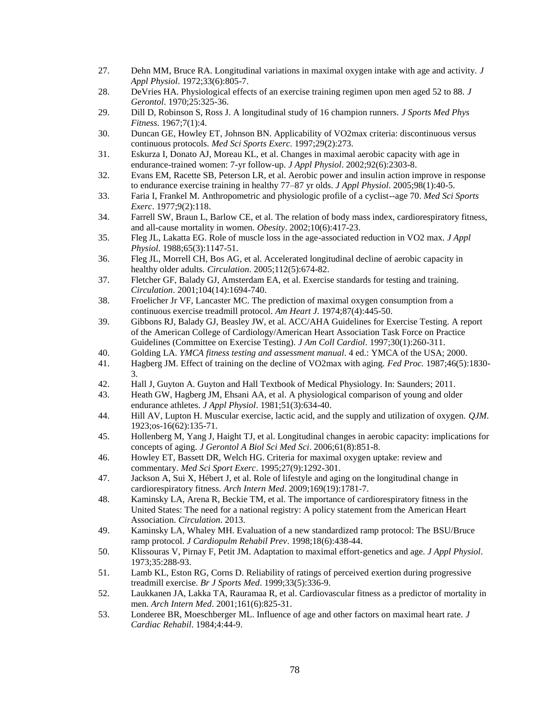- <span id="page-83-0"></span>27. Dehn MM, Bruce RA. Longitudinal variations in maximal oxygen intake with age and activity. *J Appl Physiol*. 1972;33(6):805-7.
- 28. DeVries HA. Physiological effects of an exercise training regimen upon men aged 52 to 88. *J Gerontol*. 1970;25:325-36.
- 29. Dill D, Robinson S, Ross J. A longitudinal study of 16 champion runners. *J Sports Med Phys Fitness*. 1967;7(1):4.
- 30. Duncan GE, Howley ET, Johnson BN. Applicability of VO2max criteria: discontinuous versus continuous protocols. *Med Sci Sports Exerc*. 1997;29(2):273.
- 31. Eskurza I, Donato AJ, Moreau KL, et al. Changes in maximal aerobic capacity with age in endurance-trained women: 7-yr follow-up. *J Appl Physiol*. 2002;92(6):2303-8.
- 32. Evans EM, Racette SB, Peterson LR, et al. Aerobic power and insulin action improve in response to endurance exercise training in healthy 77–87 yr olds. *J Appl Physiol*. 2005;98(1):40-5.
- 33. Faria I, Frankel M. Anthropometric and physiologic profile of a cyclist--age 70. *Med Sci Sports Exerc*. 1977;9(2):118.
- 34. Farrell SW, Braun L, Barlow CE, et al. The relation of body mass index, cardiorespiratory fitness, and all-cause mortality in women. *Obesity*. 2002;10(6):417-23.
- 35. Fleg JL, Lakatta EG. Role of muscle loss in the age-associated reduction in VO2 max. *J Appl Physiol*. 1988;65(3):1147-51.
- 36. Fleg JL, Morrell CH, Bos AG, et al. Accelerated longitudinal decline of aerobic capacity in healthy older adults. *Circulation*. 2005;112(5):674-82.
- 37. Fletcher GF, Balady GJ, Amsterdam EA, et al. Exercise standards for testing and training. *Circulation*. 2001;104(14):1694-740.
- 38. Froelicher Jr VF, Lancaster MC. The prediction of maximal oxygen consumption from a continuous exercise treadmill protocol. *Am Heart J*. 1974;87(4):445-50.
- 39. Gibbons RJ, Balady GJ, Beasley JW, et al. ACC/AHA Guidelines for Exercise Testing. A report of the American College of Cardiology/American Heart Association Task Force on Practice Guidelines (Committee on Exercise Testing). *J Am Coll Cardiol*. 1997;30(1):260-311.
- 40. Golding LA. *YMCA fitness testing and assessment manual*. 4 ed.: YMCA of the USA; 2000.
- 41. Hagberg JM. Effect of training on the decline of VO2max with aging. *Fed Proc.* 1987;46(5):1830- 3.
- 42. Hall J, Guyton A. Guyton and Hall Textbook of Medical Physiology. In: Saunders; 2011.
- 43. Heath GW, Hagberg JM, Ehsani AA, et al. A physiological comparison of young and older endurance athletes. *J Appl Physiol*. 1981;51(3):634-40.
- 44. Hill AV, Lupton H. Muscular exercise, lactic acid, and the supply and utilization of oxygen. *QJM*. 1923;os-16(62):135-71.
- 45. Hollenberg M, Yang J, Haight TJ, et al. Longitudinal changes in aerobic capacity: implications for concepts of aging. *J Gerontol A Biol Sci Med Sci*. 2006;61(8):851-8.
- 46. Howley ET, Bassett DR, Welch HG. Criteria for maximal oxygen uptake: review and commentary. *Med Sci Sport Exerc*. 1995;27(9):1292-301.
- 47. Jackson A, Sui X, Hébert J, et al. Role of lifestyle and aging on the longitudinal change in cardiorespiratory fitness. *Arch Intern Med*. 2009;169(19):1781-7.
- <span id="page-83-1"></span>48. Kaminsky LA, Arena R, Beckie TM, et al. The importance of cardiorespiratory fitness in the United States: The need for a national registry: A policy statement from the American Heart Association. *Circulation*. 2013.
- 49. Kaminsky LA, Whaley MH. Evaluation of a new standardized ramp protocol: The BSU/Bruce ramp protocol. *J Cardiopulm Rehabil Prev*. 1998;18(6):438-44.
- 50. Klissouras V, Pirnay F, Petit JM. Adaptation to maximal effort-genetics and age. *J Appl Physiol*. 1973;35:288-93.
- 51. Lamb KL, Eston RG, Corns D. Reliability of ratings of perceived exertion during progressive treadmill exercise. *Br J Sports Med*. 1999;33(5):336-9.
- 52. Laukkanen JA, Lakka TA, Rauramaa R, et al. Cardiovascular fitness as a predictor of mortality in men. *Arch Intern Med*. 2001;161(6):825-31.
- 53. Londeree BR, Moeschberger ML. Influence of age and other factors on maximal heart rate. *J Cardiac Rehabil*. 1984;4:44-9.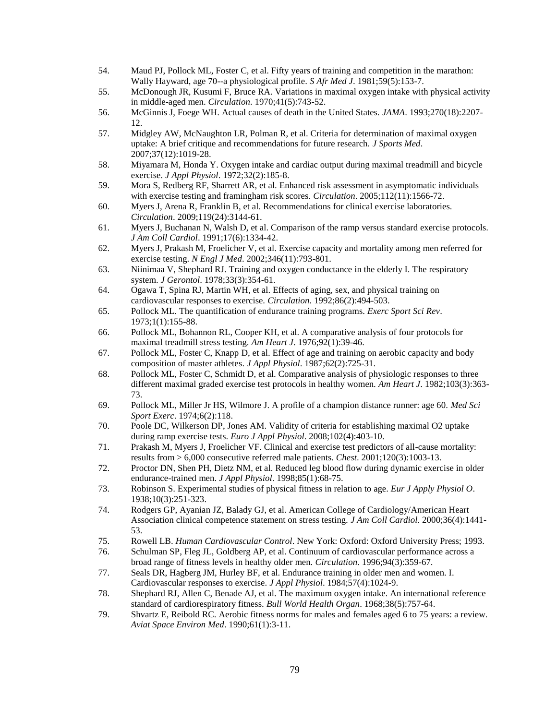- 54. Maud PJ, Pollock ML, Foster C, et al. Fifty years of training and competition in the marathon: Wally Hayward, age 70--a physiological profile. *S Afr Med J*. 1981;59(5):153-7.
- 55. McDonough JR, Kusumi F, Bruce RA. Variations in maximal oxygen intake with physical activity in middle-aged men. *Circulation*. 1970;41(5):743-52.
- 56. McGinnis J, Foege WH. Actual causes of death in the United States. *JAMA*. 1993;270(18):2207- 12.
- 57. Midgley AW, McNaughton LR, Polman R, et al. Criteria for determination of maximal oxygen uptake: A brief critique and recommendations for future research. *J Sports Med*. 2007;37(12):1019-28.
- 58. Miyamara M, Honda Y. Oxygen intake and cardiac output during maximal treadmill and bicycle exercise. *J Appl Physiol*. 1972;32(2):185-8.
- 59. Mora S, Redberg RF, Sharrett AR, et al. Enhanced risk assessment in asymptomatic individuals with exercise testing and framingham risk scores. *Circulation*. 2005;112(11):1566-72.
- 60. Myers J, Arena R, Franklin B, et al. Recommendations for clinical exercise laboratories. *Circulation*. 2009;119(24):3144-61.
- 61. Myers J, Buchanan N, Walsh D, et al. Comparison of the ramp versus standard exercise protocols. *J Am Coll Cardiol*. 1991;17(6):1334-42.
- 62. Myers J, Prakash M, Froelicher V, et al. Exercise capacity and mortality among men referred for exercise testing. *N Engl J Med*. 2002;346(11):793-801.
- 63. Niinimaa V, Shephard RJ. Training and oxygen conductance in the elderly I. The respiratory system. *J Gerontol*. 1978;33(3):354-61.
- <span id="page-84-0"></span>64. Ogawa T, Spina RJ, Martin WH, et al. Effects of aging, sex, and physical training on cardiovascular responses to exercise. *Circulation*. 1992;86(2):494-503.
- 65. Pollock ML. The quantification of endurance training programs. *Exerc Sport Sci Rev*. 1973;1(1):155-88.
- 66. Pollock ML, Bohannon RL, Cooper KH, et al. A comparative analysis of four protocols for maximal treadmill stress testing. *Am Heart J*. 1976;92(1):39-46.
- 67. Pollock ML, Foster C, Knapp D, et al. Effect of age and training on aerobic capacity and body composition of master athletes. *J Appl Physiol*. 1987;62(2):725-31.
- 68. Pollock ML, Foster C, Schmidt D, et al. Comparative analysis of physiologic responses to three different maximal graded exercise test protocols in healthy women. *Am Heart J*. 1982;103(3):363- 73.
- 69. Pollock ML, Miller Jr HS, Wilmore J. A profile of a champion distance runner: age 60. *Med Sci Sport Exerc*. 1974;6(2):118.
- 70. Poole DC, Wilkerson DP, Jones AM. Validity of criteria for establishing maximal O2 uptake during ramp exercise tests. *Euro J Appl Physiol*. 2008;102(4):403-10.
- 71. Prakash M, Myers J, Froelicher VF. Clinical and exercise test predictors of all-cause mortality: results from > 6,000 consecutive referred male patients. *Chest*. 2001;120(3):1003-13.
- 72. Proctor DN, Shen PH, Dietz NM, et al. Reduced leg blood flow during dynamic exercise in older endurance-trained men. *J Appl Physiol*. 1998;85(1):68-75.
- <span id="page-84-1"></span>73. Robinson S. Experimental studies of physical fitness in relation to age. *Eur J Apply Physiol O*. 1938;10(3):251-323.
- 74. Rodgers GP, Ayanian JZ, Balady GJ, et al. American College of Cardiology/American Heart Association clinical competence statement on stress testing. *J Am Coll Cardiol*. 2000;36(4):1441- 53.
- 75. Rowell LB. *Human Cardiovascular Control*. New York: Oxford: Oxford University Press; 1993.
- 76. Schulman SP, Fleg JL, Goldberg AP, et al. Continuum of cardiovascular performance across a broad range of fitness levels in healthy older men. *Circulation*. 1996;94(3):359-67.
- 77. Seals DR, Hagberg JM, Hurley BF, et al. Endurance training in older men and women. I. Cardiovascular responses to exercise. *J Appl Physiol*. 1984;57(4):1024-9.
- 78. Shephard RJ, Allen C, Benade AJ, et al. The maximum oxygen intake. An international reference standard of cardiorespiratory fitness. *Bull World Health Organ*. 1968;38(5):757-64.
- <span id="page-84-2"></span>79. Shvartz E, Reibold RC. Aerobic fitness norms for males and females aged 6 to 75 years: a review. *Aviat Space Environ Med*. 1990;61(1):3-11.